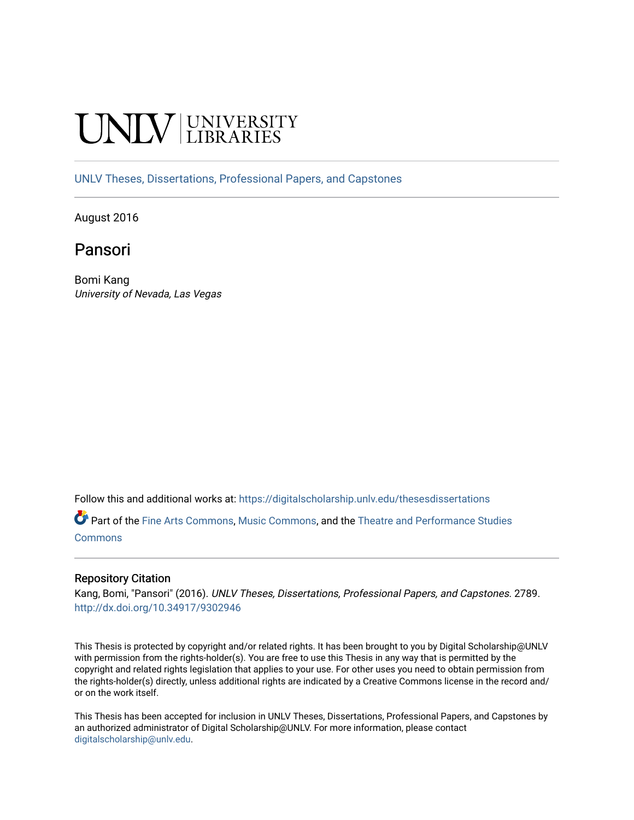# **INIVERSITY**

[UNLV Theses, Dissertations, Professional Papers, and Capstones](https://digitalscholarship.unlv.edu/thesesdissertations)

August 2016

# Pansori

Bomi Kang University of Nevada, Las Vegas

Follow this and additional works at: [https://digitalscholarship.unlv.edu/thesesdissertations](https://digitalscholarship.unlv.edu/thesesdissertations?utm_source=digitalscholarship.unlv.edu%2Fthesesdissertations%2F2789&utm_medium=PDF&utm_campaign=PDFCoverPages)

Part of the [Fine Arts Commons,](http://network.bepress.com/hgg/discipline/1141?utm_source=digitalscholarship.unlv.edu%2Fthesesdissertations%2F2789&utm_medium=PDF&utm_campaign=PDFCoverPages) [Music Commons,](http://network.bepress.com/hgg/discipline/518?utm_source=digitalscholarship.unlv.edu%2Fthesesdissertations%2F2789&utm_medium=PDF&utm_campaign=PDFCoverPages) and the [Theatre and Performance Studies](http://network.bepress.com/hgg/discipline/552?utm_source=digitalscholarship.unlv.edu%2Fthesesdissertations%2F2789&utm_medium=PDF&utm_campaign=PDFCoverPages)  **[Commons](http://network.bepress.com/hgg/discipline/552?utm_source=digitalscholarship.unlv.edu%2Fthesesdissertations%2F2789&utm_medium=PDF&utm_campaign=PDFCoverPages)** 

### Repository Citation

Kang, Bomi, "Pansori" (2016). UNLV Theses, Dissertations, Professional Papers, and Capstones. 2789. <http://dx.doi.org/10.34917/9302946>

This Thesis is protected by copyright and/or related rights. It has been brought to you by Digital Scholarship@UNLV with permission from the rights-holder(s). You are free to use this Thesis in any way that is permitted by the copyright and related rights legislation that applies to your use. For other uses you need to obtain permission from the rights-holder(s) directly, unless additional rights are indicated by a Creative Commons license in the record and/ or on the work itself.

This Thesis has been accepted for inclusion in UNLV Theses, Dissertations, Professional Papers, and Capstones by an authorized administrator of Digital Scholarship@UNLV. For more information, please contact [digitalscholarship@unlv.edu](mailto:digitalscholarship@unlv.edu).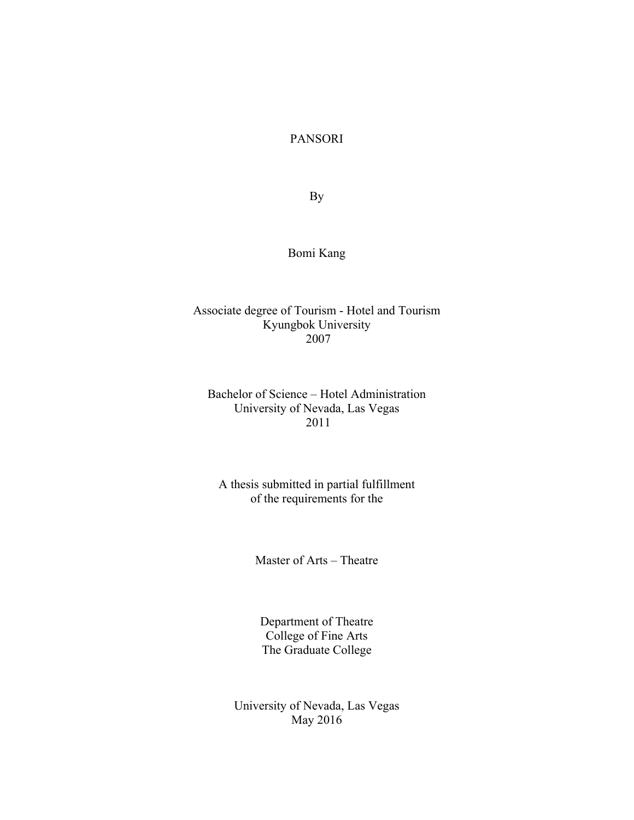PANSORI

By

## Bomi Kang

## Associate degree of Tourism - Hotel and Tourism Kyungbok University 2007

## Bachelor of Science – Hotel Administration University of Nevada, Las Vegas 2011

## A thesis submitted in partial fulfillment of the requirements for the

Master of Arts – Theatre

Department of Theatre College of Fine Arts The Graduate College

University of Nevada, Las Vegas May 2016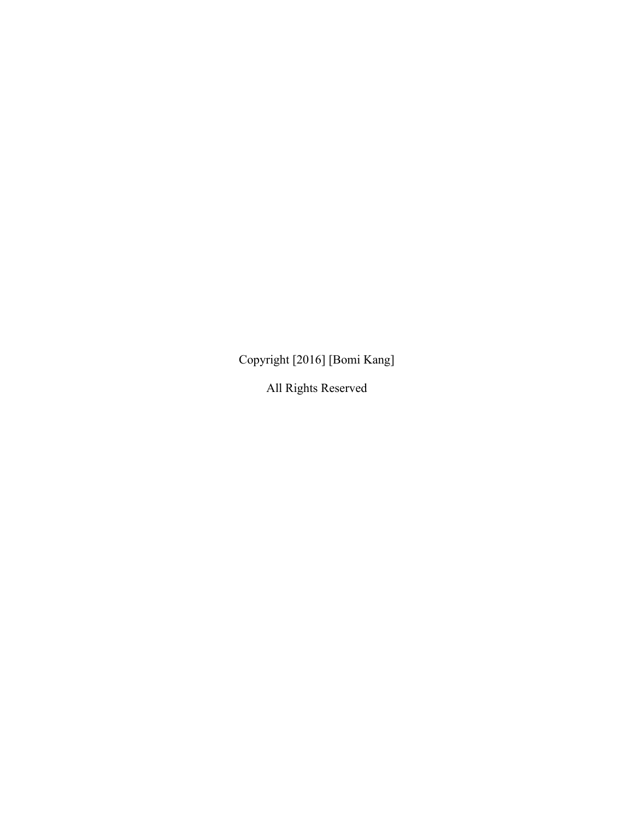Copyright [2016] [Bomi Kang]

All Rights Reserved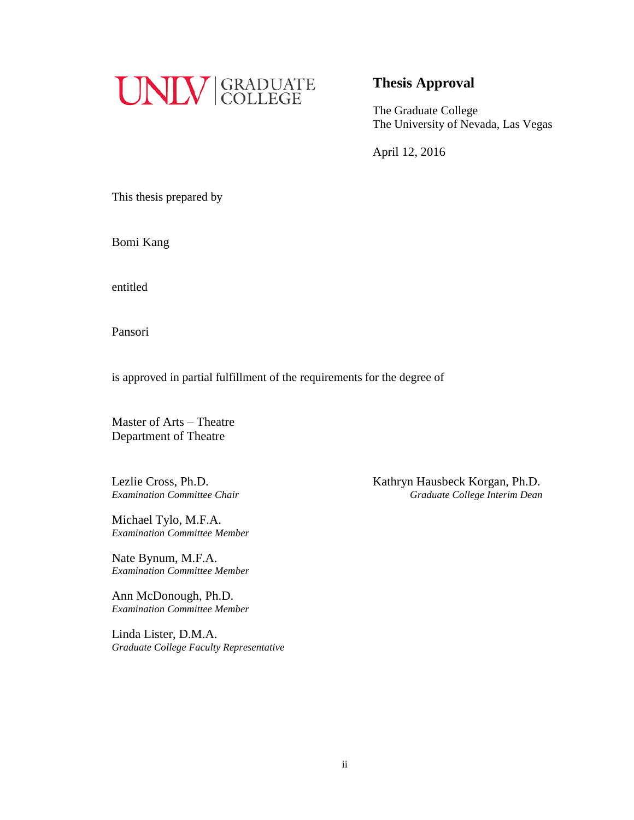

## **Thesis Approval**

The Graduate College The University of Nevada, Las Vegas

April 12, 2016

This thesis prepared by

Bomi Kang

entitled

Pansori

is approved in partial fulfillment of the requirements for the degree of

Master of Arts – Theatre Department of Theatre

Michael Tylo, M.F.A. *Examination Committee Member*

Nate Bynum, M.F.A. *Examination Committee Member*

Ann McDonough, Ph.D. *Examination Committee Member*

Linda Lister, D.M.A. *Graduate College Faculty Representative*

Lezlie Cross, Ph.D. Kathryn Hausbeck Korgan, Ph.D. *Examination Committee Chair Graduate College Interim Dean*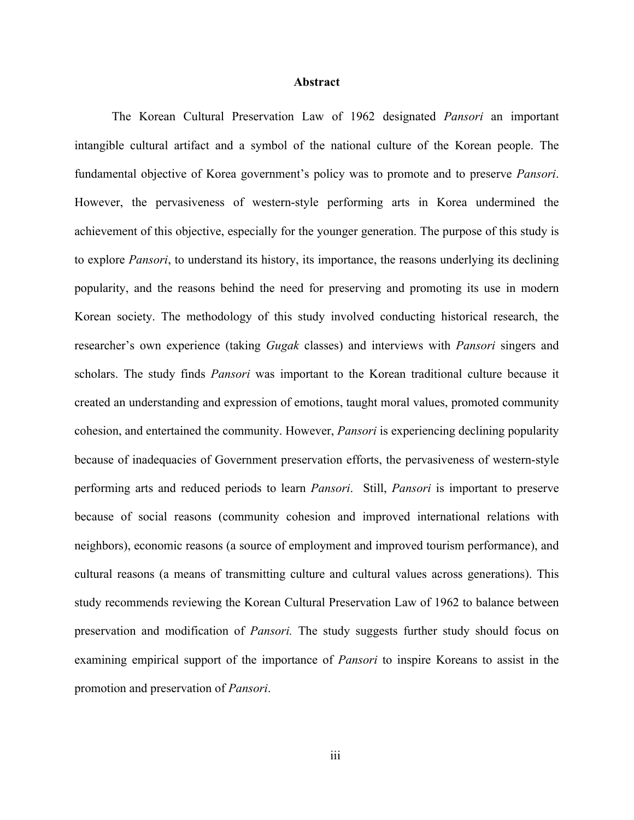#### **Abstract**

The Korean Cultural Preservation Law of 1962 designated *Pansori* an important intangible cultural artifact and a symbol of the national culture of the Korean people. The fundamental objective of Korea government's policy was to promote and to preserve *Pansori*. However, the pervasiveness of western-style performing arts in Korea undermined the achievement of this objective, especially for the younger generation. The purpose of this study is to explore *Pansori*, to understand its history, its importance, the reasons underlying its declining popularity, and the reasons behind the need for preserving and promoting its use in modern Korean society. The methodology of this study involved conducting historical research, the researcher's own experience (taking *Gugak* classes) and interviews with *Pansori* singers and scholars. The study finds *Pansori* was important to the Korean traditional culture because it created an understanding and expression of emotions, taught moral values, promoted community cohesion, and entertained the community. However, *Pansori* is experiencing declining popularity because of inadequacies of Government preservation efforts, the pervasiveness of western-style performing arts and reduced periods to learn *Pansori*. Still, *Pansori* is important to preserve because of social reasons (community cohesion and improved international relations with neighbors), economic reasons (a source of employment and improved tourism performance), and cultural reasons (a means of transmitting culture and cultural values across generations). This study recommends reviewing the Korean Cultural Preservation Law of 1962 to balance between preservation and modification of *Pansori.* The study suggests further study should focus on examining empirical support of the importance of *Pansori* to inspire Koreans to assist in the promotion and preservation of *Pansori*.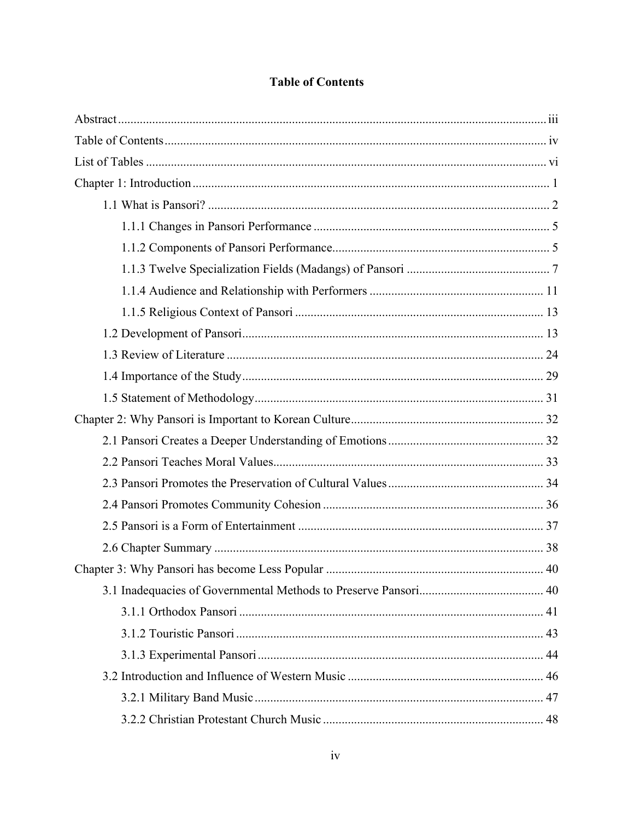## **Table of Contents**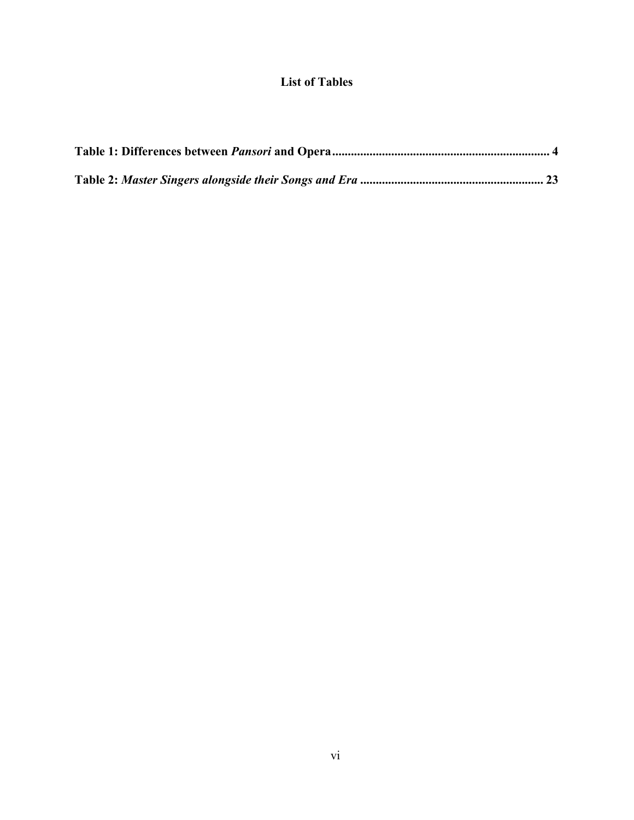## **List of Tables**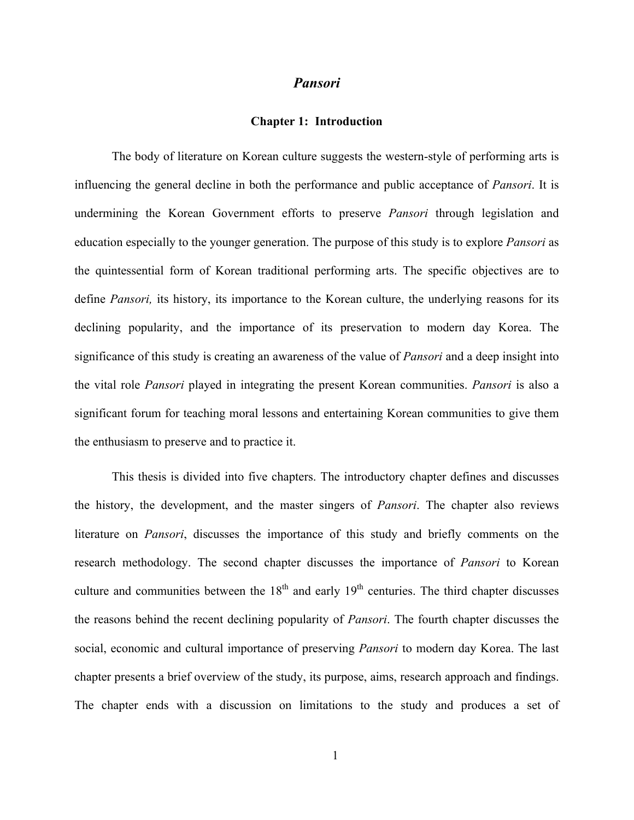#### *Pansori*

#### **Chapter 1: Introduction**

The body of literature on Korean culture suggests the western-style of performing arts is influencing the general decline in both the performance and public acceptance of *Pansori*. It is undermining the Korean Government efforts to preserve *Pansori* through legislation and education especially to the younger generation. The purpose of this study is to explore *Pansori* as the quintessential form of Korean traditional performing arts. The specific objectives are to define *Pansori,* its history, its importance to the Korean culture, the underlying reasons for its declining popularity, and the importance of its preservation to modern day Korea. The significance of this study is creating an awareness of the value of *Pansori* and a deep insight into the vital role *Pansori* played in integrating the present Korean communities. *Pansori* is also a significant forum for teaching moral lessons and entertaining Korean communities to give them the enthusiasm to preserve and to practice it.

This thesis is divided into five chapters. The introductory chapter defines and discusses the history, the development, and the master singers of *Pansori*. The chapter also reviews literature on *Pansori*, discusses the importance of this study and briefly comments on the research methodology. The second chapter discusses the importance of *Pansori* to Korean culture and communities between the  $18<sup>th</sup>$  and early  $19<sup>th</sup>$  centuries. The third chapter discusses the reasons behind the recent declining popularity of *Pansori*. The fourth chapter discusses the social, economic and cultural importance of preserving *Pansori* to modern day Korea. The last chapter presents a brief overview of the study, its purpose, aims, research approach and findings. The chapter ends with a discussion on limitations to the study and produces a set of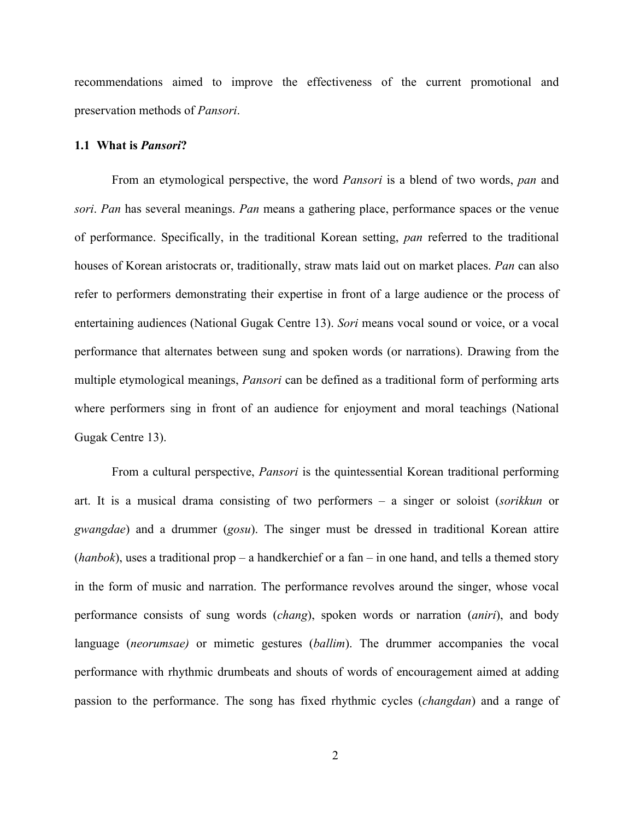recommendations aimed to improve the effectiveness of the current promotional and preservation methods of *Pansori*.

#### **1.1 What is** *Pansori***?**

From an etymological perspective, the word *Pansori* is a blend of two words, *pan* and *sori*. *Pan* has several meanings. *Pan* means a gathering place, performance spaces or the venue of performance. Specifically, in the traditional Korean setting, *pan* referred to the traditional houses of Korean aristocrats or, traditionally, straw mats laid out on market places. *Pan* can also refer to performers demonstrating their expertise in front of a large audience or the process of entertaining audiences (National Gugak Centre 13). *Sori* means vocal sound or voice, or a vocal performance that alternates between sung and spoken words (or narrations). Drawing from the multiple etymological meanings, *Pansori* can be defined as a traditional form of performing arts where performers sing in front of an audience for enjoyment and moral teachings (National Gugak Centre 13).

From a cultural perspective, *Pansori* is the quintessential Korean traditional performing art. It is a musical drama consisting of two performers – a singer or soloist (*sorikkun* or *gwangdae*) and a drummer (*gosu*). The singer must be dressed in traditional Korean attire (*hanbok*), uses a traditional prop – a handkerchief or a fan – in one hand, and tells a themed story in the form of music and narration. The performance revolves around the singer, whose vocal performance consists of sung words (*chang*), spoken words or narration (*aniri*), and body language (*neorumsae)* or mimetic gestures (*ballim*). The drummer accompanies the vocal performance with rhythmic drumbeats and shouts of words of encouragement aimed at adding passion to the performance. The song has fixed rhythmic cycles (*changdan*) and a range of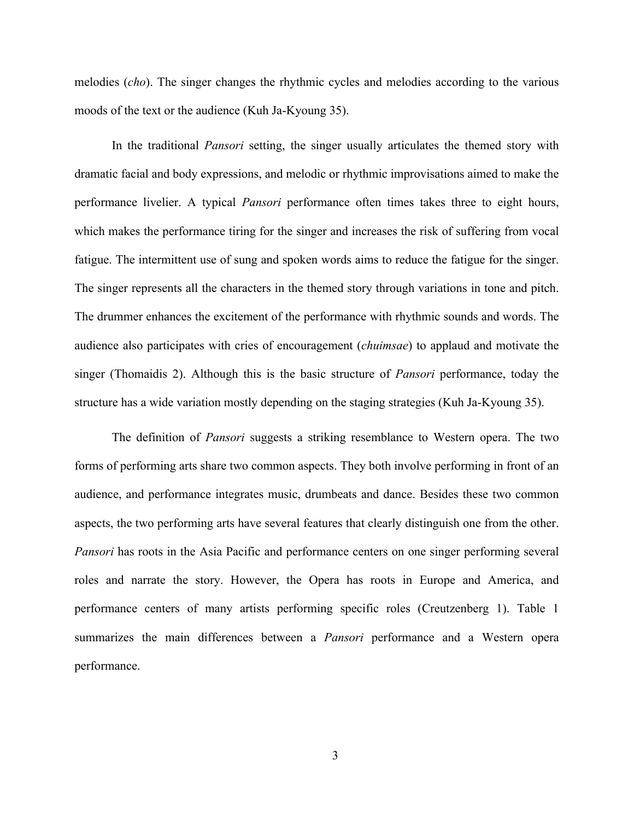melodies (*cho*). The singer changes the rhythmic cycles and melodies according to the various moods of the text or the audience (Kuh Ja-Kyoung 35).

In the traditional *Pansori* setting, the singer usually articulates the themed story with dramatic facial and body expressions, and melodic or rhythmic improvisations aimed to make the performance livelier. A typical *Pansori* performance often times takes three to eight hours, which makes the performance tiring for the singer and increases the risk of suffering from vocal fatigue. The intermittent use of sung and spoken words aims to reduce the fatigue for the singer. The singer represents all the characters in the themed story through variations in tone and pitch. The drummer enhances the excitement of the performance with rhythmic sounds and words. The audience also participates with cries of encouragement (*chuimsae*) to applaud and motivate the singer (Thomaidis 2). Although this is the basic structure of *Pansori* performance, today the structure has a wide variation mostly depending on the staging strategies (Kuh Ja-Kyoung 35).

The definition of *Pansori* suggests a striking resemblance to Western opera. The two forms of performing arts share two common aspects. They both involve performing in front of an audience, and performance integrates music, drumbeats and dance. Besides these two common aspects, the two performing arts have several features that clearly distinguish one from the other. *Pansori* has roots in the Asia Pacific and performance centers on one singer performing several roles and narrate the story. However, the Opera has roots in Europe and America, and performance centers of many artists performing specific roles (Creutzenberg 1). Table 1 summarizes the main differences between a *Pansori* performance and a Western opera performance.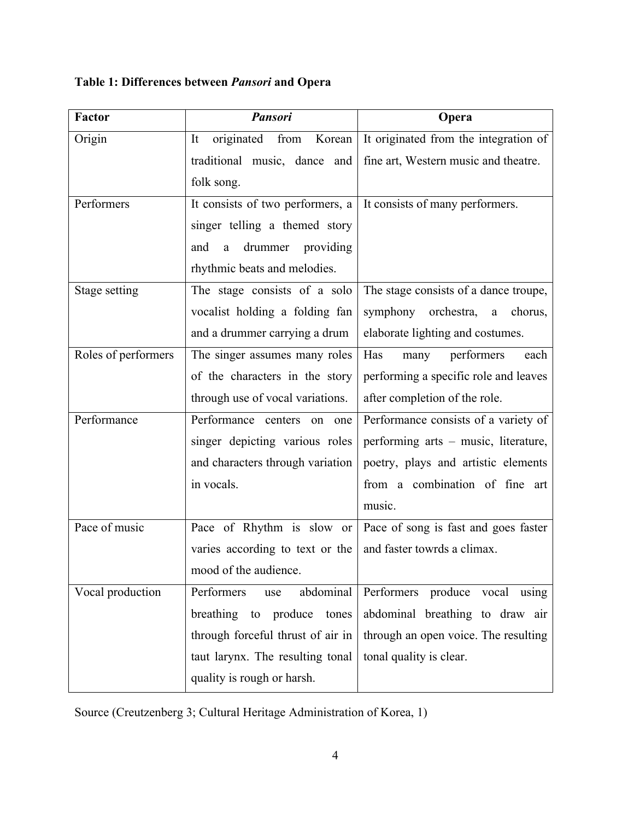**Table 1: Differences between** *Pansori* **and Opera**

| <b>Factor</b>       | <b>Pansori</b>                           | Opera                                 |
|---------------------|------------------------------------------|---------------------------------------|
| Origin              | from<br>originated<br>It<br>Korean       | It originated from the integration of |
|                     | traditional music, dance and             | fine art, Western music and theatre.  |
|                     | folk song.                               |                                       |
| Performers          | It consists of two performers, a         | It consists of many performers.       |
|                     | singer telling a themed story            |                                       |
|                     | and<br>drummer providing<br>$\mathbf{a}$ |                                       |
|                     | rhythmic beats and melodies.             |                                       |
| Stage setting       | The stage consists of a solo             | The stage consists of a dance troupe, |
|                     | vocalist holding a folding fan           | symphony orchestra,<br>chorus,<br>a   |
|                     | and a drummer carrying a drum            | elaborate lighting and costumes.      |
| Roles of performers | The singer assumes many roles            | Has<br>performers<br>each<br>many     |
|                     | of the characters in the story           | performing a specific role and leaves |
|                     | through use of vocal variations.         | after completion of the role.         |
| Performance         | Performance centers on one               | Performance consists of a variety of  |
|                     | singer depicting various roles           | performing arts – music, literature,  |
|                     | and characters through variation         | poetry, plays and artistic elements   |
|                     | in vocals.                               | from a combination of fine art        |
|                     |                                          | music.                                |
| Pace of music       | Pace of Rhythm is slow or                | Pace of song is fast and goes faster  |
|                     | varies according to text or the          | and faster towrds a climax.           |
|                     | mood of the audience.                    |                                       |
| Vocal production    | Performers<br>abdominal<br>use           | Performers produce<br>vocal<br>using  |
|                     | breathing to<br>produce<br>tones         | abdominal breathing to draw air       |
|                     | through forceful thrust of air in        | through an open voice. The resulting  |
|                     | taut larynx. The resulting tonal         | tonal quality is clear.               |
|                     | quality is rough or harsh.               |                                       |

Source (Creutzenberg 3; Cultural Heritage Administration of Korea, 1)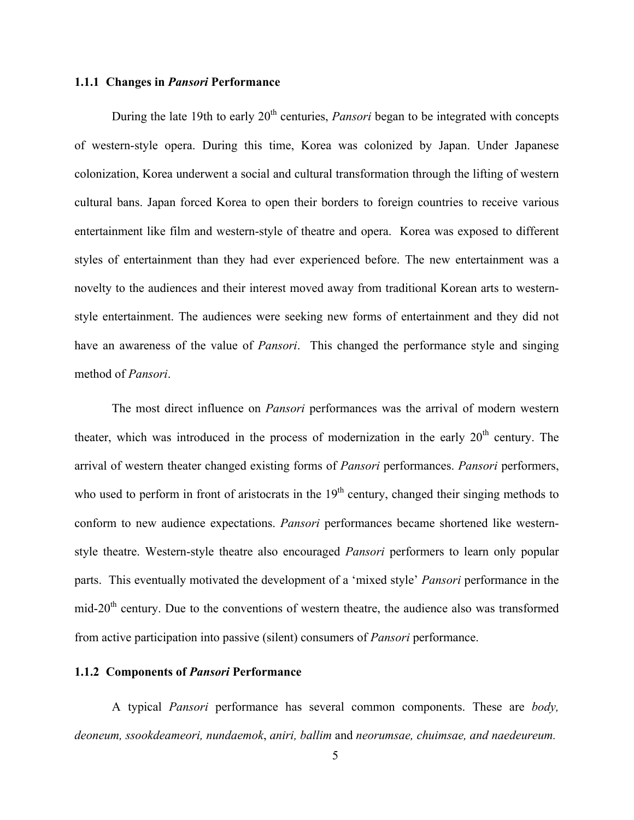#### **1.1.1 Changes in** *Pansori* **Performance**

During the late 19th to early 20<sup>th</sup> centuries, *Pansori* began to be integrated with concepts of western-style opera. During this time, Korea was colonized by Japan. Under Japanese colonization, Korea underwent a social and cultural transformation through the lifting of western cultural bans. Japan forced Korea to open their borders to foreign countries to receive various entertainment like film and western-style of theatre and opera. Korea was exposed to different styles of entertainment than they had ever experienced before. The new entertainment was a novelty to the audiences and their interest moved away from traditional Korean arts to westernstyle entertainment. The audiences were seeking new forms of entertainment and they did not have an awareness of the value of *Pansori*. This changed the performance style and singing method of *Pansori*.

The most direct influence on *Pansori* performances was the arrival of modern western theater, which was introduced in the process of modernization in the early  $20<sup>th</sup>$  century. The arrival of western theater changed existing forms of *Pansori* performances. *Pansori* performers, who used to perform in front of aristocrats in the  $19<sup>th</sup>$  century, changed their singing methods to conform to new audience expectations. *Pansori* performances became shortened like westernstyle theatre. Western-style theatre also encouraged *Pansori* performers to learn only popular parts. This eventually motivated the development of a 'mixed style' *Pansori* performance in the mid-20th century. Due to the conventions of western theatre, the audience also was transformed from active participation into passive (silent) consumers of *Pansori* performance.

#### **1.1.2 Components of** *Pansori* **Performance**

A typical *Pansori* performance has several common components. These are *body, deoneum, ssookdeameori, nundaemok*, *aniri, ballim* and *neorumsae, chuimsae, and naedeureum.*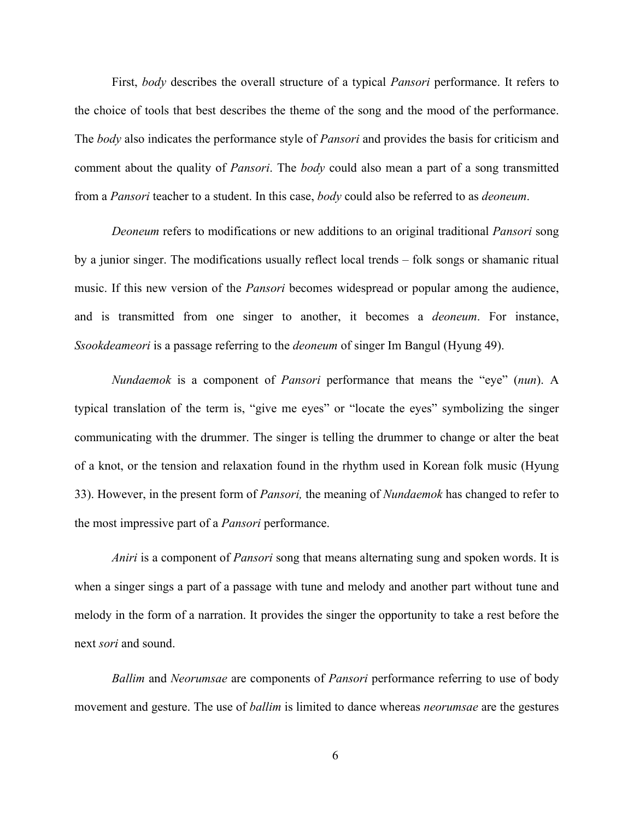First, *body* describes the overall structure of a typical *Pansori* performance. It refers to the choice of tools that best describes the theme of the song and the mood of the performance. The *body* also indicates the performance style of *Pansori* and provides the basis for criticism and comment about the quality of *Pansori*. The *body* could also mean a part of a song transmitted from a *Pansori* teacher to a student. In this case, *body* could also be referred to as *deoneum*.

*Deoneum* refers to modifications or new additions to an original traditional *Pansori* song by a junior singer. The modifications usually reflect local trends – folk songs or shamanic ritual music. If this new version of the *Pansori* becomes widespread or popular among the audience, and is transmitted from one singer to another, it becomes a *deoneum*. For instance, *Ssookdeameori* is a passage referring to the *deoneum* of singer Im Bangul (Hyung 49).

*Nundaemok* is a component of *Pansori* performance that means the "eye" (*nun*). A typical translation of the term is, "give me eyes" or "locate the eyes" symbolizing the singer communicating with the drummer. The singer is telling the drummer to change or alter the beat of a knot, or the tension and relaxation found in the rhythm used in Korean folk music (Hyung 33). However, in the present form of *Pansori,* the meaning of *Nundaemok* has changed to refer to the most impressive part of a *Pansori* performance.

*Aniri* is a component of *Pansori* song that means alternating sung and spoken words. It is when a singer sings a part of a passage with tune and melody and another part without tune and melody in the form of a narration. It provides the singer the opportunity to take a rest before the next *sori* and sound.

*Ballim* and *Neorumsae* are components of *Pansori* performance referring to use of body movement and gesture. The use of *ballim* is limited to dance whereas *neorumsae* are the gestures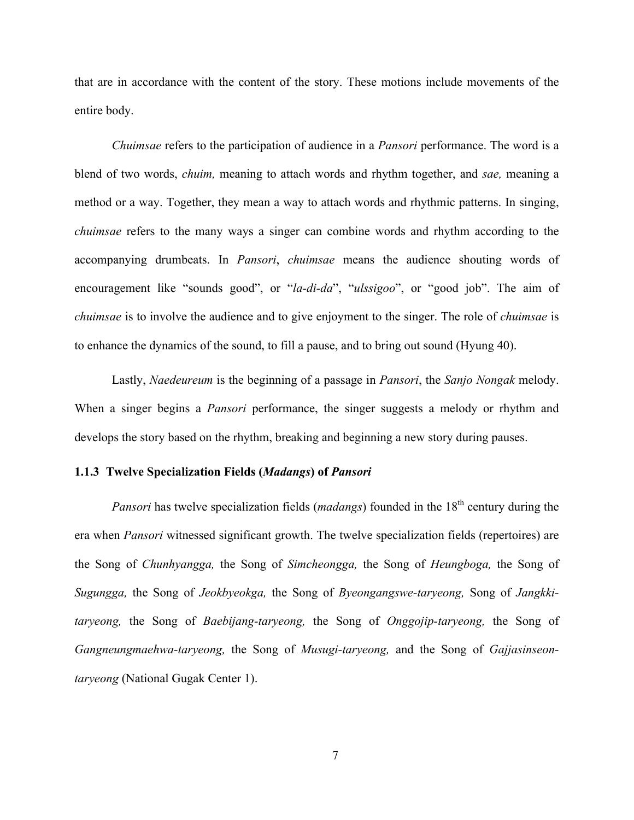that are in accordance with the content of the story. These motions include movements of the entire body.

*Chuimsae* refers to the participation of audience in a *Pansori* performance. The word is a blend of two words, *chuim,* meaning to attach words and rhythm together, and *sae,* meaning a method or a way. Together, they mean a way to attach words and rhythmic patterns. In singing, *chuimsae* refers to the many ways a singer can combine words and rhythm according to the accompanying drumbeats. In *Pansori*, *chuimsae* means the audience shouting words of encouragement like "sounds good", or "*la-di-da*", "*ulssigoo*", or "good job". The aim of *chuimsae* is to involve the audience and to give enjoyment to the singer. The role of *chuimsae* is to enhance the dynamics of the sound, to fill a pause, and to bring out sound (Hyung 40).

Lastly, *Naedeureum* is the beginning of a passage in *Pansori*, the *Sanjo Nongak* melody. When a singer begins a *Pansori* performance, the singer suggests a melody or rhythm and develops the story based on the rhythm, breaking and beginning a new story during pauses.

#### **1.1.3 Twelve Specialization Fields (***Madangs***) of** *Pansori*

*Pansori* has twelve specialization fields (*madangs*) founded in the 18<sup>th</sup> century during the era when *Pansori* witnessed significant growth. The twelve specialization fields (repertoires) are the Song of *Chunhyangga,* the Song of *Simcheongga,* the Song of *Heungboga,* the Song of *Sugungga,* the Song of *Jeokbyeokga,* the Song of *Byeongangswe-taryeong,* Song of *Jangkkitaryeong,* the Song of *Baebijang-taryeong,* the Song of *Onggojip-taryeong,* the Song of *Gangneungmaehwa-taryeong,* the Song of *Musugi-taryeong,* and the Song of *Gajjasinseontaryeong* (National Gugak Center 1).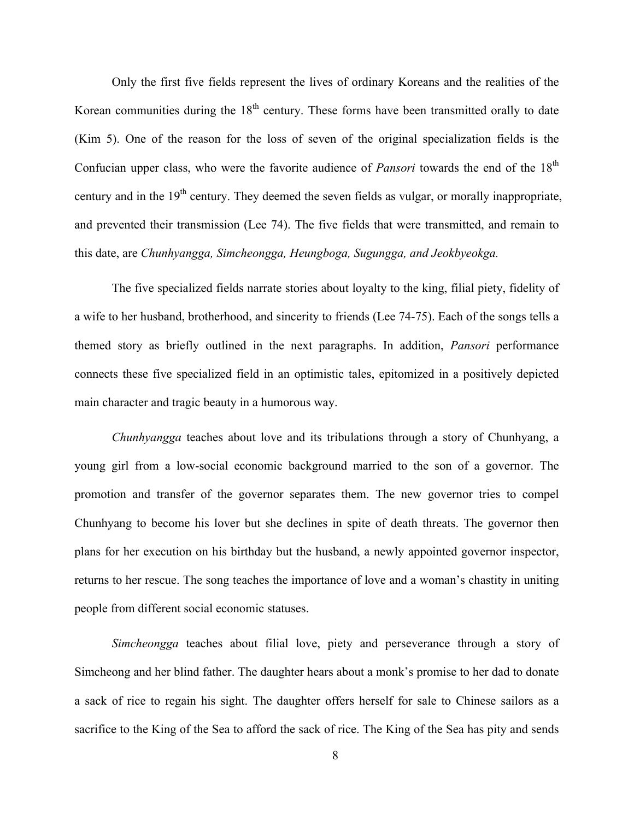Only the first five fields represent the lives of ordinary Koreans and the realities of the Korean communities during the  $18<sup>th</sup>$  century. These forms have been transmitted orally to date (Kim 5). One of the reason for the loss of seven of the original specialization fields is the Confucian upper class, who were the favorite audience of *Pansori* towards the end of the 18<sup>th</sup> century and in the  $19<sup>th</sup>$  century. They deemed the seven fields as vulgar, or morally inappropriate, and prevented their transmission (Lee 74). The five fields that were transmitted, and remain to this date, are *Chunhyangga, Simcheongga, Heungboga, Sugungga, and Jeokbyeokga.*

The five specialized fields narrate stories about loyalty to the king, filial piety, fidelity of a wife to her husband, brotherhood, and sincerity to friends (Lee 74-75). Each of the songs tells a themed story as briefly outlined in the next paragraphs. In addition, *Pansori* performance connects these five specialized field in an optimistic tales, epitomized in a positively depicted main character and tragic beauty in a humorous way.

*Chunhyangga* teaches about love and its tribulations through a story of Chunhyang, a young girl from a low-social economic background married to the son of a governor. The promotion and transfer of the governor separates them. The new governor tries to compel Chunhyang to become his lover but she declines in spite of death threats. The governor then plans for her execution on his birthday but the husband, a newly appointed governor inspector, returns to her rescue. The song teaches the importance of love and a woman's chastity in uniting people from different social economic statuses.

*Simcheongga* teaches about filial love, piety and perseverance through a story of Simcheong and her blind father. The daughter hears about a monk's promise to her dad to donate a sack of rice to regain his sight. The daughter offers herself for sale to Chinese sailors as a sacrifice to the King of the Sea to afford the sack of rice. The King of the Sea has pity and sends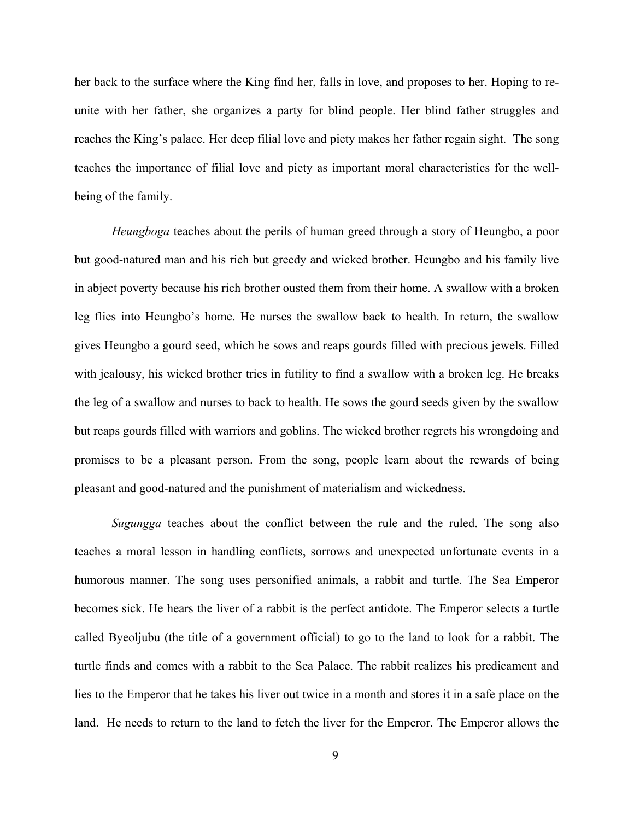her back to the surface where the King find her, falls in love, and proposes to her. Hoping to reunite with her father, she organizes a party for blind people. Her blind father struggles and reaches the King's palace. Her deep filial love and piety makes her father regain sight. The song teaches the importance of filial love and piety as important moral characteristics for the wellbeing of the family.

*Heungboga* teaches about the perils of human greed through a story of Heungbo, a poor but good-natured man and his rich but greedy and wicked brother. Heungbo and his family live in abject poverty because his rich brother ousted them from their home. A swallow with a broken leg flies into Heungbo's home. He nurses the swallow back to health. In return, the swallow gives Heungbo a gourd seed, which he sows and reaps gourds filled with precious jewels. Filled with jealousy, his wicked brother tries in futility to find a swallow with a broken leg. He breaks the leg of a swallow and nurses to back to health. He sows the gourd seeds given by the swallow but reaps gourds filled with warriors and goblins. The wicked brother regrets his wrongdoing and promises to be a pleasant person. From the song, people learn about the rewards of being pleasant and good-natured and the punishment of materialism and wickedness.

*Sugungga* teaches about the conflict between the rule and the ruled. The song also teaches a moral lesson in handling conflicts, sorrows and unexpected unfortunate events in a humorous manner. The song uses personified animals, a rabbit and turtle. The Sea Emperor becomes sick. He hears the liver of a rabbit is the perfect antidote. The Emperor selects a turtle called Byeoljubu (the title of a government official) to go to the land to look for a rabbit. The turtle finds and comes with a rabbit to the Sea Palace. The rabbit realizes his predicament and lies to the Emperor that he takes his liver out twice in a month and stores it in a safe place on the land. He needs to return to the land to fetch the liver for the Emperor. The Emperor allows the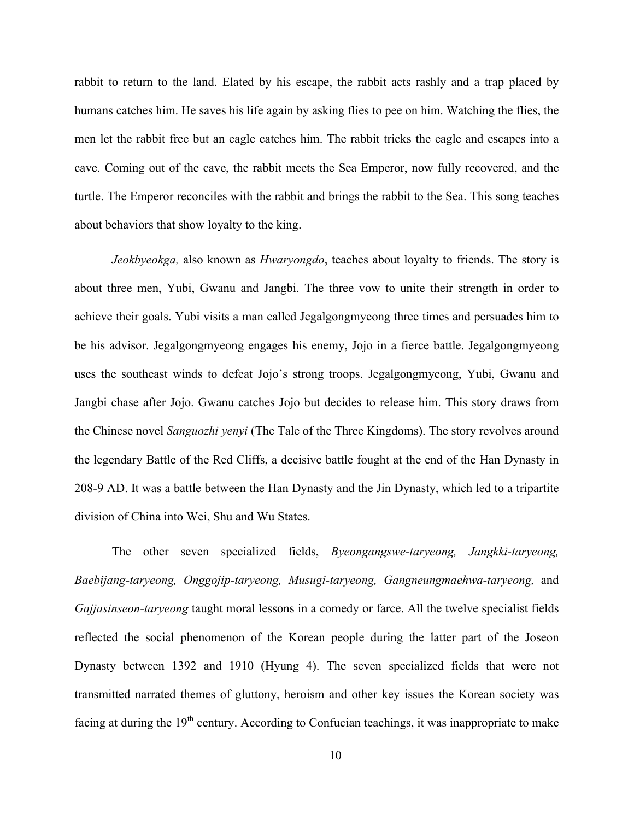rabbit to return to the land. Elated by his escape, the rabbit acts rashly and a trap placed by humans catches him. He saves his life again by asking flies to pee on him. Watching the flies, the men let the rabbit free but an eagle catches him. The rabbit tricks the eagle and escapes into a cave. Coming out of the cave, the rabbit meets the Sea Emperor, now fully recovered, and the turtle. The Emperor reconciles with the rabbit and brings the rabbit to the Sea. This song teaches about behaviors that show loyalty to the king.

*Jeokbyeokga,* also known as *Hwaryongdo*, teaches about loyalty to friends. The story is about three men, Yubi, Gwanu and Jangbi. The three vow to unite their strength in order to achieve their goals. Yubi visits a man called Jegalgongmyeong three times and persuades him to be his advisor. Jegalgongmyeong engages his enemy, Jojo in a fierce battle. Jegalgongmyeong uses the southeast winds to defeat Jojo's strong troops. Jegalgongmyeong, Yubi, Gwanu and Jangbi chase after Jojo. Gwanu catches Jojo but decides to release him. This story draws from the Chinese novel *Sanguozhi yenyi* (The Tale of the Three Kingdoms). The story revolves around the legendary Battle of the Red Cliffs, a decisive battle fought at the end of the Han Dynasty in 208-9 AD. It was a battle between the Han Dynasty and the Jin Dynasty, which led to a tripartite division of China into Wei, Shu and Wu States.

The other seven specialized fields, *Byeongangswe-taryeong, Jangkki-taryeong, Baebijang-taryeong, Onggojip-taryeong, Musugi-taryeong, Gangneungmaehwa-taryeong,* and *Gajjasinseon-taryeong* taught moral lessons in a comedy or farce. All the twelve specialist fields reflected the social phenomenon of the Korean people during the latter part of the Joseon Dynasty between 1392 and 1910 (Hyung 4). The seven specialized fields that were not transmitted narrated themes of gluttony, heroism and other key issues the Korean society was facing at during the  $19<sup>th</sup>$  century. According to Confucian teachings, it was inappropriate to make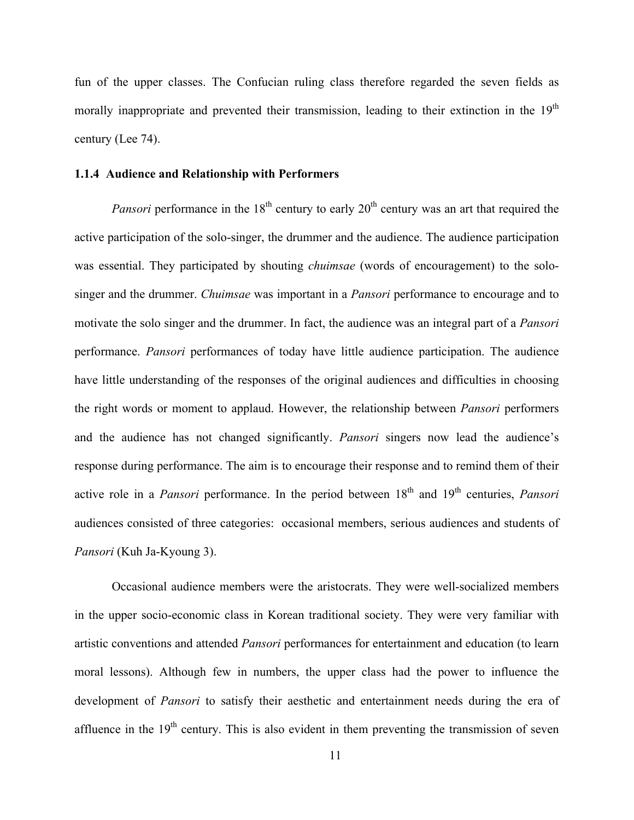fun of the upper classes. The Confucian ruling class therefore regarded the seven fields as morally inappropriate and prevented their transmission, leading to their extinction in the  $19<sup>th</sup>$ century (Lee 74).

#### **1.1.4 Audience and Relationship with Performers**

*Pansori* performance in the  $18<sup>th</sup>$  century to early  $20<sup>th</sup>$  century was an art that required the active participation of the solo-singer, the drummer and the audience. The audience participation was essential. They participated by shouting *chuimsae* (words of encouragement) to the solosinger and the drummer. *Chuimsae* was important in a *Pansori* performance to encourage and to motivate the solo singer and the drummer. In fact, the audience was an integral part of a *Pansori* performance. *Pansori* performances of today have little audience participation. The audience have little understanding of the responses of the original audiences and difficulties in choosing the right words or moment to applaud. However, the relationship between *Pansori* performers and the audience has not changed significantly. *Pansori* singers now lead the audience's response during performance. The aim is to encourage their response and to remind them of their active role in a *Pansori* performance. In the period between 18<sup>th</sup> and 19<sup>th</sup> centuries, *Pansori* audiences consisted of three categories: occasional members, serious audiences and students of *Pansori* (Kuh Ja-Kyoung 3).

Occasional audience members were the aristocrats. They were well-socialized members in the upper socio-economic class in Korean traditional society. They were very familiar with artistic conventions and attended *Pansori* performances for entertainment and education (to learn moral lessons). Although few in numbers, the upper class had the power to influence the development of *Pansori* to satisfy their aesthetic and entertainment needs during the era of affluence in the  $19<sup>th</sup>$  century. This is also evident in them preventing the transmission of seven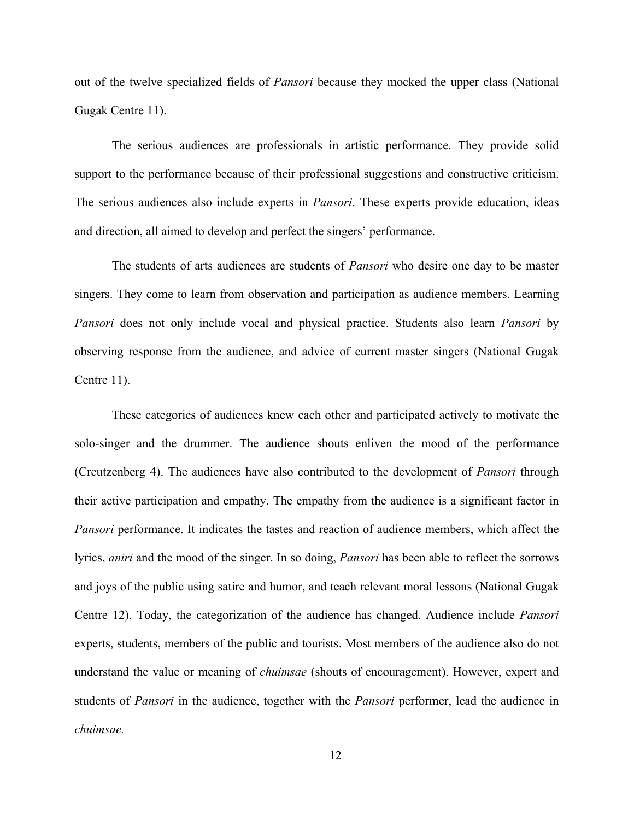out of the twelve specialized fields of *Pansori* because they mocked the upper class (National Gugak Centre 11).

The serious audiences are professionals in artistic performance. They provide solid support to the performance because of their professional suggestions and constructive criticism. The serious audiences also include experts in *Pansori*. These experts provide education, ideas and direction, all aimed to develop and perfect the singers' performance.

The students of arts audiences are students of *Pansori* who desire one day to be master singers. They come to learn from observation and participation as audience members. Learning *Pansori* does not only include vocal and physical practice. Students also learn *Pansori* by observing response from the audience, and advice of current master singers (National Gugak Centre 11).

These categories of audiences knew each other and participated actively to motivate the solo-singer and the drummer. The audience shouts enliven the mood of the performance (Creutzenberg 4). The audiences have also contributed to the development of *Pansori* through their active participation and empathy. The empathy from the audience is a significant factor in *Pansori* performance. It indicates the tastes and reaction of audience members, which affect the lyrics, *aniri* and the mood of the singer. In so doing, *Pansori* has been able to reflect the sorrows and joys of the public using satire and humor, and teach relevant moral lessons (National Gugak Centre 12). Today, the categorization of the audience has changed. Audience include *Pansori* experts, students, members of the public and tourists. Most members of the audience also do not understand the value or meaning of *chuimsae* (shouts of encouragement). However, expert and students of *Pansori* in the audience, together with the *Pansori* performer, lead the audience in *chuimsae.*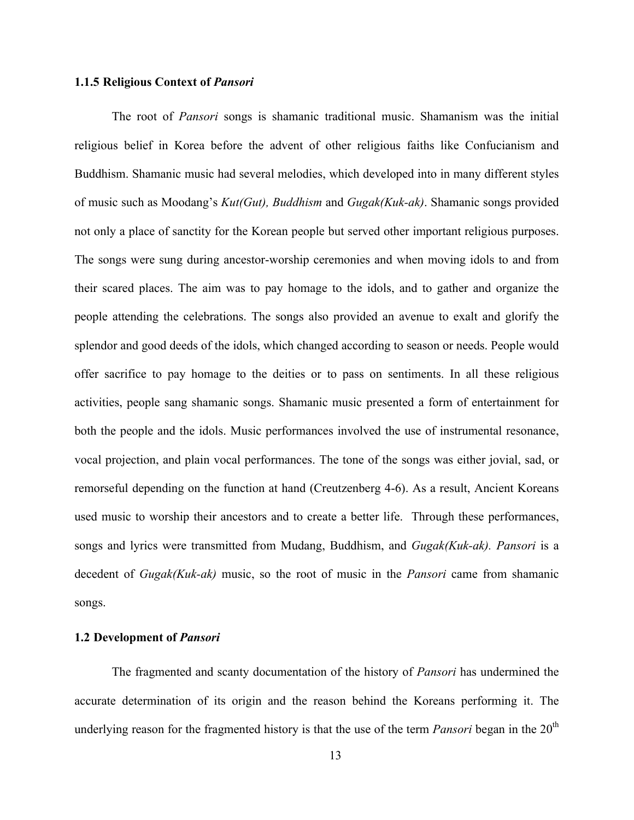#### **1.1.5 Religious Context of** *Pansori*

The root of *Pansori* songs is shamanic traditional music. Shamanism was the initial religious belief in Korea before the advent of other religious faiths like Confucianism and Buddhism. Shamanic music had several melodies, which developed into in many different styles of music such as Moodang's *Kut(Gut), Buddhism* and *Gugak(Kuk-ak)*. Shamanic songs provided not only a place of sanctity for the Korean people but served other important religious purposes. The songs were sung during ancestor-worship ceremonies and when moving idols to and from their scared places. The aim was to pay homage to the idols, and to gather and organize the people attending the celebrations. The songs also provided an avenue to exalt and glorify the splendor and good deeds of the idols, which changed according to season or needs. People would offer sacrifice to pay homage to the deities or to pass on sentiments. In all these religious activities, people sang shamanic songs. Shamanic music presented a form of entertainment for both the people and the idols. Music performances involved the use of instrumental resonance, vocal projection, and plain vocal performances. The tone of the songs was either jovial, sad, or remorseful depending on the function at hand (Creutzenberg 4-6). As a result, Ancient Koreans used music to worship their ancestors and to create a better life. Through these performances, songs and lyrics were transmitted from Mudang, Buddhism, and *Gugak(Kuk-ak). Pansori* is a decedent of *Gugak(Kuk-ak)* music, so the root of music in the *Pansori* came from shamanic songs.

#### **1.2 Development of** *Pansori*

The fragmented and scanty documentation of the history of *Pansori* has undermined the accurate determination of its origin and the reason behind the Koreans performing it. The underlying reason for the fragmented history is that the use of the term *Pansori* began in the 20<sup>th</sup>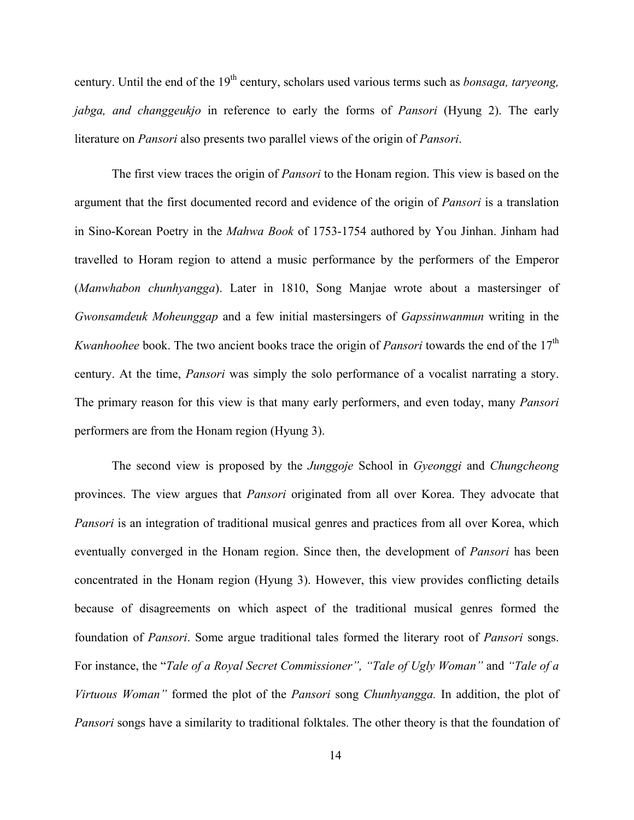century. Until the end of the 19<sup>th</sup> century, scholars used various terms such as *bonsaga, taryeong*, *jabga, and changgeukjo* in reference to early the forms of *Pansori* (Hyung 2). The early literature on *Pansori* also presents two parallel views of the origin of *Pansori*.

The first view traces the origin of *Pansori* to the Honam region. This view is based on the argument that the first documented record and evidence of the origin of *Pansori* is a translation in Sino-Korean Poetry in the *Mahwa Book* of 1753-1754 authored by You Jinhan. Jinham had travelled to Horam region to attend a music performance by the performers of the Emperor (*Manwhabon chunhyangga*). Later in 1810, Song Manjae wrote about a mastersinger of *Gwonsamdeuk Moheunggap* and a few initial mastersingers of *Gapssinwanmun* writing in the *Kwanhoohee* book. The two ancient books trace the origin of *Pansori* towards the end of the 17<sup>th</sup> century. At the time, *Pansori* was simply the solo performance of a vocalist narrating a story. The primary reason for this view is that many early performers, and even today, many *Pansori* performers are from the Honam region (Hyung 3).

The second view is proposed by the *Junggoje* School in *Gyeonggi* and *Chungcheong* provinces. The view argues that *Pansori* originated from all over Korea. They advocate that *Pansori* is an integration of traditional musical genres and practices from all over Korea, which eventually converged in the Honam region. Since then, the development of *Pansori* has been concentrated in the Honam region (Hyung 3). However, this view provides conflicting details because of disagreements on which aspect of the traditional musical genres formed the foundation of *Pansori*. Some argue traditional tales formed the literary root of *Pansori* songs. For instance, the "*Tale of a Royal Secret Commissioner", "Tale of Ugly Woman"* and *"Tale of a Virtuous Woman"* formed the plot of the *Pansori* song *Chunhyangga.* In addition, the plot of *Pansori* songs have a similarity to traditional folktales. The other theory is that the foundation of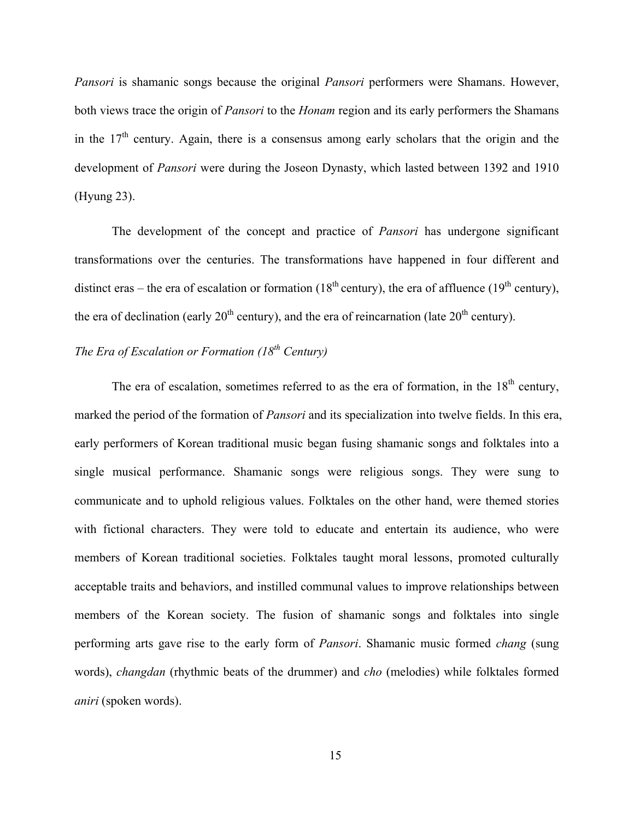*Pansori* is shamanic songs because the original *Pansori* performers were Shamans. However, both views trace the origin of *Pansori* to the *Honam* region and its early performers the Shamans in the  $17<sup>th</sup>$  century. Again, there is a consensus among early scholars that the origin and the development of *Pansori* were during the Joseon Dynasty, which lasted between 1392 and 1910 (Hyung 23).

The development of the concept and practice of *Pansori* has undergone significant transformations over the centuries. The transformations have happened in four different and distinct eras – the era of escalation or formation (18<sup>th</sup> century), the era of affluence (19<sup>th</sup> century), the era of declination (early  $20<sup>th</sup>$  century), and the era of reincarnation (late  $20<sup>th</sup>$  century).

## *The Era of Escalation or Formation (18th Century)*

The era of escalation, sometimes referred to as the era of formation, in the  $18<sup>th</sup>$  century, marked the period of the formation of *Pansori* and its specialization into twelve fields. In this era, early performers of Korean traditional music began fusing shamanic songs and folktales into a single musical performance. Shamanic songs were religious songs. They were sung to communicate and to uphold religious values. Folktales on the other hand, were themed stories with fictional characters. They were told to educate and entertain its audience, who were members of Korean traditional societies. Folktales taught moral lessons, promoted culturally acceptable traits and behaviors, and instilled communal values to improve relationships between members of the Korean society. The fusion of shamanic songs and folktales into single performing arts gave rise to the early form of *Pansori*. Shamanic music formed *chang* (sung words), *changdan* (rhythmic beats of the drummer) and *cho* (melodies) while folktales formed *aniri* (spoken words).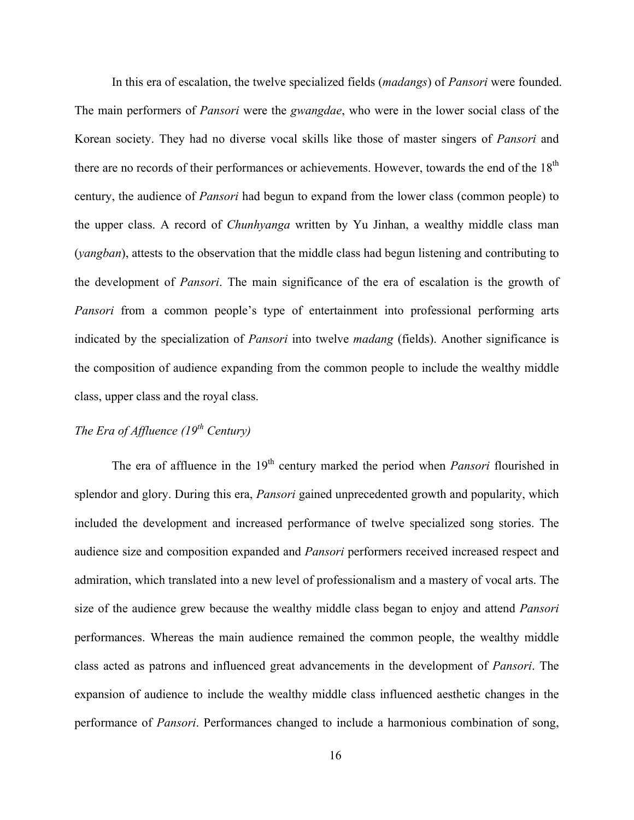In this era of escalation, the twelve specialized fields (*madangs*) of *Pansori* were founded. The main performers of *Pansori* were the *gwangdae*, who were in the lower social class of the Korean society. They had no diverse vocal skills like those of master singers of *Pansori* and there are no records of their performances or achievements. However, towards the end of the 18<sup>th</sup> century, the audience of *Pansori* had begun to expand from the lower class (common people) to the upper class. A record of *Chunhyanga* written by Yu Jinhan, a wealthy middle class man (*yangban*), attests to the observation that the middle class had begun listening and contributing to the development of *Pansori*. The main significance of the era of escalation is the growth of *Pansori* from a common people's type of entertainment into professional performing arts indicated by the specialization of *Pansori* into twelve *madang* (fields). Another significance is the composition of audience expanding from the common people to include the wealthy middle class, upper class and the royal class.

# *The Era of Affluence (19th Century)*

The era of affluence in the 19<sup>th</sup> century marked the period when *Pansori* flourished in splendor and glory. During this era, *Pansori* gained unprecedented growth and popularity, which included the development and increased performance of twelve specialized song stories. The audience size and composition expanded and *Pansori* performers received increased respect and admiration, which translated into a new level of professionalism and a mastery of vocal arts. The size of the audience grew because the wealthy middle class began to enjoy and attend *Pansori* performances. Whereas the main audience remained the common people, the wealthy middle class acted as patrons and influenced great advancements in the development of *Pansori*. The expansion of audience to include the wealthy middle class influenced aesthetic changes in the performance of *Pansori*. Performances changed to include a harmonious combination of song,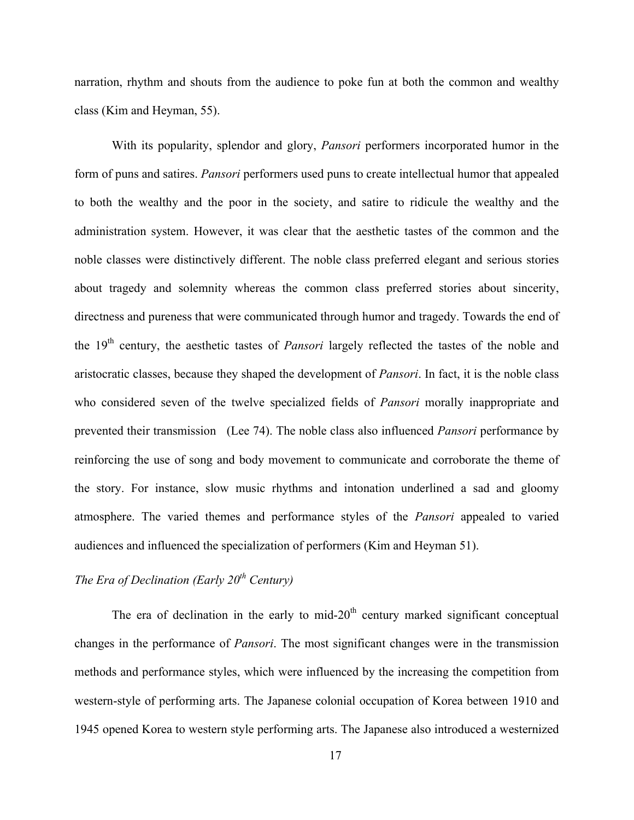narration, rhythm and shouts from the audience to poke fun at both the common and wealthy class (Kim and Heyman, 55).

With its popularity, splendor and glory, *Pansori* performers incorporated humor in the form of puns and satires. *Pansori* performers used puns to create intellectual humor that appealed to both the wealthy and the poor in the society, and satire to ridicule the wealthy and the administration system. However, it was clear that the aesthetic tastes of the common and the noble classes were distinctively different. The noble class preferred elegant and serious stories about tragedy and solemnity whereas the common class preferred stories about sincerity, directness and pureness that were communicated through humor and tragedy. Towards the end of the 19<sup>th</sup> century, the aesthetic tastes of *Pansori* largely reflected the tastes of the noble and aristocratic classes, because they shaped the development of *Pansori*. In fact, it is the noble class who considered seven of the twelve specialized fields of *Pansori* morally inappropriate and prevented their transmission (Lee 74). The noble class also influenced *Pansori* performance by reinforcing the use of song and body movement to communicate and corroborate the theme of the story. For instance, slow music rhythms and intonation underlined a sad and gloomy atmosphere. The varied themes and performance styles of the *Pansori* appealed to varied audiences and influenced the specialization of performers (Kim and Heyman 51).

# *The Era of Declination (Early 20th Century)*

The era of declination in the early to mid- $20<sup>th</sup>$  century marked significant conceptual changes in the performance of *Pansori*. The most significant changes were in the transmission methods and performance styles, which were influenced by the increasing the competition from western-style of performing arts. The Japanese colonial occupation of Korea between 1910 and 1945 opened Korea to western style performing arts. The Japanese also introduced a westernized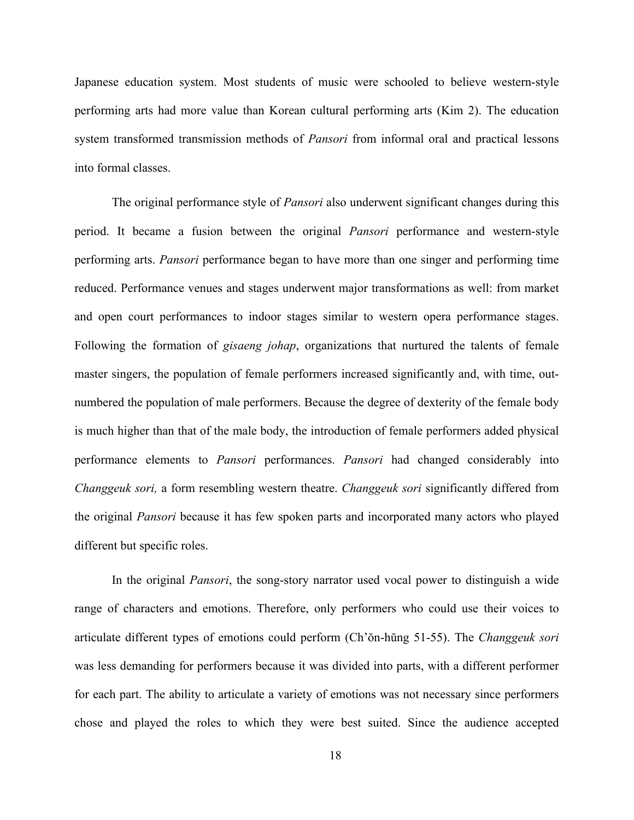Japanese education system. Most students of music were schooled to believe western-style performing arts had more value than Korean cultural performing arts (Kim 2). The education system transformed transmission methods of *Pansori* from informal oral and practical lessons into formal classes.

The original performance style of *Pansori* also underwent significant changes during this period. It became a fusion between the original *Pansori* performance and western-style performing arts. *Pansori* performance began to have more than one singer and performing time reduced. Performance venues and stages underwent major transformations as well: from market and open court performances to indoor stages similar to western opera performance stages. Following the formation of *gisaeng johap*, organizations that nurtured the talents of female master singers, the population of female performers increased significantly and, with time, outnumbered the population of male performers. Because the degree of dexterity of the female body is much higher than that of the male body, the introduction of female performers added physical performance elements to *Pansori* performances. *Pansori* had changed considerably into *Changgeuk sori,* a form resembling western theatre. *Changgeuk sori* significantly differed from the original *Pansori* because it has few spoken parts and incorporated many actors who played different but specific roles.

In the original *Pansori*, the song-story narrator used vocal power to distinguish a wide range of characters and emotions. Therefore, only performers who could use their voices to articulate different types of emotions could perform (Ch'ŏn-hŭng 51-55). The *Changgeuk sori* was less demanding for performers because it was divided into parts, with a different performer for each part. The ability to articulate a variety of emotions was not necessary since performers chose and played the roles to which they were best suited. Since the audience accepted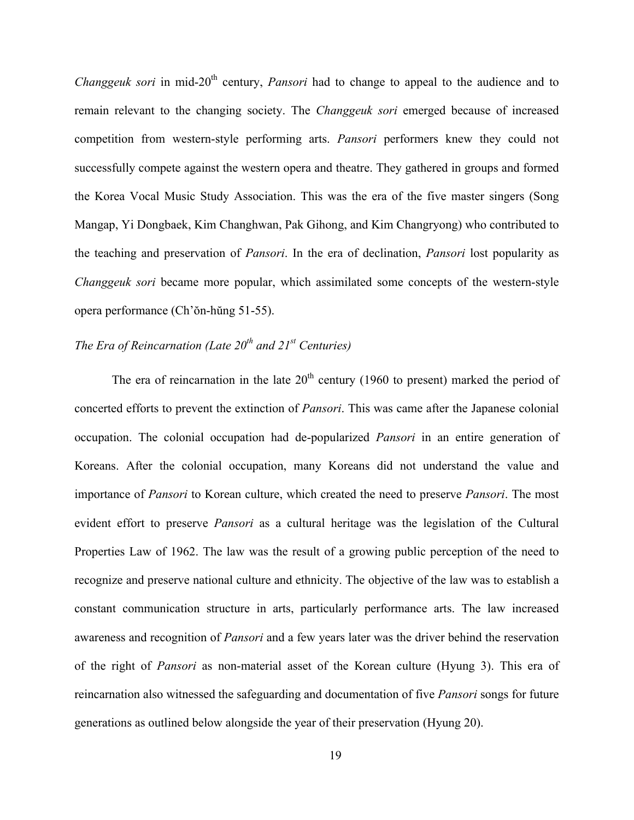*Changgeuk sori* in mid-20<sup>th</sup> century, *Pansori* had to change to appeal to the audience and to remain relevant to the changing society. The *Changgeuk sori* emerged because of increased competition from western-style performing arts. *Pansori* performers knew they could not successfully compete against the western opera and theatre. They gathered in groups and formed the Korea Vocal Music Study Association. This was the era of the five master singers (Song Mangap, Yi Dongbaek, Kim Changhwan, Pak Gihong, and Kim Changryong) who contributed to the teaching and preservation of *Pansori*. In the era of declination, *Pansori* lost popularity as *Changgeuk sori* became more popular, which assimilated some concepts of the western-style opera performance (Ch'ŏn-hŭng 51-55).

# *The Era of Reincarnation (Late 20th and 21st Centuries)*

The era of reincarnation in the late  $20<sup>th</sup>$  century (1960 to present) marked the period of concerted efforts to prevent the extinction of *Pansori*. This was came after the Japanese colonial occupation. The colonial occupation had de-popularized *Pansori* in an entire generation of Koreans. After the colonial occupation, many Koreans did not understand the value and importance of *Pansori* to Korean culture, which created the need to preserve *Pansori*. The most evident effort to preserve *Pansori* as a cultural heritage was the legislation of the Cultural Properties Law of 1962. The law was the result of a growing public perception of the need to recognize and preserve national culture and ethnicity. The objective of the law was to establish a constant communication structure in arts, particularly performance arts. The law increased awareness and recognition of *Pansori* and a few years later was the driver behind the reservation of the right of *Pansori* as non-material asset of the Korean culture (Hyung 3). This era of reincarnation also witnessed the safeguarding and documentation of five *Pansori* songs for future generations as outlined below alongside the year of their preservation (Hyung 20).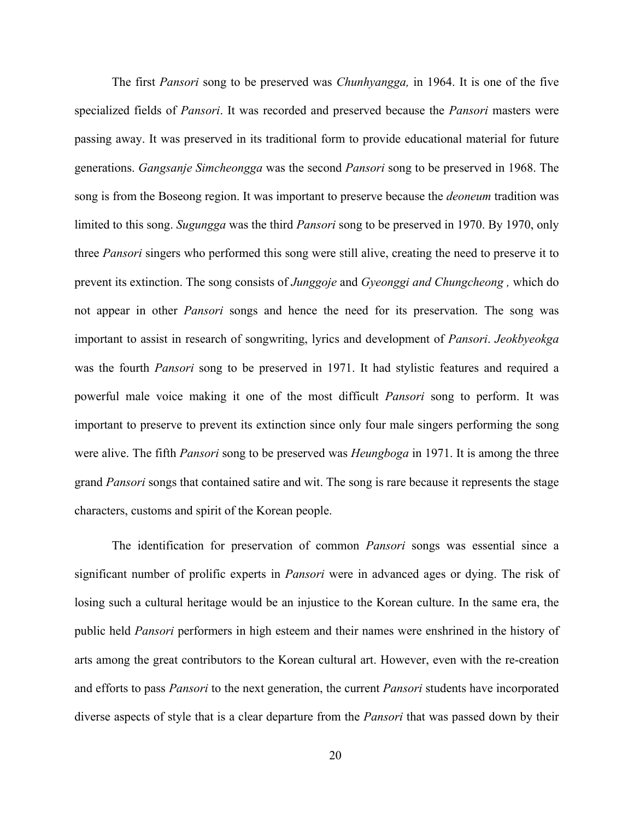The first *Pansori* song to be preserved was *Chunhyangga,* in 1964. It is one of the five specialized fields of *Pansori*. It was recorded and preserved because the *Pansori* masters were passing away. It was preserved in its traditional form to provide educational material for future generations. *Gangsanje Simcheongga* was the second *Pansori* song to be preserved in 1968. The song is from the Boseong region. It was important to preserve because the *deoneum* tradition was limited to this song. *Sugungga* was the third *Pansori* song to be preserved in 1970. By 1970, only three *Pansori* singers who performed this song were still alive, creating the need to preserve it to prevent its extinction. The song consists of *Junggoje* and *Gyeonggi and Chungcheong ,* which do not appear in other *Pansori* songs and hence the need for its preservation. The song was important to assist in research of songwriting, lyrics and development of *Pansori*. *Jeokbyeokga* was the fourth *Pansori* song to be preserved in 1971. It had stylistic features and required a powerful male voice making it one of the most difficult *Pansori* song to perform. It was important to preserve to prevent its extinction since only four male singers performing the song were alive. The fifth *Pansori* song to be preserved was *Heungboga* in 1971. It is among the three grand *Pansori* songs that contained satire and wit. The song is rare because it represents the stage characters, customs and spirit of the Korean people.

The identification for preservation of common *Pansori* songs was essential since a significant number of prolific experts in *Pansori* were in advanced ages or dying. The risk of losing such a cultural heritage would be an injustice to the Korean culture. In the same era, the public held *Pansori* performers in high esteem and their names were enshrined in the history of arts among the great contributors to the Korean cultural art. However, even with the re-creation and efforts to pass *Pansori* to the next generation, the current *Pansori* students have incorporated diverse aspects of style that is a clear departure from the *Pansori* that was passed down by their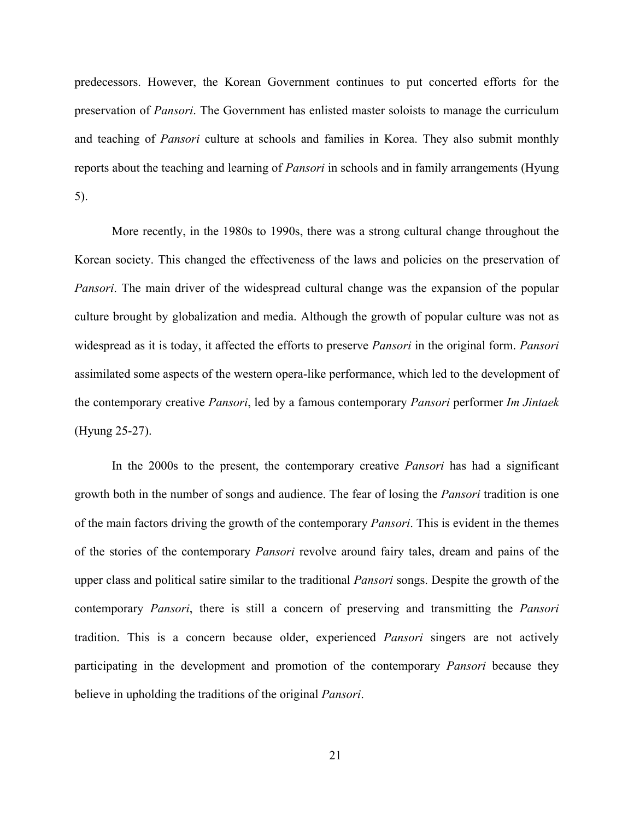predecessors. However, the Korean Government continues to put concerted efforts for the preservation of *Pansori*. The Government has enlisted master soloists to manage the curriculum and teaching of *Pansori* culture at schools and families in Korea. They also submit monthly reports about the teaching and learning of *Pansori* in schools and in family arrangements (Hyung 5).

More recently, in the 1980s to 1990s, there was a strong cultural change throughout the Korean society. This changed the effectiveness of the laws and policies on the preservation of *Pansori*. The main driver of the widespread cultural change was the expansion of the popular culture brought by globalization and media. Although the growth of popular culture was not as widespread as it is today, it affected the efforts to preserve *Pansori* in the original form. *Pansori* assimilated some aspects of the western opera-like performance, which led to the development of the contemporary creative *Pansori*, led by a famous contemporary *Pansori* performer *Im Jintaek*  (Hyung 25-27).

In the 2000s to the present, the contemporary creative *Pansori* has had a significant growth both in the number of songs and audience. The fear of losing the *Pansori* tradition is one of the main factors driving the growth of the contemporary *Pansori*. This is evident in the themes of the stories of the contemporary *Pansori* revolve around fairy tales, dream and pains of the upper class and political satire similar to the traditional *Pansori* songs. Despite the growth of the contemporary *Pansori*, there is still a concern of preserving and transmitting the *Pansori* tradition. This is a concern because older, experienced *Pansori* singers are not actively participating in the development and promotion of the contemporary *Pansori* because they believe in upholding the traditions of the original *Pansori*.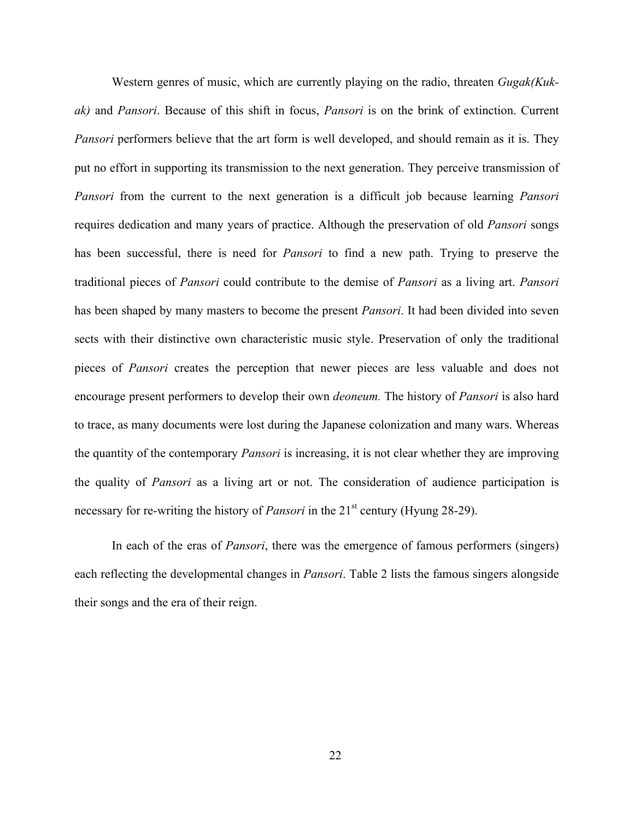Western genres of music, which are currently playing on the radio, threaten *Gugak(Kukak)* and *Pansori*. Because of this shift in focus, *Pansori* is on the brink of extinction. Current *Pansori* performers believe that the art form is well developed, and should remain as it is. They put no effort in supporting its transmission to the next generation. They perceive transmission of *Pansori* from the current to the next generation is a difficult job because learning *Pansori* requires dedication and many years of practice. Although the preservation of old *Pansori* songs has been successful, there is need for *Pansori* to find a new path. Trying to preserve the traditional pieces of *Pansori* could contribute to the demise of *Pansori* as a living art. *Pansori* has been shaped by many masters to become the present *Pansori*. It had been divided into seven sects with their distinctive own characteristic music style. Preservation of only the traditional pieces of *Pansori* creates the perception that newer pieces are less valuable and does not encourage present performers to develop their own *deoneum.* The history of *Pansori* is also hard to trace, as many documents were lost during the Japanese colonization and many wars. Whereas the quantity of the contemporary *Pansori* is increasing, it is not clear whether they are improving the quality of *Pansori* as a living art or not. The consideration of audience participation is necessary for re-writing the history of *Pansori* in the 21<sup>st</sup> century (Hyung 28-29).

In each of the eras of *Pansori*, there was the emergence of famous performers (singers) each reflecting the developmental changes in *Pansori*. Table 2 lists the famous singers alongside their songs and the era of their reign.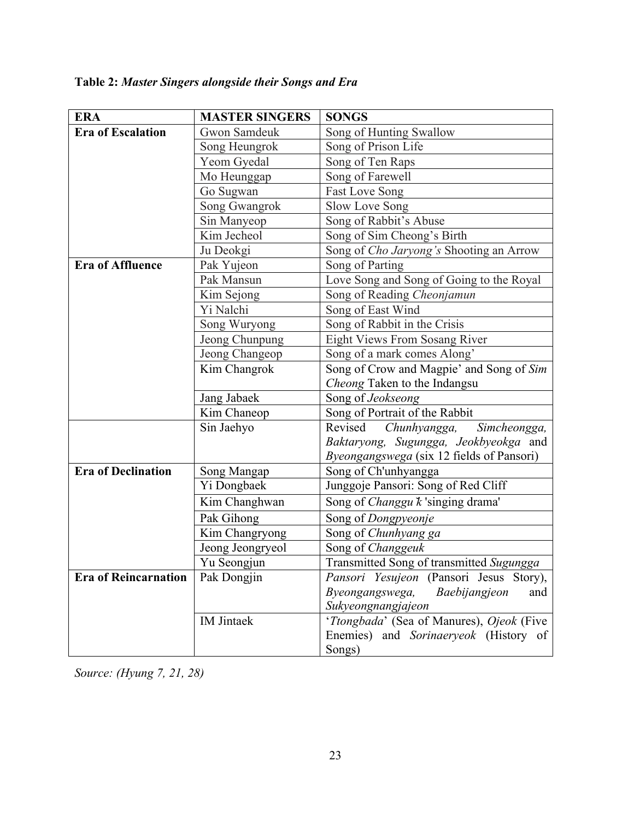# **Table 2:** *Master Singers alongside their Songs and Era*

| <b>ERA</b>                  | <b>MASTER SINGERS</b>              | <b>SONGS</b>                                 |
|-----------------------------|------------------------------------|----------------------------------------------|
| <b>Era of Escalation</b>    | Gwon Samdeuk                       | Song of Hunting Swallow                      |
|                             | Song Heungrok                      | Song of Prison Life                          |
|                             | Yeom Gyedal                        | Song of Ten Raps                             |
|                             | Mo Heunggap                        | Song of Farewell                             |
|                             | Go Sugwan                          | <b>Fast Love Song</b>                        |
|                             | Song Gwangrok                      | Slow Love Song                               |
|                             | Sin Manyeop                        | Song of Rabbit's Abuse                       |
|                             | $\overline{\text{Kim}}$ Jecheol    | Song of Sim Cheong's Birth                   |
|                             | Ju Deokgi                          | Song of Cho Jaryong's Shooting an Arrow      |
| <b>Era of Affluence</b>     | Pak Yujeon                         | Song of Parting                              |
|                             | Pak Mansun                         | Love Song and Song of Going to the Royal     |
|                             | Kim Sejong                         | Song of Reading Cheonjamun                   |
|                             | Yi Nalchi                          | Song of East Wind                            |
|                             | Song Wuryong                       | Song of Rabbit in the Crisis                 |
|                             | Jeong Chunpung                     | Eight Views From Sosang River                |
|                             | Jeong Changeop                     | Song of a mark comes Along'                  |
|                             | Kim Changrok                       | Song of Crow and Magpie' and Song of Sim     |
|                             |                                    | Cheong Taken to the Indangsu                 |
|                             | Jang Jabaek                        | Song of Jeokseong                            |
|                             | Kim Chaneop                        | Song of Portrait of the Rabbit               |
|                             | Sin Jaehyo                         | Revised<br>Chunhyangga,<br>Simcheongga,      |
|                             |                                    | Baktaryong, Sugungga, Jeokbyeokga and        |
|                             |                                    | Byeongangswega (six 12 fields of Pansori)    |
| <b>Era of Declination</b>   | Song Mangap                        | Song of Ch'unhyangga                         |
|                             | Yi Dongbaek                        | Junggoje Pansori: Song of Red Cliff          |
|                             | $\overline{\text{K}}$ im Changhwan | Song of Changgu k 'singing drama'            |
|                             | Pak Gihong                         | Song of Dongpyeonje                          |
|                             | Kim Changryong                     | Song of Chunhyang ga                         |
|                             | Jeong Jeongryeol                   | Song of Changgeuk                            |
|                             | Yu Seongjun                        | Transmitted Song of transmitted Sugungga     |
| <b>Era of Reincarnation</b> | Pak Dongjin                        | Pansori Yesujeon (Pansori Jesus Story),      |
|                             |                                    | Byeongangswega,<br>Baebijangjeon<br>and      |
|                             |                                    | Sukyeongnangjajeon                           |
|                             | <b>IM</b> Jintaek                  | 'Ttongbada' (Sea of Manures), Ojeok (Five    |
|                             |                                    | Enemies) and <i>Sorinaeryeok</i> (History of |
|                             |                                    | Songs)                                       |

*Source: (Hyung 7, 21, 28)*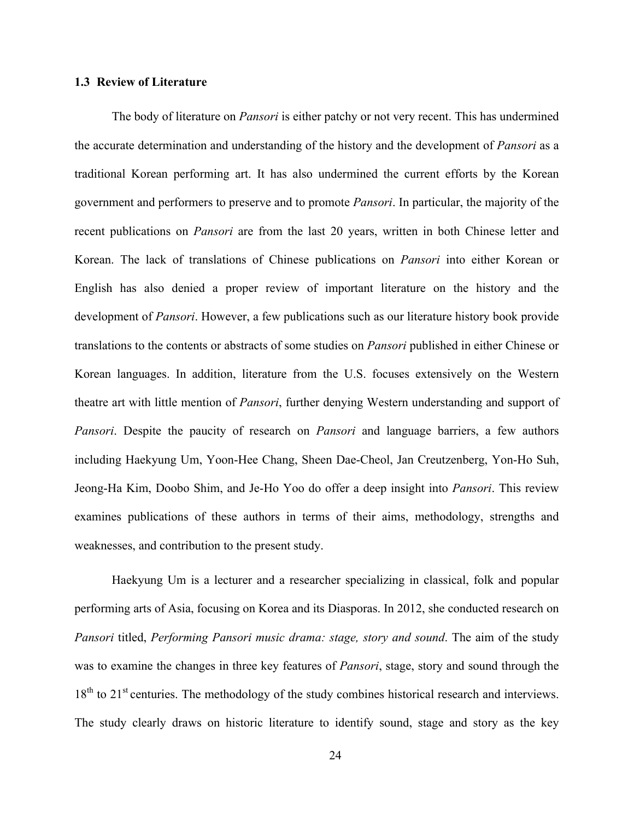#### **1.3 Review of Literature**

The body of literature on *Pansori* is either patchy or not very recent. This has undermined the accurate determination and understanding of the history and the development of *Pansori* as a traditional Korean performing art. It has also undermined the current efforts by the Korean government and performers to preserve and to promote *Pansori*. In particular, the majority of the recent publications on *Pansori* are from the last 20 years, written in both Chinese letter and Korean. The lack of translations of Chinese publications on *Pansori* into either Korean or English has also denied a proper review of important literature on the history and the development of *Pansori*. However, a few publications such as our literature history book provide translations to the contents or abstracts of some studies on *Pansori* published in either Chinese or Korean languages. In addition, literature from the U.S. focuses extensively on the Western theatre art with little mention of *Pansori*, further denying Western understanding and support of *Pansori*. Despite the paucity of research on *Pansori* and language barriers, a few authors including Haekyung Um, Yoon-Hee Chang, Sheen Dae-Cheol, Jan Creutzenberg, Yon-Ho Suh, Jeong-Ha Kim, Doobo Shim, and Je-Ho Yoo do offer a deep insight into *Pansori*. This review examines publications of these authors in terms of their aims, methodology, strengths and weaknesses, and contribution to the present study.

Haekyung Um is a lecturer and a researcher specializing in classical, folk and popular performing arts of Asia, focusing on Korea and its Diasporas. In 2012, she conducted research on *Pansori* titled, *Performing Pansori music drama: stage, story and sound*. The aim of the study was to examine the changes in three key features of *Pansori*, stage, story and sound through the 18<sup>th</sup> to 21<sup>st</sup> centuries. The methodology of the study combines historical research and interviews. The study clearly draws on historic literature to identify sound, stage and story as the key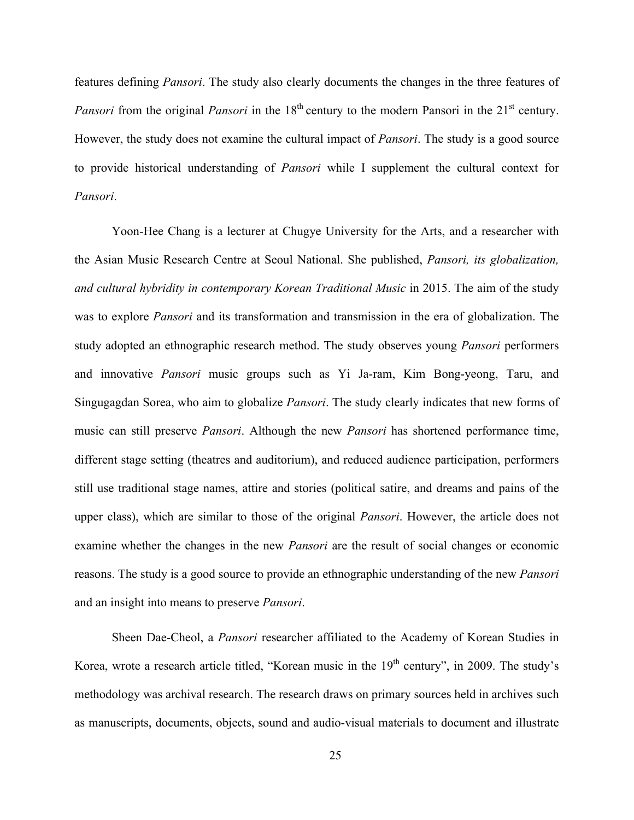features defining *Pansori*. The study also clearly documents the changes in the three features of *Pansori* from the original *Pansori* in the 18<sup>th</sup> century to the modern Pansori in the 21<sup>st</sup> century. However, the study does not examine the cultural impact of *Pansori*. The study is a good source to provide historical understanding of *Pansori* while I supplement the cultural context for *Pansori*.

Yoon-Hee Chang is a lecturer at Chugye University for the Arts, and a researcher with the Asian Music Research Centre at Seoul National. She published, *Pansori, its globalization, and cultural hybridity in contemporary Korean Traditional Music* in 2015. The aim of the study was to explore *Pansori* and its transformation and transmission in the era of globalization. The study adopted an ethnographic research method. The study observes young *Pansori* performers and innovative *Pansori* music groups such as Yi Ja-ram, Kim Bong-yeong, Taru, and Singugagdan Sorea, who aim to globalize *Pansori*. The study clearly indicates that new forms of music can still preserve *Pansori*. Although the new *Pansori* has shortened performance time, different stage setting (theatres and auditorium), and reduced audience participation, performers still use traditional stage names, attire and stories (political satire, and dreams and pains of the upper class), which are similar to those of the original *Pansori*. However, the article does not examine whether the changes in the new *Pansori* are the result of social changes or economic reasons. The study is a good source to provide an ethnographic understanding of the new *Pansori* and an insight into means to preserve *Pansori*.

Sheen Dae-Cheol, a *Pansori* researcher affiliated to the Academy of Korean Studies in Korea, wrote a research article titled, "Korean music in the 19<sup>th</sup> century", in 2009. The study's methodology was archival research. The research draws on primary sources held in archives such as manuscripts, documents, objects, sound and audio-visual materials to document and illustrate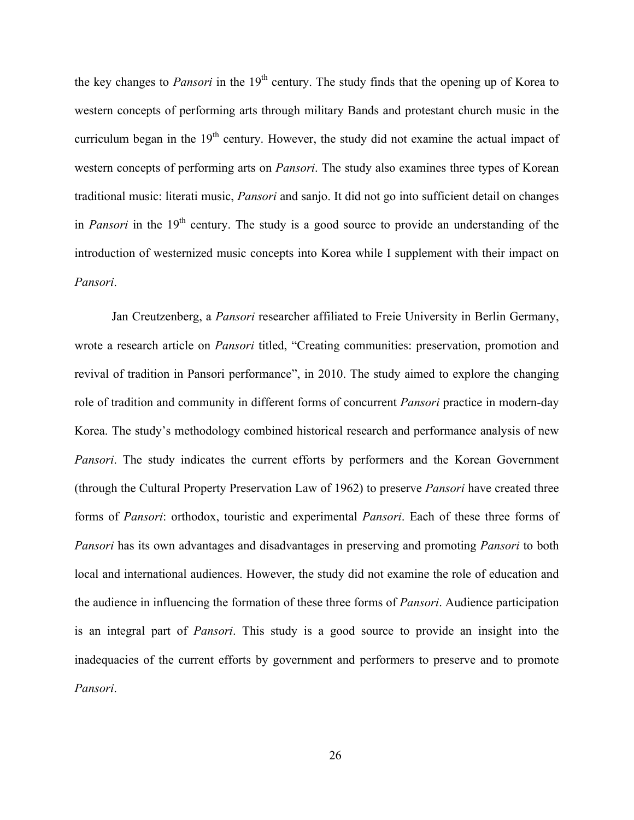the key changes to *Pansori* in the 19<sup>th</sup> century. The study finds that the opening up of Korea to western concepts of performing arts through military Bands and protestant church music in the curriculum began in the  $19<sup>th</sup>$  century. However, the study did not examine the actual impact of western concepts of performing arts on *Pansori*. The study also examines three types of Korean traditional music: literati music, *Pansori* and sanjo. It did not go into sufficient detail on changes in *Pansori* in the 19<sup>th</sup> century. The study is a good source to provide an understanding of the introduction of westernized music concepts into Korea while I supplement with their impact on *Pansori*.

Jan Creutzenberg, a *Pansori* researcher affiliated to Freie University in Berlin Germany, wrote a research article on *Pansori* titled, "Creating communities: preservation, promotion and revival of tradition in Pansori performance", in 2010. The study aimed to explore the changing role of tradition and community in different forms of concurrent *Pansori* practice in modern-day Korea. The study's methodology combined historical research and performance analysis of new *Pansori*. The study indicates the current efforts by performers and the Korean Government (through the Cultural Property Preservation Law of 1962) to preserve *Pansori* have created three forms of *Pansori*: orthodox, touristic and experimental *Pansori*. Each of these three forms of *Pansori* has its own advantages and disadvantages in preserving and promoting *Pansori* to both local and international audiences. However, the study did not examine the role of education and the audience in influencing the formation of these three forms of *Pansori*. Audience participation is an integral part of *Pansori*. This study is a good source to provide an insight into the inadequacies of the current efforts by government and performers to preserve and to promote *Pansori*.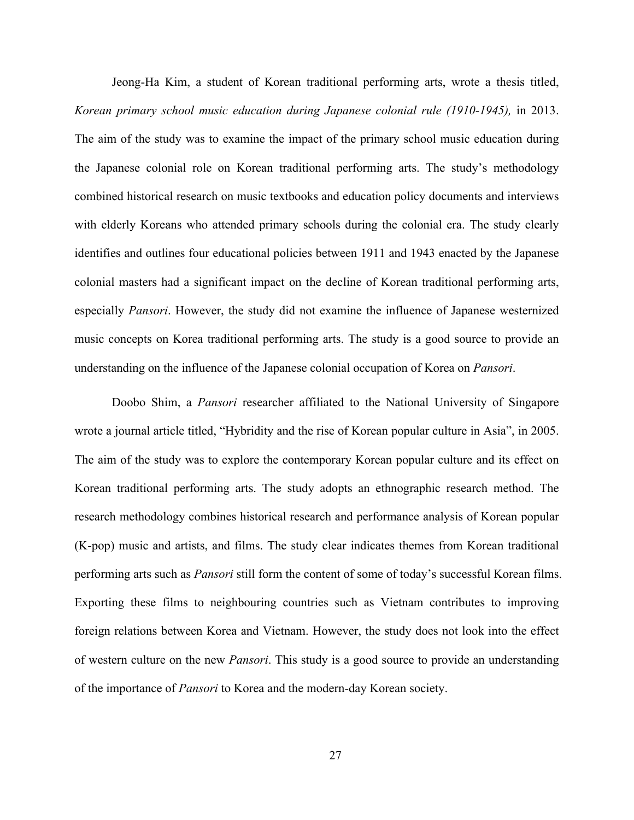Jeong-Ha Kim, a student of Korean traditional performing arts, wrote a thesis titled, *Korean primary school music education during Japanese colonial rule (1910-1945),* in 2013. The aim of the study was to examine the impact of the primary school music education during the Japanese colonial role on Korean traditional performing arts. The study's methodology combined historical research on music textbooks and education policy documents and interviews with elderly Koreans who attended primary schools during the colonial era. The study clearly identifies and outlines four educational policies between 1911 and 1943 enacted by the Japanese colonial masters had a significant impact on the decline of Korean traditional performing arts, especially *Pansori*. However, the study did not examine the influence of Japanese westernized music concepts on Korea traditional performing arts. The study is a good source to provide an understanding on the influence of the Japanese colonial occupation of Korea on *Pansori*.

Doobo Shim, a *Pansori* researcher affiliated to the National University of Singapore wrote a journal article titled, "Hybridity and the rise of Korean popular culture in Asia", in 2005. The aim of the study was to explore the contemporary Korean popular culture and its effect on Korean traditional performing arts. The study adopts an ethnographic research method. The research methodology combines historical research and performance analysis of Korean popular (K-pop) music and artists, and films. The study clear indicates themes from Korean traditional performing arts such as *Pansori* still form the content of some of today's successful Korean films. Exporting these films to neighbouring countries such as Vietnam contributes to improving foreign relations between Korea and Vietnam. However, the study does not look into the effect of western culture on the new *Pansori*. This study is a good source to provide an understanding of the importance of *Pansori* to Korea and the modern-day Korean society.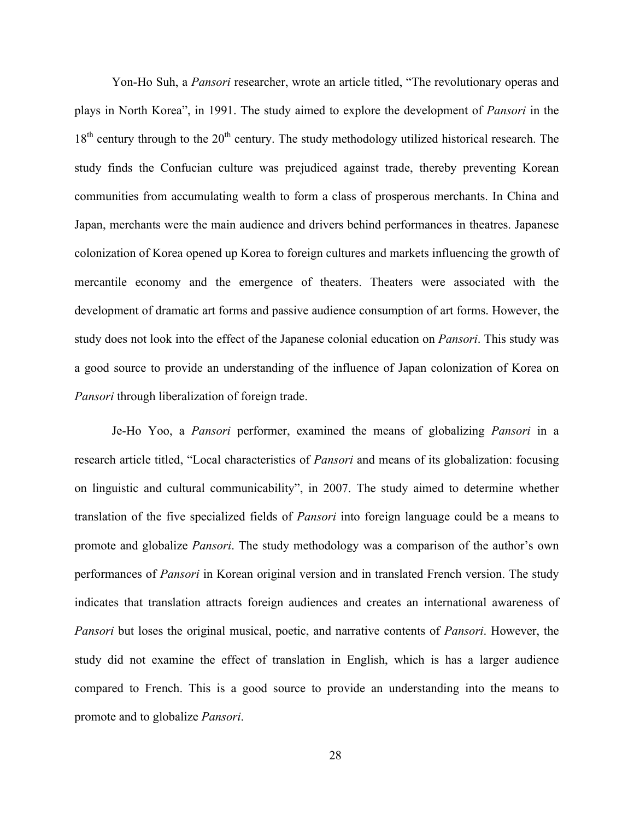Yon-Ho Suh, a *Pansori* researcher, wrote an article titled, "The revolutionary operas and plays in North Korea", in 1991. The study aimed to explore the development of *Pansori* in the  $18<sup>th</sup>$  century through to the  $20<sup>th</sup>$  century. The study methodology utilized historical research. The study finds the Confucian culture was prejudiced against trade, thereby preventing Korean communities from accumulating wealth to form a class of prosperous merchants. In China and Japan, merchants were the main audience and drivers behind performances in theatres. Japanese colonization of Korea opened up Korea to foreign cultures and markets influencing the growth of mercantile economy and the emergence of theaters. Theaters were associated with the development of dramatic art forms and passive audience consumption of art forms. However, the study does not look into the effect of the Japanese colonial education on *Pansori*. This study was a good source to provide an understanding of the influence of Japan colonization of Korea on *Pansori* through liberalization of foreign trade.

Je-Ho Yoo, a *Pansori* performer, examined the means of globalizing *Pansori* in a research article titled, "Local characteristics of *Pansori* and means of its globalization: focusing on linguistic and cultural communicability", in 2007. The study aimed to determine whether translation of the five specialized fields of *Pansori* into foreign language could be a means to promote and globalize *Pansori*. The study methodology was a comparison of the author's own performances of *Pansori* in Korean original version and in translated French version. The study indicates that translation attracts foreign audiences and creates an international awareness of *Pansori* but loses the original musical, poetic, and narrative contents of *Pansori*. However, the study did not examine the effect of translation in English, which is has a larger audience compared to French. This is a good source to provide an understanding into the means to promote and to globalize *Pansori*.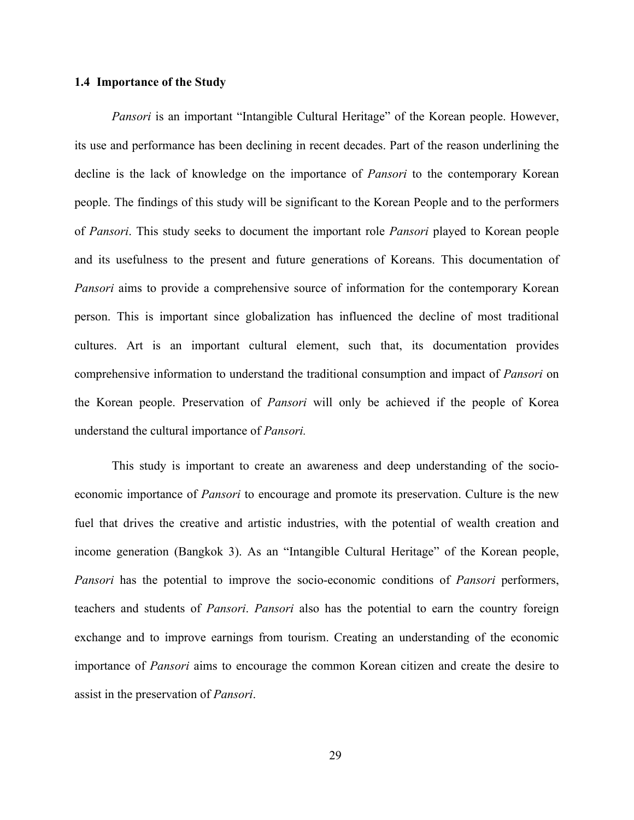## **1.4 Importance of the Study**

*Pansori* is an important "Intangible Cultural Heritage" of the Korean people. However, its use and performance has been declining in recent decades. Part of the reason underlining the decline is the lack of knowledge on the importance of *Pansori* to the contemporary Korean people. The findings of this study will be significant to the Korean People and to the performers of *Pansori*. This study seeks to document the important role *Pansori* played to Korean people and its usefulness to the present and future generations of Koreans. This documentation of *Pansori* aims to provide a comprehensive source of information for the contemporary Korean person. This is important since globalization has influenced the decline of most traditional cultures. Art is an important cultural element, such that, its documentation provides comprehensive information to understand the traditional consumption and impact of *Pansori* on the Korean people. Preservation of *Pansori* will only be achieved if the people of Korea understand the cultural importance of *Pansori.*

This study is important to create an awareness and deep understanding of the socioeconomic importance of *Pansori* to encourage and promote its preservation. Culture is the new fuel that drives the creative and artistic industries, with the potential of wealth creation and income generation (Bangkok 3). As an "Intangible Cultural Heritage" of the Korean people, *Pansori* has the potential to improve the socio-economic conditions of *Pansori* performers, teachers and students of *Pansori*. *Pansori* also has the potential to earn the country foreign exchange and to improve earnings from tourism. Creating an understanding of the economic importance of *Pansori* aims to encourage the common Korean citizen and create the desire to assist in the preservation of *Pansori*.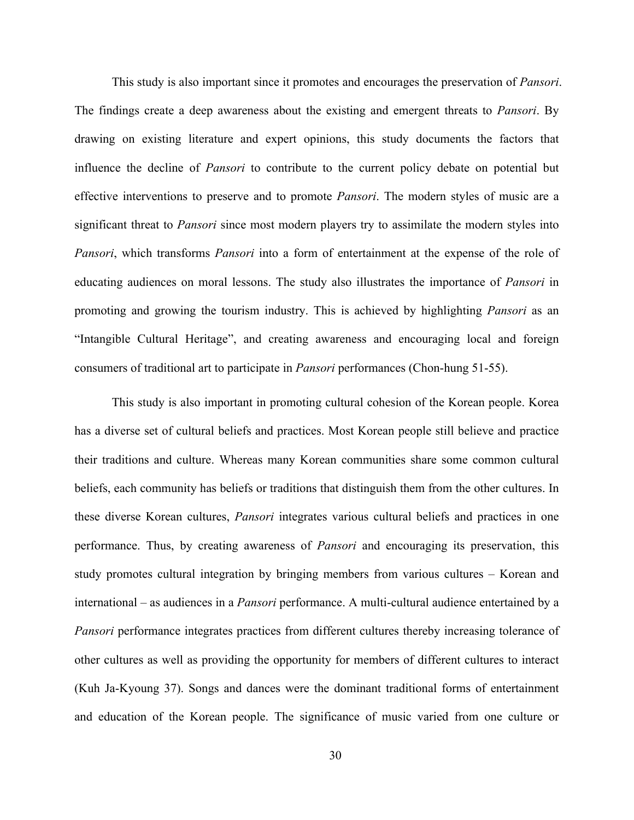This study is also important since it promotes and encourages the preservation of *Pansori*. The findings create a deep awareness about the existing and emergent threats to *Pansori*. By drawing on existing literature and expert opinions, this study documents the factors that influence the decline of *Pansori* to contribute to the current policy debate on potential but effective interventions to preserve and to promote *Pansori*. The modern styles of music are a significant threat to *Pansori* since most modern players try to assimilate the modern styles into *Pansori*, which transforms *Pansori* into a form of entertainment at the expense of the role of educating audiences on moral lessons. The study also illustrates the importance of *Pansori* in promoting and growing the tourism industry. This is achieved by highlighting *Pansori* as an "Intangible Cultural Heritage", and creating awareness and encouraging local and foreign consumers of traditional art to participate in *Pansori* performances (Chon-hung 51-55).

This study is also important in promoting cultural cohesion of the Korean people. Korea has a diverse set of cultural beliefs and practices. Most Korean people still believe and practice their traditions and culture. Whereas many Korean communities share some common cultural beliefs, each community has beliefs or traditions that distinguish them from the other cultures. In these diverse Korean cultures, *Pansori* integrates various cultural beliefs and practices in one performance. Thus, by creating awareness of *Pansori* and encouraging its preservation, this study promotes cultural integration by bringing members from various cultures – Korean and international – as audiences in a *Pansori* performance. A multi-cultural audience entertained by a *Pansori* performance integrates practices from different cultures thereby increasing tolerance of other cultures as well as providing the opportunity for members of different cultures to interact (Kuh Ja-Kyoung 37). Songs and dances were the dominant traditional forms of entertainment and education of the Korean people. The significance of music varied from one culture or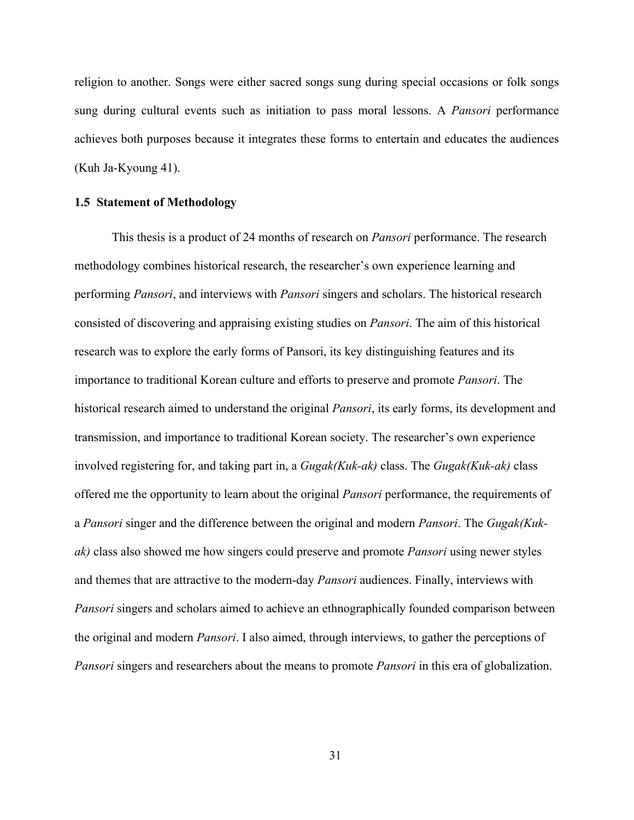religion to another. Songs were either sacred songs sung during special occasions or folk songs sung during cultural events such as initiation to pass moral lessons. A *Pansori* performance achieves both purposes because it integrates these forms to entertain and educates the audiences (Kuh Ja-Kyoung 41).

#### **1.5 Statement of Methodology**

This thesis is a product of 24 months of research on *Pansori* performance. The research methodology combines historical research, the researcher's own experience learning and performing *Pansori*, and interviews with *Pansori* singers and scholars. The historical research consisted of discovering and appraising existing studies on *Pansori*. The aim of this historical research was to explore the early forms of Pansori, its key distinguishing features and its importance to traditional Korean culture and efforts to preserve and promote *Pansori*. The historical research aimed to understand the original *Pansori*, its early forms, its development and transmission, and importance to traditional Korean society. The researcher's own experience involved registering for, and taking part in, a *Gugak(Kuk-ak)* class. The *Gugak(Kuk-ak)* class offered me the opportunity to learn about the original *Pansori* performance, the requirements of a *Pansori* singer and the difference between the original and modern *Pansori*. The *Gugak(Kukak)* class also showed me how singers could preserve and promote *Pansori* using newer styles and themes that are attractive to the modern-day *Pansori* audiences. Finally, interviews with *Pansori* singers and scholars aimed to achieve an ethnographically founded comparison between the original and modern *Pansori*. I also aimed, through interviews, to gather the perceptions of *Pansori* singers and researchers about the means to promote *Pansori* in this era of globalization.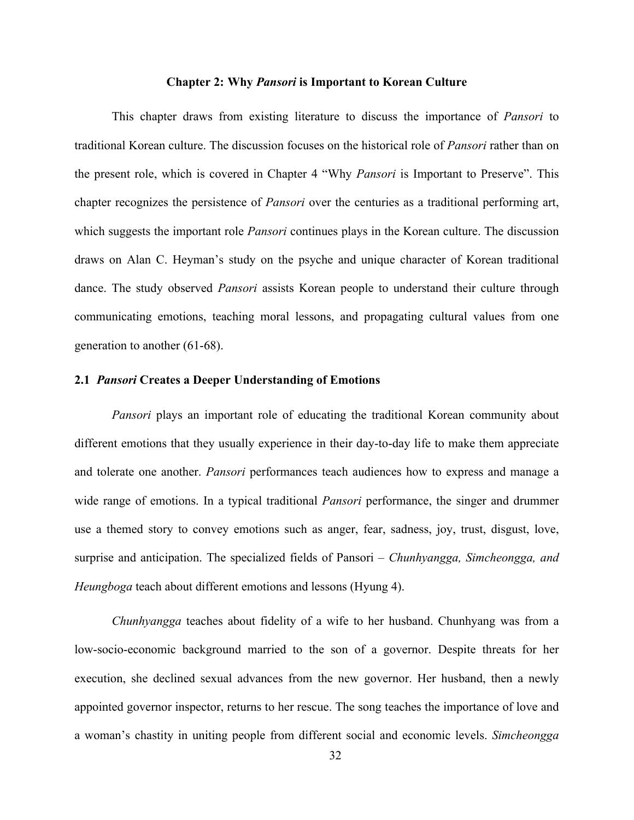### **Chapter 2: Why** *Pansori* **is Important to Korean Culture**

This chapter draws from existing literature to discuss the importance of *Pansori* to traditional Korean culture. The discussion focuses on the historical role of *Pansori* rather than on the present role, which is covered in Chapter 4 "Why *Pansori* is Important to Preserve". This chapter recognizes the persistence of *Pansori* over the centuries as a traditional performing art, which suggests the important role *Pansori* continues plays in the Korean culture. The discussion draws on Alan C. Heyman's study on the psyche and unique character of Korean traditional dance. The study observed *Pansori* assists Korean people to understand their culture through communicating emotions, teaching moral lessons, and propagating cultural values from one generation to another (61-68).

## **2.1** *Pansori* **Creates a Deeper Understanding of Emotions**

*Pansori* plays an important role of educating the traditional Korean community about different emotions that they usually experience in their day-to-day life to make them appreciate and tolerate one another. *Pansori* performances teach audiences how to express and manage a wide range of emotions. In a typical traditional *Pansori* performance, the singer and drummer use a themed story to convey emotions such as anger, fear, sadness, joy, trust, disgust, love, surprise and anticipation. The specialized fields of Pansori – *Chunhyangga, Simcheongga, and Heungboga* teach about different emotions and lessons (Hyung 4).

*Chunhyangga* teaches about fidelity of a wife to her husband. Chunhyang was from a low-socio-economic background married to the son of a governor. Despite threats for her execution, she declined sexual advances from the new governor. Her husband, then a newly appointed governor inspector, returns to her rescue. The song teaches the importance of love and a woman's chastity in uniting people from different social and economic levels. *Simcheongga*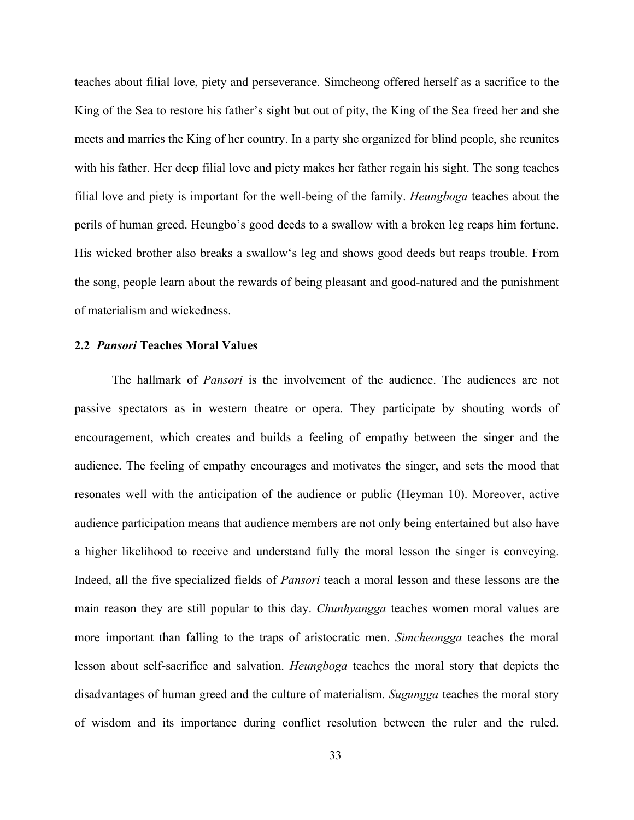teaches about filial love, piety and perseverance. Simcheong offered herself as a sacrifice to the King of the Sea to restore his father's sight but out of pity, the King of the Sea freed her and she meets and marries the King of her country. In a party she organized for blind people, she reunites with his father. Her deep filial love and piety makes her father regain his sight. The song teaches filial love and piety is important for the well-being of the family. *Heungboga* teaches about the perils of human greed. Heungbo's good deeds to a swallow with a broken leg reaps him fortune. His wicked brother also breaks a swallow's leg and shows good deeds but reaps trouble. From the song, people learn about the rewards of being pleasant and good-natured and the punishment of materialism and wickedness.

#### **2.2** *Pansori* **Teaches Moral Values**

The hallmark of *Pansori* is the involvement of the audience. The audiences are not passive spectators as in western theatre or opera. They participate by shouting words of encouragement, which creates and builds a feeling of empathy between the singer and the audience. The feeling of empathy encourages and motivates the singer, and sets the mood that resonates well with the anticipation of the audience or public (Heyman 10). Moreover, active audience participation means that audience members are not only being entertained but also have a higher likelihood to receive and understand fully the moral lesson the singer is conveying. Indeed, all the five specialized fields of *Pansori* teach a moral lesson and these lessons are the main reason they are still popular to this day. *Chunhyangga* teaches women moral values are more important than falling to the traps of aristocratic men. *Simcheongga* teaches the moral lesson about self-sacrifice and salvation. *Heungboga* teaches the moral story that depicts the disadvantages of human greed and the culture of materialism. *Sugungga* teaches the moral story of wisdom and its importance during conflict resolution between the ruler and the ruled.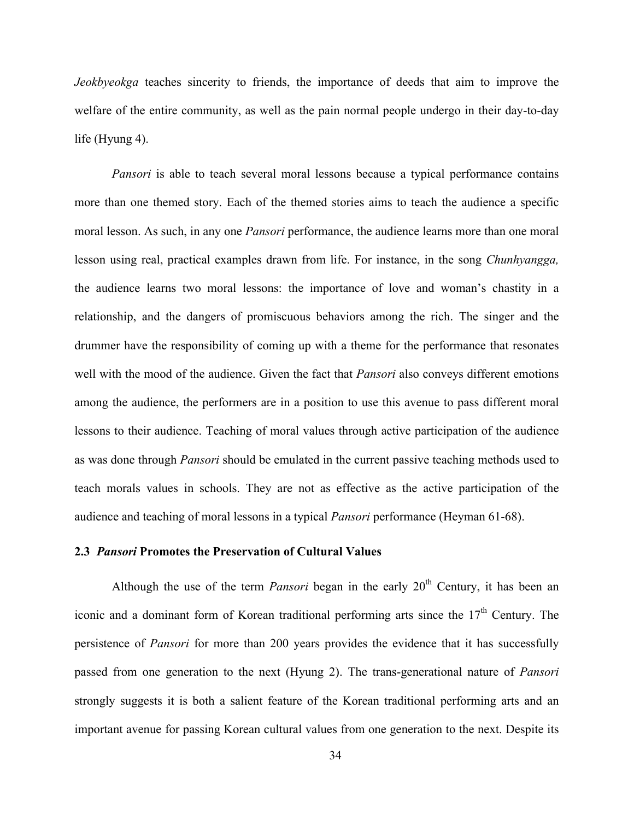*Jeokbyeokga* teaches sincerity to friends, the importance of deeds that aim to improve the welfare of the entire community, as well as the pain normal people undergo in their day-to-day life (Hyung 4).

*Pansori* is able to teach several moral lessons because a typical performance contains more than one themed story. Each of the themed stories aims to teach the audience a specific moral lesson. As such, in any one *Pansori* performance, the audience learns more than one moral lesson using real, practical examples drawn from life. For instance, in the song *Chunhyangga,*  the audience learns two moral lessons: the importance of love and woman's chastity in a relationship, and the dangers of promiscuous behaviors among the rich. The singer and the drummer have the responsibility of coming up with a theme for the performance that resonates well with the mood of the audience. Given the fact that *Pansori* also conveys different emotions among the audience, the performers are in a position to use this avenue to pass different moral lessons to their audience. Teaching of moral values through active participation of the audience as was done through *Pansori* should be emulated in the current passive teaching methods used to teach morals values in schools. They are not as effective as the active participation of the audience and teaching of moral lessons in a typical *Pansori* performance (Heyman 61-68).

## **2.3** *Pansori* **Promotes the Preservation of Cultural Values**

Although the use of the term *Pansori* began in the early  $20<sup>th</sup>$  Century, it has been an iconic and a dominant form of Korean traditional performing arts since the  $17<sup>th</sup>$  Century. The persistence of *Pansori* for more than 200 years provides the evidence that it has successfully passed from one generation to the next (Hyung 2). The trans-generational nature of *Pansori* strongly suggests it is both a salient feature of the Korean traditional performing arts and an important avenue for passing Korean cultural values from one generation to the next. Despite its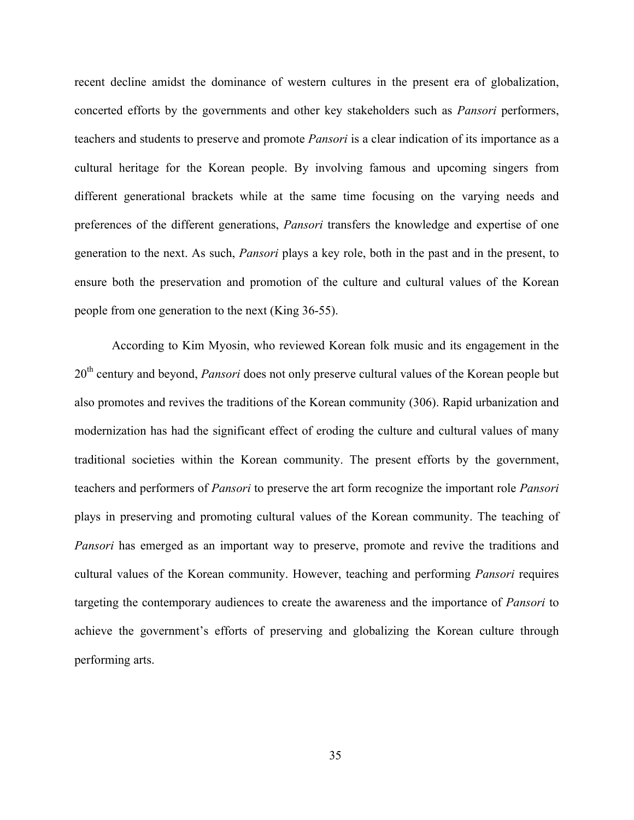recent decline amidst the dominance of western cultures in the present era of globalization, concerted efforts by the governments and other key stakeholders such as *Pansori* performers, teachers and students to preserve and promote *Pansori* is a clear indication of its importance as a cultural heritage for the Korean people. By involving famous and upcoming singers from different generational brackets while at the same time focusing on the varying needs and preferences of the different generations, *Pansori* transfers the knowledge and expertise of one generation to the next. As such, *Pansori* plays a key role, both in the past and in the present, to ensure both the preservation and promotion of the culture and cultural values of the Korean people from one generation to the next (King 36-55).

According to Kim Myosin, who reviewed Korean folk music and its engagement in the 20<sup>th</sup> century and beyond, *Pansori* does not only preserve cultural values of the Korean people but also promotes and revives the traditions of the Korean community (306). Rapid urbanization and modernization has had the significant effect of eroding the culture and cultural values of many traditional societies within the Korean community. The present efforts by the government, teachers and performers of *Pansori* to preserve the art form recognize the important role *Pansori* plays in preserving and promoting cultural values of the Korean community. The teaching of *Pansori* has emerged as an important way to preserve, promote and revive the traditions and cultural values of the Korean community. However, teaching and performing *Pansori* requires targeting the contemporary audiences to create the awareness and the importance of *Pansori* to achieve the government's efforts of preserving and globalizing the Korean culture through performing arts.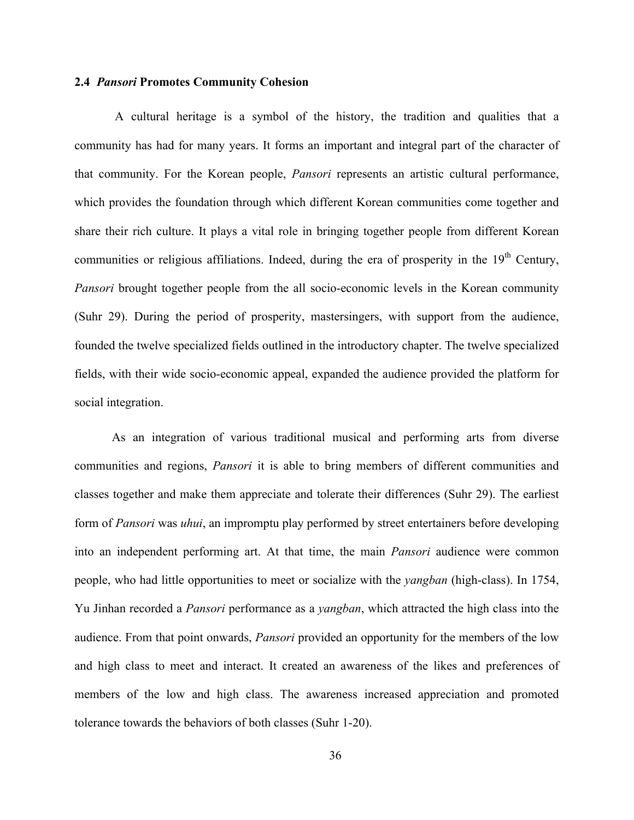## **2.4** *Pansori* **Promotes Community Cohesion**

A cultural heritage is a symbol of the history, the tradition and qualities that a community has had for many years. It forms an important and integral part of the character of that community. For the Korean people, *Pansori* represents an artistic cultural performance, which provides the foundation through which different Korean communities come together and share their rich culture. It plays a vital role in bringing together people from different Korean communities or religious affiliations. Indeed, during the era of prosperity in the  $19<sup>th</sup>$  Century, *Pansori* brought together people from the all socio-economic levels in the Korean community (Suhr 29). During the period of prosperity, mastersingers, with support from the audience, founded the twelve specialized fields outlined in the introductory chapter. The twelve specialized fields, with their wide socio-economic appeal, expanded the audience provided the platform for social integration.

As an integration of various traditional musical and performing arts from diverse communities and regions, *Pansori* it is able to bring members of different communities and classes together and make them appreciate and tolerate their differences (Suhr 29). The earliest form of *Pansori* was *uhui*, an impromptu play performed by street entertainers before developing into an independent performing art. At that time, the main *Pansori* audience were common people, who had little opportunities to meet or socialize with the *yangban* (high-class). In 1754, Yu Jinhan recorded a *Pansori* performance as a *yangban*, which attracted the high class into the audience. From that point onwards, *Pansori* provided an opportunity for the members of the low and high class to meet and interact. It created an awareness of the likes and preferences of members of the low and high class. The awareness increased appreciation and promoted tolerance towards the behaviors of both classes (Suhr 1-20).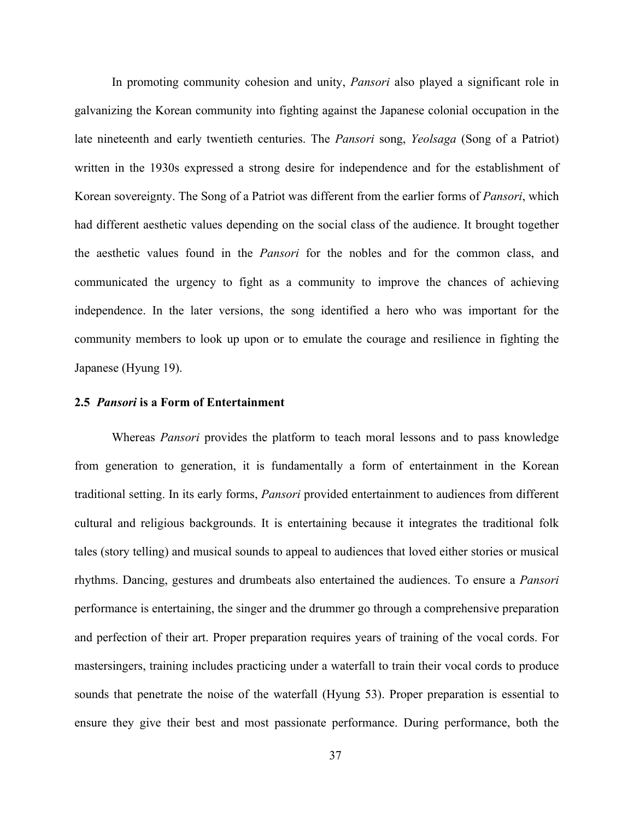In promoting community cohesion and unity, *Pansori* also played a significant role in galvanizing the Korean community into fighting against the Japanese colonial occupation in the late nineteenth and early twentieth centuries. The *Pansori* song, *Yeolsaga* (Song of a Patriot) written in the 1930s expressed a strong desire for independence and for the establishment of Korean sovereignty. The Song of a Patriot was different from the earlier forms of *Pansori*, which had different aesthetic values depending on the social class of the audience. It brought together the aesthetic values found in the *Pansori* for the nobles and for the common class, and communicated the urgency to fight as a community to improve the chances of achieving independence. In the later versions, the song identified a hero who was important for the community members to look up upon or to emulate the courage and resilience in fighting the Japanese (Hyung 19).

#### **2.5** *Pansori* **is a Form of Entertainment**

Whereas *Pansori* provides the platform to teach moral lessons and to pass knowledge from generation to generation, it is fundamentally a form of entertainment in the Korean traditional setting. In its early forms, *Pansori* provided entertainment to audiences from different cultural and religious backgrounds. It is entertaining because it integrates the traditional folk tales (story telling) and musical sounds to appeal to audiences that loved either stories or musical rhythms. Dancing, gestures and drumbeats also entertained the audiences. To ensure a *Pansori* performance is entertaining, the singer and the drummer go through a comprehensive preparation and perfection of their art. Proper preparation requires years of training of the vocal cords. For mastersingers, training includes practicing under a waterfall to train their vocal cords to produce sounds that penetrate the noise of the waterfall (Hyung 53). Proper preparation is essential to ensure they give their best and most passionate performance. During performance, both the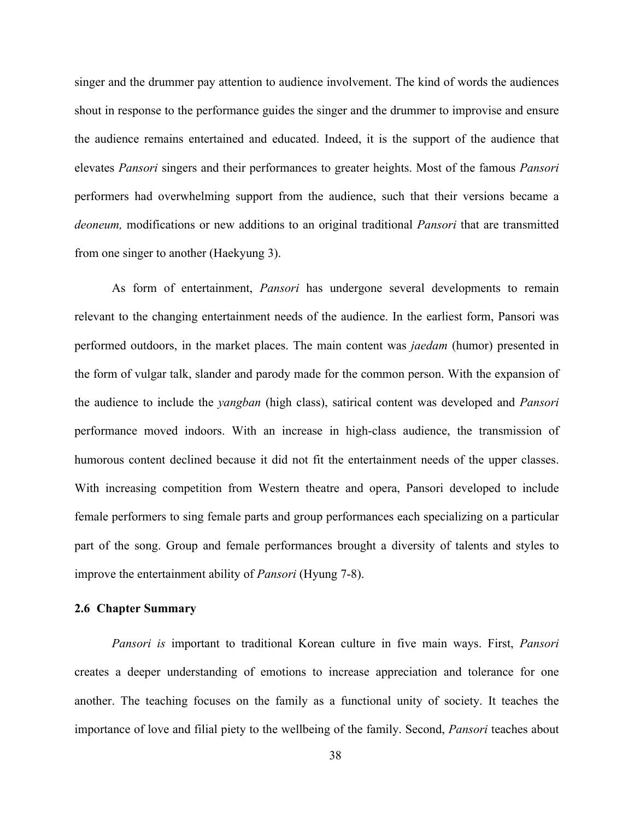singer and the drummer pay attention to audience involvement. The kind of words the audiences shout in response to the performance guides the singer and the drummer to improvise and ensure the audience remains entertained and educated. Indeed, it is the support of the audience that elevates *Pansori* singers and their performances to greater heights. Most of the famous *Pansori* performers had overwhelming support from the audience, such that their versions became a *deoneum,* modifications or new additions to an original traditional *Pansori* that are transmitted from one singer to another (Haekyung 3).

As form of entertainment, *Pansori* has undergone several developments to remain relevant to the changing entertainment needs of the audience. In the earliest form, Pansori was performed outdoors, in the market places. The main content was *jaedam* (humor) presented in the form of vulgar talk, slander and parody made for the common person. With the expansion of the audience to include the *yangban* (high class), satirical content was developed and *Pansori* performance moved indoors. With an increase in high-class audience, the transmission of humorous content declined because it did not fit the entertainment needs of the upper classes. With increasing competition from Western theatre and opera, Pansori developed to include female performers to sing female parts and group performances each specializing on a particular part of the song. Group and female performances brought a diversity of talents and styles to improve the entertainment ability of *Pansori* (Hyung 7-8).

## **2.6 Chapter Summary**

*Pansori is* important to traditional Korean culture in five main ways. First, *Pansori* creates a deeper understanding of emotions to increase appreciation and tolerance for one another. The teaching focuses on the family as a functional unity of society. It teaches the importance of love and filial piety to the wellbeing of the family. Second, *Pansori* teaches about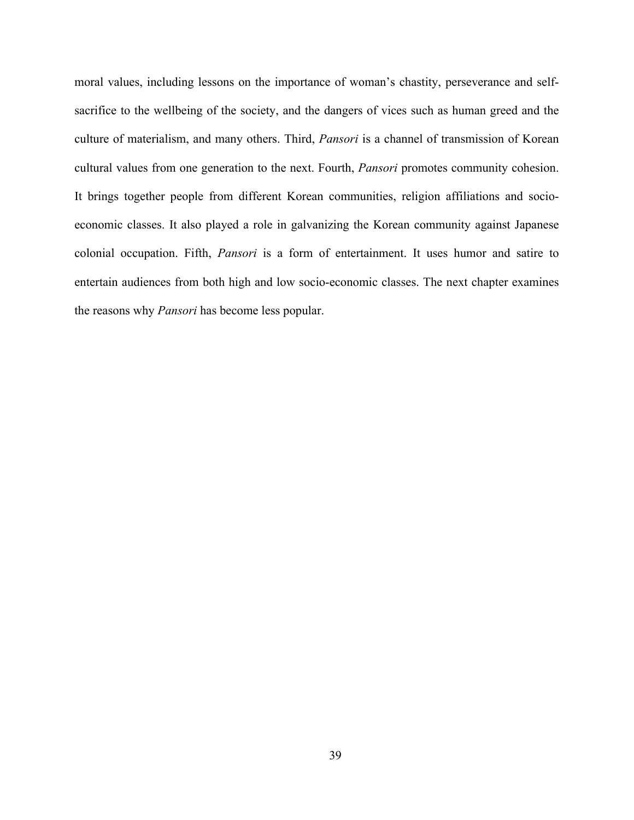moral values, including lessons on the importance of woman's chastity, perseverance and selfsacrifice to the wellbeing of the society, and the dangers of vices such as human greed and the culture of materialism, and many others. Third, *Pansori* is a channel of transmission of Korean cultural values from one generation to the next. Fourth, *Pansori* promotes community cohesion. It brings together people from different Korean communities, religion affiliations and socioeconomic classes. It also played a role in galvanizing the Korean community against Japanese colonial occupation. Fifth, *Pansori* is a form of entertainment. It uses humor and satire to entertain audiences from both high and low socio-economic classes. The next chapter examines the reasons why *Pansori* has become less popular.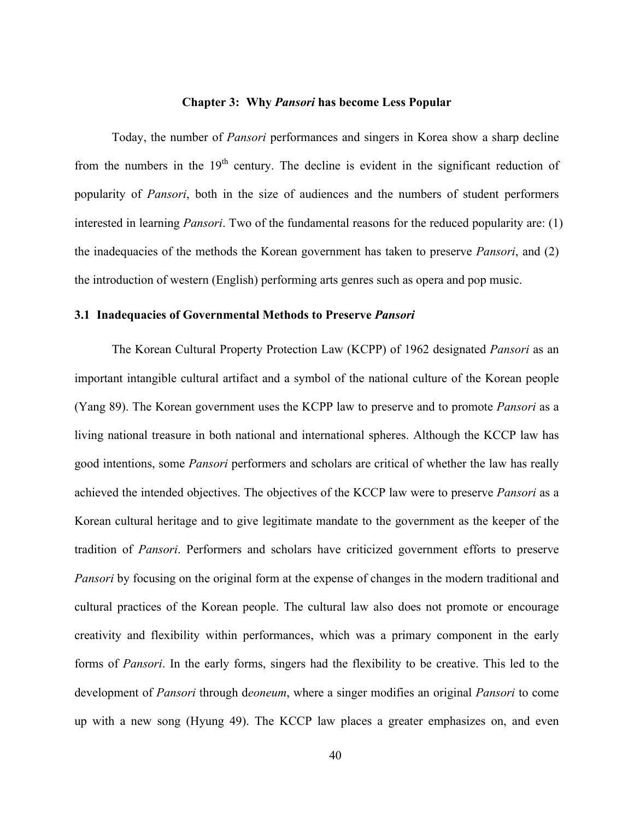## **Chapter 3: Why** *Pansori* **has become Less Popular**

Today, the number of *Pansori* performances and singers in Korea show a sharp decline from the numbers in the  $19<sup>th</sup>$  century. The decline is evident in the significant reduction of popularity of *Pansori*, both in the size of audiences and the numbers of student performers interested in learning *Pansori*. Two of the fundamental reasons for the reduced popularity are: (1) the inadequacies of the methods the Korean government has taken to preserve *Pansori*, and (2) the introduction of western (English) performing arts genres such as opera and pop music.

## **3.1 Inadequacies of Governmental Methods to Preserve** *Pansori*

The Korean Cultural Property Protection Law (KCPP) of 1962 designated *Pansori* as an important intangible cultural artifact and a symbol of the national culture of the Korean people (Yang 89). The Korean government uses the KCPP law to preserve and to promote *Pansori* as a living national treasure in both national and international spheres. Although the KCCP law has good intentions, some *Pansori* performers and scholars are critical of whether the law has really achieved the intended objectives. The objectives of the KCCP law were to preserve *Pansori* as a Korean cultural heritage and to give legitimate mandate to the government as the keeper of the tradition of *Pansori*. Performers and scholars have criticized government efforts to preserve *Pansori* by focusing on the original form at the expense of changes in the modern traditional and cultural practices of the Korean people. The cultural law also does not promote or encourage creativity and flexibility within performances, which was a primary component in the early forms of *Pansori*. In the early forms, singers had the flexibility to be creative. This led to the development of *Pansori* through d*eoneum*, where a singer modifies an original *Pansori* to come up with a new song (Hyung 49). The KCCP law places a greater emphasizes on, and even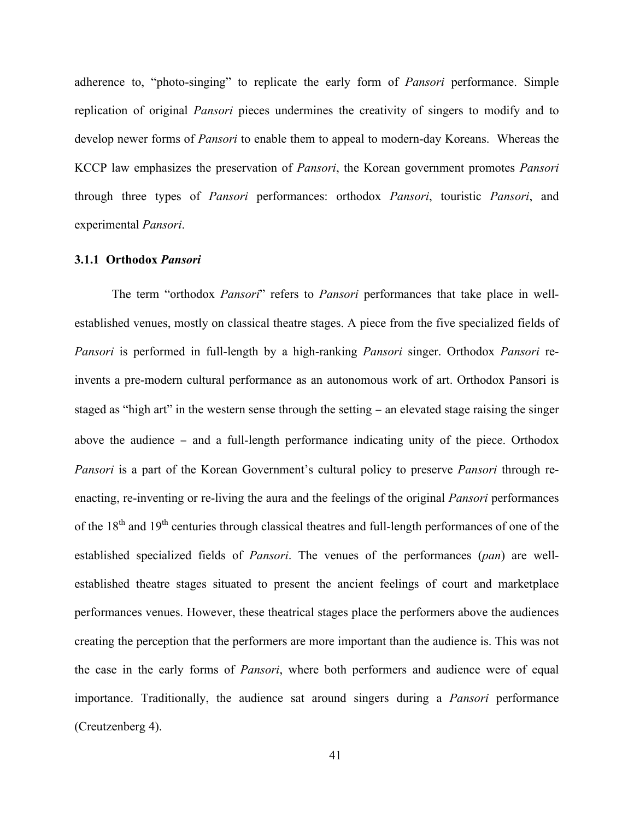adherence to, "photo-singing" to replicate the early form of *Pansori* performance. Simple replication of original *Pansori* pieces undermines the creativity of singers to modify and to develop newer forms of *Pansori* to enable them to appeal to modern-day Koreans. Whereas the KCCP law emphasizes the preservation of *Pansori*, the Korean government promotes *Pansori* through three types of *Pansori* performances: orthodox *Pansori*, touristic *Pansori*, and experimental *Pansori*.

### **3.1.1 Orthodox** *Pansori*

The term "orthodox *Pansori*" refers to *Pansori* performances that take place in wellestablished venues, mostly on classical theatre stages. A piece from the five specialized fields of *Pansori* is performed in full-length by a high-ranking *Pansori* singer. Orthodox *Pansori* reinvents a pre-modern cultural performance as an autonomous work of art. Orthodox Pansori is staged as "high art" in the western sense through the setting − an elevated stage raising the singer above the audience − and a full-length performance indicating unity of the piece. Orthodox *Pansori* is a part of the Korean Government's cultural policy to preserve *Pansori* through reenacting, re-inventing or re-living the aura and the feelings of the original *Pansori* performances of the  $18<sup>th</sup>$  and  $19<sup>th</sup>$  centuries through classical theatres and full-length performances of one of the established specialized fields of *Pansori*. The venues of the performances (*pan*) are wellestablished theatre stages situated to present the ancient feelings of court and marketplace performances venues. However, these theatrical stages place the performers above the audiences creating the perception that the performers are more important than the audience is. This was not the case in the early forms of *Pansori*, where both performers and audience were of equal importance. Traditionally, the audience sat around singers during a *Pansori* performance (Creutzenberg 4).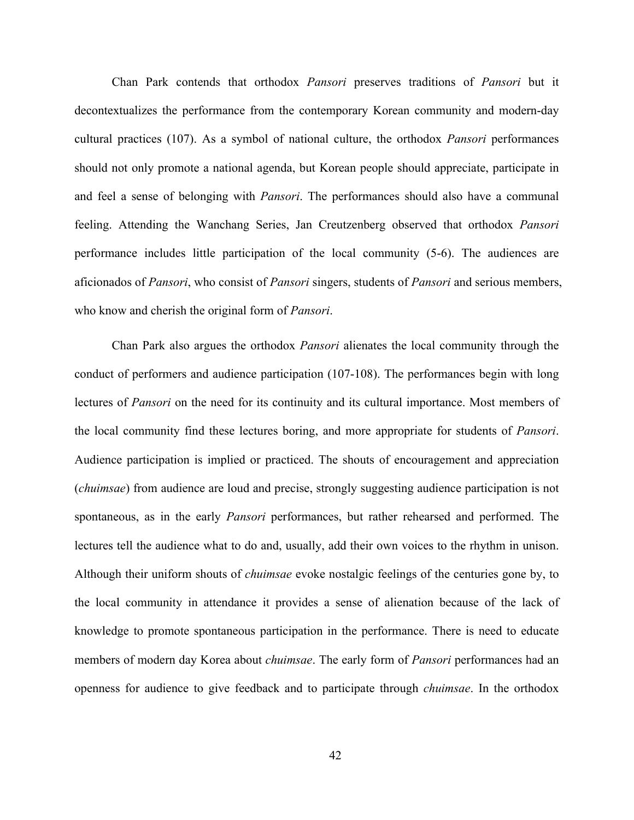Chan Park contends that orthodox *Pansori* preserves traditions of *Pansori* but it decontextualizes the performance from the contemporary Korean community and modern-day cultural practices (107). As a symbol of national culture, the orthodox *Pansori* performances should not only promote a national agenda, but Korean people should appreciate, participate in and feel a sense of belonging with *Pansori*. The performances should also have a communal feeling. Attending the Wanchang Series, Jan Creutzenberg observed that orthodox *Pansori* performance includes little participation of the local community (5-6). The audiences are aficionados of *Pansori*, who consist of *Pansori* singers, students of *Pansori* and serious members, who know and cherish the original form of *Pansori*.

Chan Park also argues the orthodox *Pansori* alienates the local community through the conduct of performers and audience participation (107-108). The performances begin with long lectures of *Pansori* on the need for its continuity and its cultural importance. Most members of the local community find these lectures boring, and more appropriate for students of *Pansori*. Audience participation is implied or practiced. The shouts of encouragement and appreciation (*chuimsae*) from audience are loud and precise, strongly suggesting audience participation is not spontaneous, as in the early *Pansori* performances, but rather rehearsed and performed. The lectures tell the audience what to do and, usually, add their own voices to the rhythm in unison. Although their uniform shouts of *chuimsae* evoke nostalgic feelings of the centuries gone by, to the local community in attendance it provides a sense of alienation because of the lack of knowledge to promote spontaneous participation in the performance. There is need to educate members of modern day Korea about *chuimsae*. The early form of *Pansori* performances had an openness for audience to give feedback and to participate through *chuimsae*. In the orthodox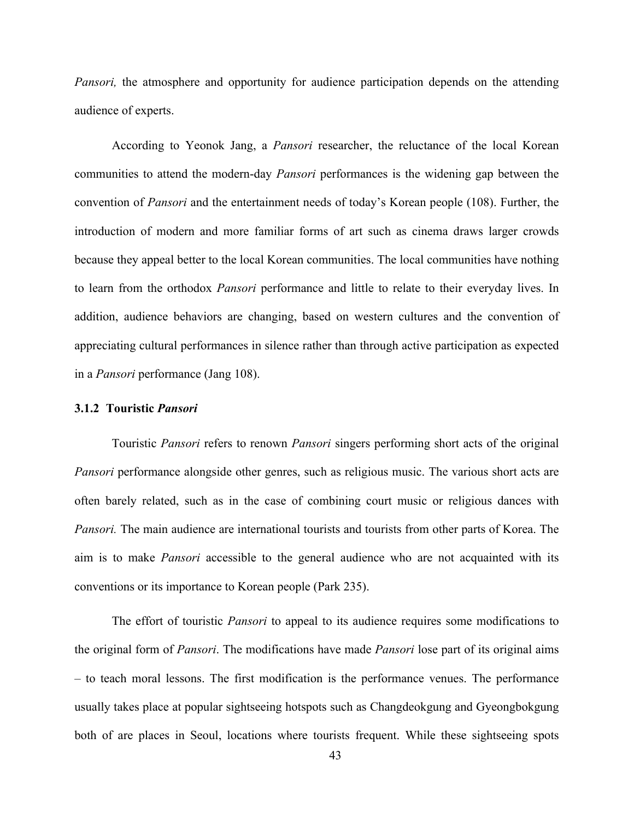*Pansori*, the atmosphere and opportunity for audience participation depends on the attending audience of experts.

According to Yeonok Jang, a *Pansori* researcher, the reluctance of the local Korean communities to attend the modern-day *Pansori* performances is the widening gap between the convention of *Pansori* and the entertainment needs of today's Korean people (108). Further, the introduction of modern and more familiar forms of art such as cinema draws larger crowds because they appeal better to the local Korean communities. The local communities have nothing to learn from the orthodox *Pansori* performance and little to relate to their everyday lives. In addition, audience behaviors are changing, based on western cultures and the convention of appreciating cultural performances in silence rather than through active participation as expected in a *Pansori* performance (Jang 108).

## **3.1.2 Touristic** *Pansori*

Touristic *Pansori* refers to renown *Pansori* singers performing short acts of the original *Pansori* performance alongside other genres, such as religious music. The various short acts are often barely related, such as in the case of combining court music or religious dances with *Pansori.* The main audience are international tourists and tourists from other parts of Korea. The aim is to make *Pansori* accessible to the general audience who are not acquainted with its conventions or its importance to Korean people (Park 235).

The effort of touristic *Pansori* to appeal to its audience requires some modifications to the original form of *Pansori*. The modifications have made *Pansori* lose part of its original aims – to teach moral lessons. The first modification is the performance venues. The performance usually takes place at popular sightseeing hotspots such as Changdeokgung and Gyeongbokgung both of are places in Seoul, locations where tourists frequent. While these sightseeing spots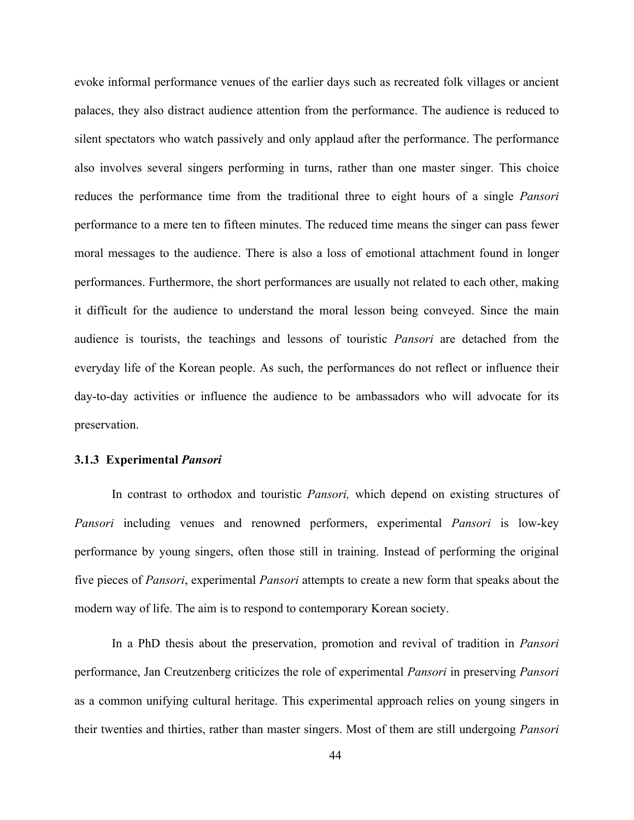evoke informal performance venues of the earlier days such as recreated folk villages or ancient palaces, they also distract audience attention from the performance. The audience is reduced to silent spectators who watch passively and only applaud after the performance. The performance also involves several singers performing in turns, rather than one master singer. This choice reduces the performance time from the traditional three to eight hours of a single *Pansori* performance to a mere ten to fifteen minutes. The reduced time means the singer can pass fewer moral messages to the audience. There is also a loss of emotional attachment found in longer performances. Furthermore, the short performances are usually not related to each other, making it difficult for the audience to understand the moral lesson being conveyed. Since the main audience is tourists, the teachings and lessons of touristic *Pansori* are detached from the everyday life of the Korean people. As such, the performances do not reflect or influence their day-to-day activities or influence the audience to be ambassadors who will advocate for its preservation.

# **3.1.3 Experimental** *Pansori*

In contrast to orthodox and touristic *Pansori,* which depend on existing structures of *Pansori* including venues and renowned performers, experimental *Pansori* is low-key performance by young singers, often those still in training. Instead of performing the original five pieces of *Pansori*, experimental *Pansori* attempts to create a new form that speaks about the modern way of life. The aim is to respond to contemporary Korean society.

In a PhD thesis about the preservation, promotion and revival of tradition in *Pansori* performance, Jan Creutzenberg criticizes the role of experimental *Pansori* in preserving *Pansori* as a common unifying cultural heritage. This experimental approach relies on young singers in their twenties and thirties, rather than master singers. Most of them are still undergoing *Pansori*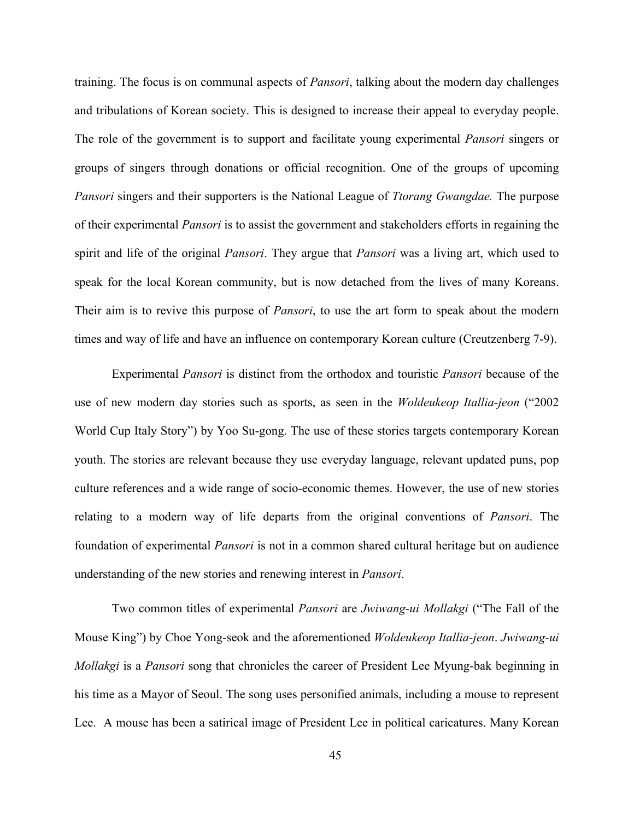training. The focus is on communal aspects of *Pansori*, talking about the modern day challenges and tribulations of Korean society. This is designed to increase their appeal to everyday people. The role of the government is to support and facilitate young experimental *Pansori* singers or groups of singers through donations or official recognition. One of the groups of upcoming *Pansori* singers and their supporters is the National League of *Ttorang Gwangdae.* The purpose of their experimental *Pansori* is to assist the government and stakeholders efforts in regaining the spirit and life of the original *Pansori*. They argue that *Pansori* was a living art, which used to speak for the local Korean community, but is now detached from the lives of many Koreans. Their aim is to revive this purpose of *Pansori*, to use the art form to speak about the modern times and way of life and have an influence on contemporary Korean culture (Creutzenberg 7-9).

Experimental *Pansori* is distinct from the orthodox and touristic *Pansori* because of the use of new modern day stories such as sports, as seen in the *Woldeukeop Itallia-jeon* ("2002 World Cup Italy Story") by Yoo Su-gong. The use of these stories targets contemporary Korean youth. The stories are relevant because they use everyday language, relevant updated puns, pop culture references and a wide range of socio-economic themes. However, the use of new stories relating to a modern way of life departs from the original conventions of *Pansori*. The foundation of experimental *Pansori* is not in a common shared cultural heritage but on audience understanding of the new stories and renewing interest in *Pansori*.

Two common titles of experimental *Pansori* are *Jwiwang-ui Mollakgi* ("The Fall of the Mouse King") by Choe Yong-seok and the aforementioned *Woldeukeop Itallia-jeon*. *Jwiwang-ui Mollakgi* is a *Pansori* song that chronicles the career of President Lee Myung-bak beginning in his time as a Mayor of Seoul. The song uses personified animals, including a mouse to represent Lee. A mouse has been a satirical image of President Lee in political caricatures. Many Korean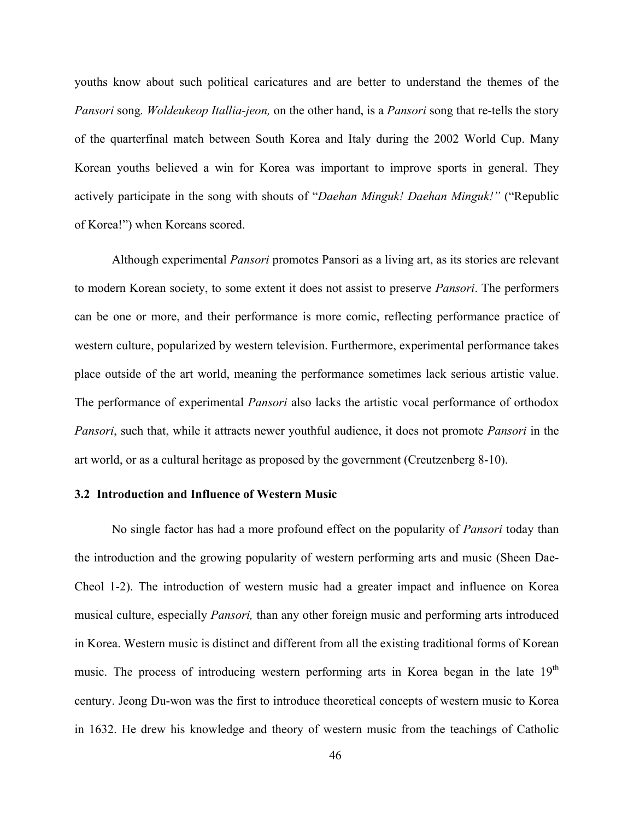youths know about such political caricatures and are better to understand the themes of the *Pansori* song*. Woldeukeop Itallia-jeon,* on the other hand, is a *Pansori* song that re-tells the story of the quarterfinal match between South Korea and Italy during the 2002 World Cup. Many Korean youths believed a win for Korea was important to improve sports in general. They actively participate in the song with shouts of "*Daehan Minguk! Daehan Minguk!"* ("Republic of Korea!") when Koreans scored.

Although experimental *Pansori* promotes Pansori as a living art, as its stories are relevant to modern Korean society, to some extent it does not assist to preserve *Pansori*. The performers can be one or more, and their performance is more comic, reflecting performance practice of western culture, popularized by western television. Furthermore, experimental performance takes place outside of the art world, meaning the performance sometimes lack serious artistic value. The performance of experimental *Pansori* also lacks the artistic vocal performance of orthodox *Pansori*, such that, while it attracts newer youthful audience, it does not promote *Pansori* in the art world, or as a cultural heritage as proposed by the government (Creutzenberg 8-10).

## **3.2 Introduction and Influence of Western Music**

No single factor has had a more profound effect on the popularity of *Pansori* today than the introduction and the growing popularity of western performing arts and music (Sheen Dae-Cheol 1-2). The introduction of western music had a greater impact and influence on Korea musical culture, especially *Pansori,* than any other foreign music and performing arts introduced in Korea. Western music is distinct and different from all the existing traditional forms of Korean music. The process of introducing western performing arts in Korea began in the late  $19<sup>th</sup>$ century. Jeong Du-won was the first to introduce theoretical concepts of western music to Korea in 1632. He drew his knowledge and theory of western music from the teachings of Catholic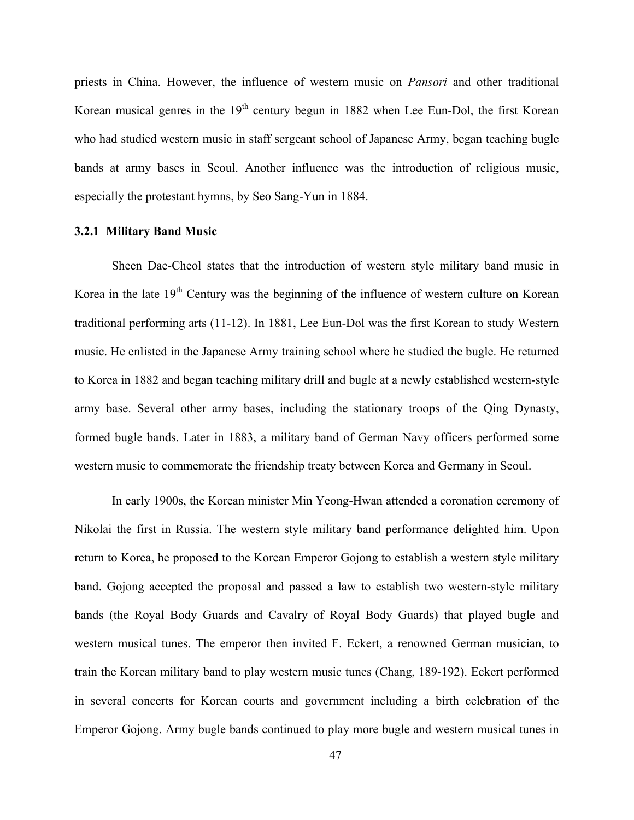priests in China. However, the influence of western music on *Pansori* and other traditional Korean musical genres in the  $19<sup>th</sup>$  century begun in 1882 when Lee Eun-Dol, the first Korean who had studied western music in staff sergeant school of Japanese Army, began teaching bugle bands at army bases in Seoul. Another influence was the introduction of religious music, especially the protestant hymns, by Seo Sang-Yun in 1884.

## **3.2.1 Military Band Music**

Sheen Dae-Cheol states that the introduction of western style military band music in Korea in the late  $19<sup>th</sup>$  Century was the beginning of the influence of western culture on Korean traditional performing arts (11-12). In 1881, Lee Eun-Dol was the first Korean to study Western music. He enlisted in the Japanese Army training school where he studied the bugle. He returned to Korea in 1882 and began teaching military drill and bugle at a newly established western-style army base. Several other army bases, including the stationary troops of the Qing Dynasty, formed bugle bands. Later in 1883, a military band of German Navy officers performed some western music to commemorate the friendship treaty between Korea and Germany in Seoul.

In early 1900s, the Korean minister Min Yeong-Hwan attended a coronation ceremony of Nikolai the first in Russia. The western style military band performance delighted him. Upon return to Korea, he proposed to the Korean Emperor Gojong to establish a western style military band. Gojong accepted the proposal and passed a law to establish two western-style military bands (the Royal Body Guards and Cavalry of Royal Body Guards) that played bugle and western musical tunes. The emperor then invited F. Eckert, a renowned German musician, to train the Korean military band to play western music tunes (Chang, 189-192). Eckert performed in several concerts for Korean courts and government including a birth celebration of the Emperor Gojong. Army bugle bands continued to play more bugle and western musical tunes in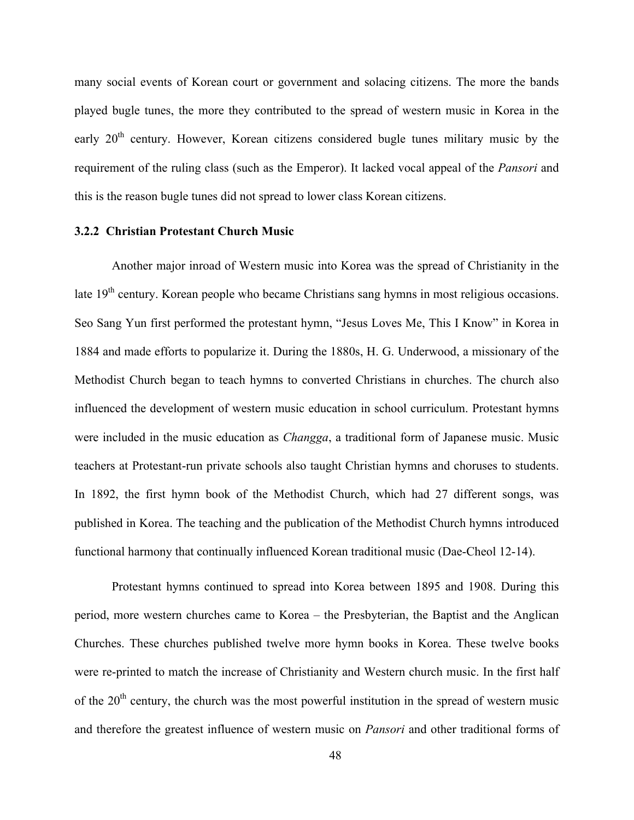many social events of Korean court or government and solacing citizens. The more the bands played bugle tunes, the more they contributed to the spread of western music in Korea in the early  $20<sup>th</sup>$  century. However, Korean citizens considered bugle tunes military music by the requirement of the ruling class (such as the Emperor). It lacked vocal appeal of the *Pansori* and this is the reason bugle tunes did not spread to lower class Korean citizens.

#### **3.2.2 Christian Protestant Church Music**

Another major inroad of Western music into Korea was the spread of Christianity in the late 19<sup>th</sup> century. Korean people who became Christians sang hymns in most religious occasions. Seo Sang Yun first performed the protestant hymn, "Jesus Loves Me, This I Know" in Korea in 1884 and made efforts to popularize it. During the 1880s, H. G. Underwood, a missionary of the Methodist Church began to teach hymns to converted Christians in churches. The church also influenced the development of western music education in school curriculum. Protestant hymns were included in the music education as *Changga*, a traditional form of Japanese music. Music teachers at Protestant-run private schools also taught Christian hymns and choruses to students. In 1892, the first hymn book of the Methodist Church, which had 27 different songs, was published in Korea. The teaching and the publication of the Methodist Church hymns introduced functional harmony that continually influenced Korean traditional music (Dae-Cheol 12-14).

Protestant hymns continued to spread into Korea between 1895 and 1908. During this period, more western churches came to Korea – the Presbyterian, the Baptist and the Anglican Churches. These churches published twelve more hymn books in Korea. These twelve books were re-printed to match the increase of Christianity and Western church music. In the first half of the  $20<sup>th</sup>$  century, the church was the most powerful institution in the spread of western music and therefore the greatest influence of western music on *Pansori* and other traditional forms of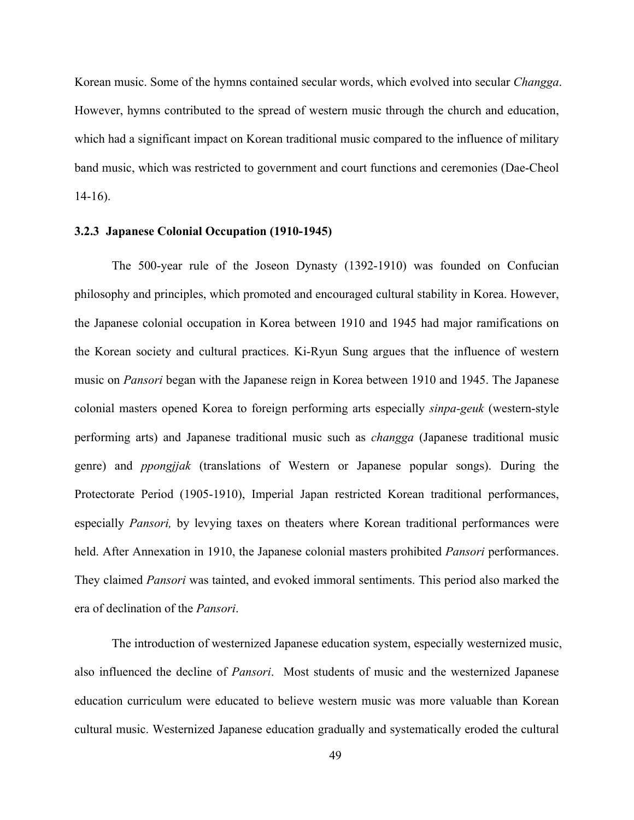Korean music. Some of the hymns contained secular words, which evolved into secular *Changga*. However, hymns contributed to the spread of western music through the church and education, which had a significant impact on Korean traditional music compared to the influence of military band music, which was restricted to government and court functions and ceremonies (Dae-Cheol 14-16).

## **3.2.3 Japanese Colonial Occupation (1910-1945)**

The 500-year rule of the Joseon Dynasty (1392-1910) was founded on Confucian philosophy and principles, which promoted and encouraged cultural stability in Korea. However, the Japanese colonial occupation in Korea between 1910 and 1945 had major ramifications on the Korean society and cultural practices. Ki-Ryun Sung argues that the influence of western music on *Pansori* began with the Japanese reign in Korea between 1910 and 1945. The Japanese colonial masters opened Korea to foreign performing arts especially *sinpa-geuk* (western-style performing arts) and Japanese traditional music such as *changga* (Japanese traditional music genre) and *ppongjjak* (translations of Western or Japanese popular songs). During the Protectorate Period (1905-1910), Imperial Japan restricted Korean traditional performances, especially *Pansori,* by levying taxes on theaters where Korean traditional performances were held. After Annexation in 1910, the Japanese colonial masters prohibited *Pansori* performances. They claimed *Pansori* was tainted, and evoked immoral sentiments. This period also marked the era of declination of the *Pansori*.

The introduction of westernized Japanese education system, especially westernized music, also influenced the decline of *Pansori*. Most students of music and the westernized Japanese education curriculum were educated to believe western music was more valuable than Korean cultural music. Westernized Japanese education gradually and systematically eroded the cultural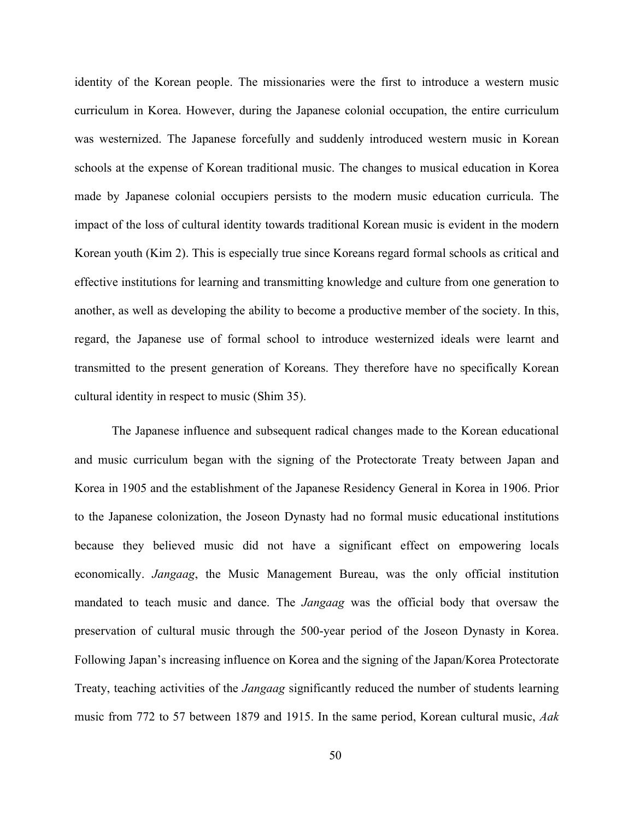identity of the Korean people. The missionaries were the first to introduce a western music curriculum in Korea. However, during the Japanese colonial occupation, the entire curriculum was westernized. The Japanese forcefully and suddenly introduced western music in Korean schools at the expense of Korean traditional music. The changes to musical education in Korea made by Japanese colonial occupiers persists to the modern music education curricula. The impact of the loss of cultural identity towards traditional Korean music is evident in the modern Korean youth (Kim 2). This is especially true since Koreans regard formal schools as critical and effective institutions for learning and transmitting knowledge and culture from one generation to another, as well as developing the ability to become a productive member of the society. In this, regard, the Japanese use of formal school to introduce westernized ideals were learnt and transmitted to the present generation of Koreans. They therefore have no specifically Korean cultural identity in respect to music (Shim 35).

The Japanese influence and subsequent radical changes made to the Korean educational and music curriculum began with the signing of the Protectorate Treaty between Japan and Korea in 1905 and the establishment of the Japanese Residency General in Korea in 1906. Prior to the Japanese colonization, the Joseon Dynasty had no formal music educational institutions because they believed music did not have a significant effect on empowering locals economically. *Jangaag*, the Music Management Bureau, was the only official institution mandated to teach music and dance. The *Jangaag* was the official body that oversaw the preservation of cultural music through the 500-year period of the Joseon Dynasty in Korea. Following Japan's increasing influence on Korea and the signing of the Japan/Korea Protectorate Treaty, teaching activities of the *Jangaag* significantly reduced the number of students learning music from 772 to 57 between 1879 and 1915. In the same period, Korean cultural music, *Aak*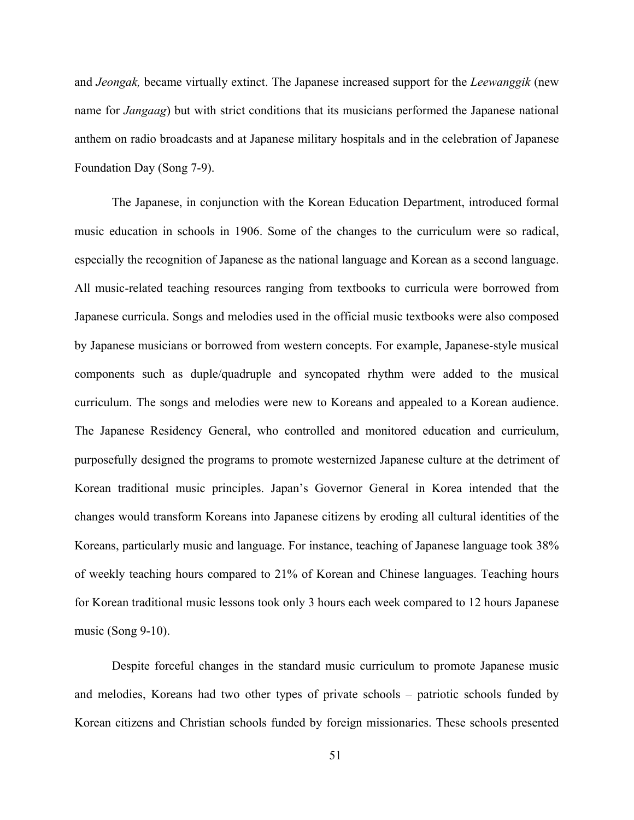and *Jeongak,* became virtually extinct. The Japanese increased support for the *Leewanggik* (new name for *Jangaag*) but with strict conditions that its musicians performed the Japanese national anthem on radio broadcasts and at Japanese military hospitals and in the celebration of Japanese Foundation Day (Song 7-9).

The Japanese, in conjunction with the Korean Education Department, introduced formal music education in schools in 1906. Some of the changes to the curriculum were so radical, especially the recognition of Japanese as the national language and Korean as a second language. All music-related teaching resources ranging from textbooks to curricula were borrowed from Japanese curricula. Songs and melodies used in the official music textbooks were also composed by Japanese musicians or borrowed from western concepts. For example, Japanese-style musical components such as duple/quadruple and syncopated rhythm were added to the musical curriculum. The songs and melodies were new to Koreans and appealed to a Korean audience. The Japanese Residency General, who controlled and monitored education and curriculum, purposefully designed the programs to promote westernized Japanese culture at the detriment of Korean traditional music principles. Japan's Governor General in Korea intended that the changes would transform Koreans into Japanese citizens by eroding all cultural identities of the Koreans, particularly music and language. For instance, teaching of Japanese language took 38% of weekly teaching hours compared to 21% of Korean and Chinese languages. Teaching hours for Korean traditional music lessons took only 3 hours each week compared to 12 hours Japanese music (Song 9-10).

Despite forceful changes in the standard music curriculum to promote Japanese music and melodies, Koreans had two other types of private schools – patriotic schools funded by Korean citizens and Christian schools funded by foreign missionaries. These schools presented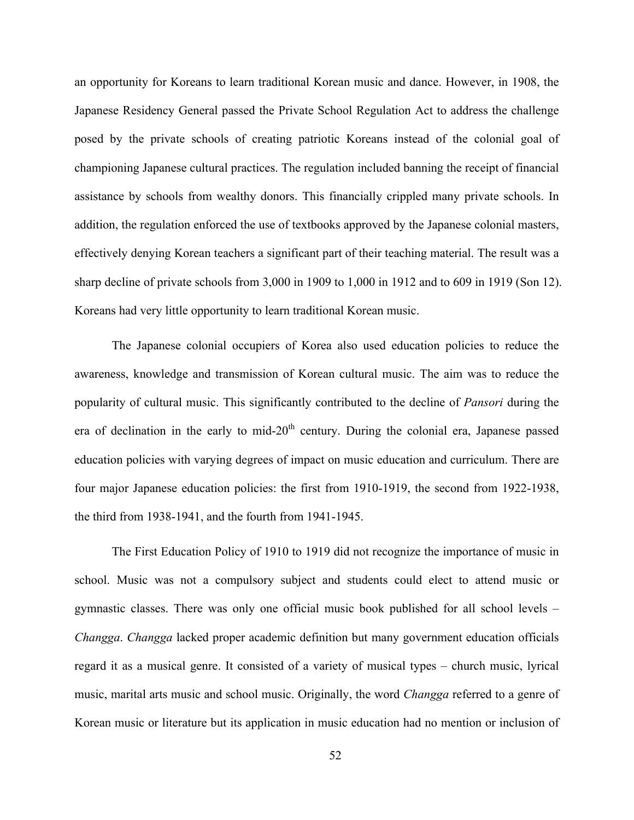an opportunity for Koreans to learn traditional Korean music and dance. However, in 1908, the Japanese Residency General passed the Private School Regulation Act to address the challenge posed by the private schools of creating patriotic Koreans instead of the colonial goal of championing Japanese cultural practices. The regulation included banning the receipt of financial assistance by schools from wealthy donors. This financially crippled many private schools. In addition, the regulation enforced the use of textbooks approved by the Japanese colonial masters, effectively denying Korean teachers a significant part of their teaching material. The result was a sharp decline of private schools from 3,000 in 1909 to 1,000 in 1912 and to 609 in 1919 (Son 12). Koreans had very little opportunity to learn traditional Korean music.

The Japanese colonial occupiers of Korea also used education policies to reduce the awareness, knowledge and transmission of Korean cultural music. The aim was to reduce the popularity of cultural music. This significantly contributed to the decline of *Pansori* during the era of declination in the early to mid- $20<sup>th</sup>$  century. During the colonial era, Japanese passed education policies with varying degrees of impact on music education and curriculum. There are four major Japanese education policies: the first from 1910-1919, the second from 1922-1938, the third from 1938-1941, and the fourth from 1941-1945.

The First Education Policy of 1910 to 1919 did not recognize the importance of music in school. Music was not a compulsory subject and students could elect to attend music or gymnastic classes. There was only one official music book published for all school levels – *Changga*. *Changga* lacked proper academic definition but many government education officials regard it as a musical genre. It consisted of a variety of musical types – church music, lyrical music, marital arts music and school music. Originally, the word *Changga* referred to a genre of Korean music or literature but its application in music education had no mention or inclusion of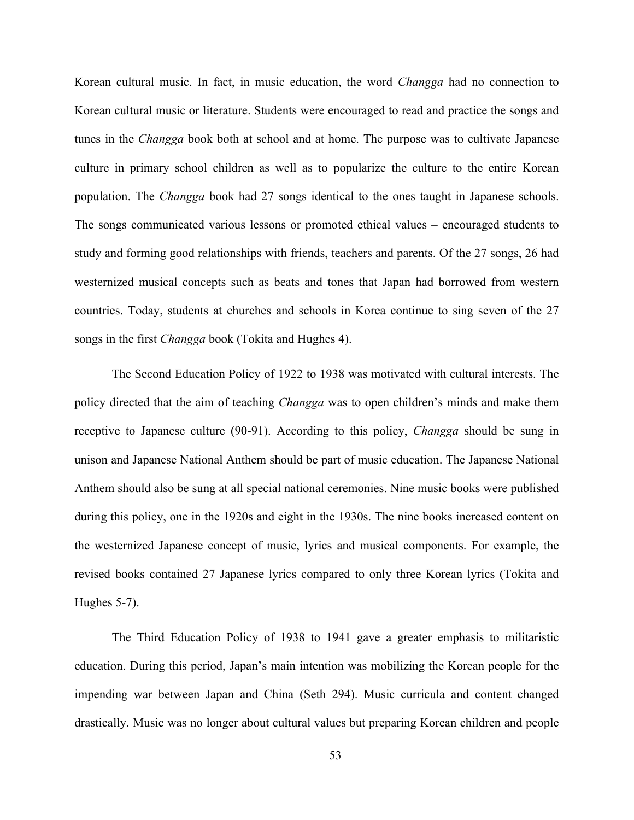Korean cultural music. In fact, in music education, the word *Changga* had no connection to Korean cultural music or literature. Students were encouraged to read and practice the songs and tunes in the *Changga* book both at school and at home. The purpose was to cultivate Japanese culture in primary school children as well as to popularize the culture to the entire Korean population. The *Changga* book had 27 songs identical to the ones taught in Japanese schools. The songs communicated various lessons or promoted ethical values – encouraged students to study and forming good relationships with friends, teachers and parents. Of the 27 songs, 26 had westernized musical concepts such as beats and tones that Japan had borrowed from western countries. Today, students at churches and schools in Korea continue to sing seven of the 27 songs in the first *Changga* book (Tokita and Hughes 4).

The Second Education Policy of 1922 to 1938 was motivated with cultural interests. The policy directed that the aim of teaching *Changga* was to open children's minds and make them receptive to Japanese culture (90-91). According to this policy, *Changga* should be sung in unison and Japanese National Anthem should be part of music education. The Japanese National Anthem should also be sung at all special national ceremonies. Nine music books were published during this policy, one in the 1920s and eight in the 1930s. The nine books increased content on the westernized Japanese concept of music, lyrics and musical components. For example, the revised books contained 27 Japanese lyrics compared to only three Korean lyrics (Tokita and Hughes 5-7).

The Third Education Policy of 1938 to 1941 gave a greater emphasis to militaristic education. During this period, Japan's main intention was mobilizing the Korean people for the impending war between Japan and China (Seth 294). Music curricula and content changed drastically. Music was no longer about cultural values but preparing Korean children and people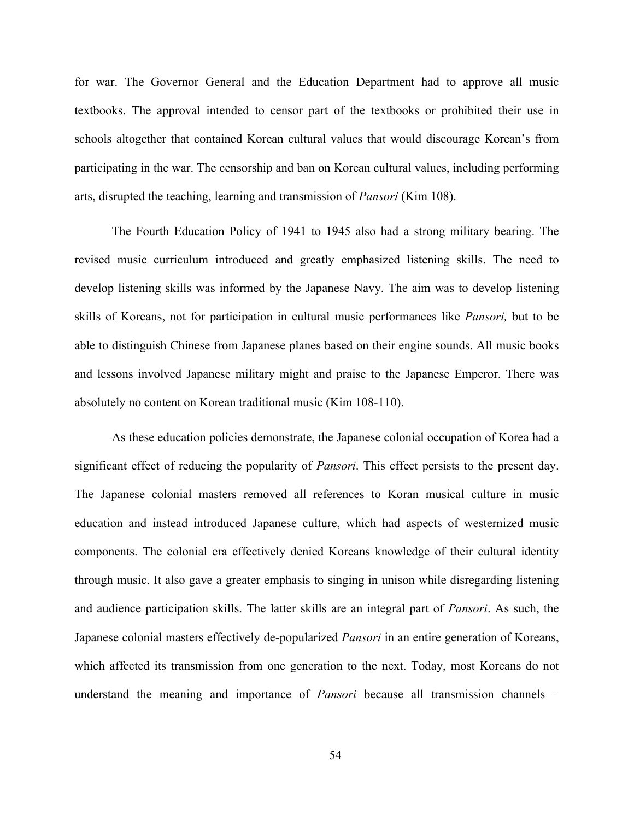for war. The Governor General and the Education Department had to approve all music textbooks. The approval intended to censor part of the textbooks or prohibited their use in schools altogether that contained Korean cultural values that would discourage Korean's from participating in the war. The censorship and ban on Korean cultural values, including performing arts, disrupted the teaching, learning and transmission of *Pansori* (Kim 108).

The Fourth Education Policy of 1941 to 1945 also had a strong military bearing. The revised music curriculum introduced and greatly emphasized listening skills. The need to develop listening skills was informed by the Japanese Navy. The aim was to develop listening skills of Koreans, not for participation in cultural music performances like *Pansori,* but to be able to distinguish Chinese from Japanese planes based on their engine sounds. All music books and lessons involved Japanese military might and praise to the Japanese Emperor. There was absolutely no content on Korean traditional music (Kim 108-110).

As these education policies demonstrate, the Japanese colonial occupation of Korea had a significant effect of reducing the popularity of *Pansori*. This effect persists to the present day. The Japanese colonial masters removed all references to Koran musical culture in music education and instead introduced Japanese culture, which had aspects of westernized music components. The colonial era effectively denied Koreans knowledge of their cultural identity through music. It also gave a greater emphasis to singing in unison while disregarding listening and audience participation skills. The latter skills are an integral part of *Pansori*. As such, the Japanese colonial masters effectively de-popularized *Pansori* in an entire generation of Koreans, which affected its transmission from one generation to the next. Today, most Koreans do not understand the meaning and importance of *Pansori* because all transmission channels –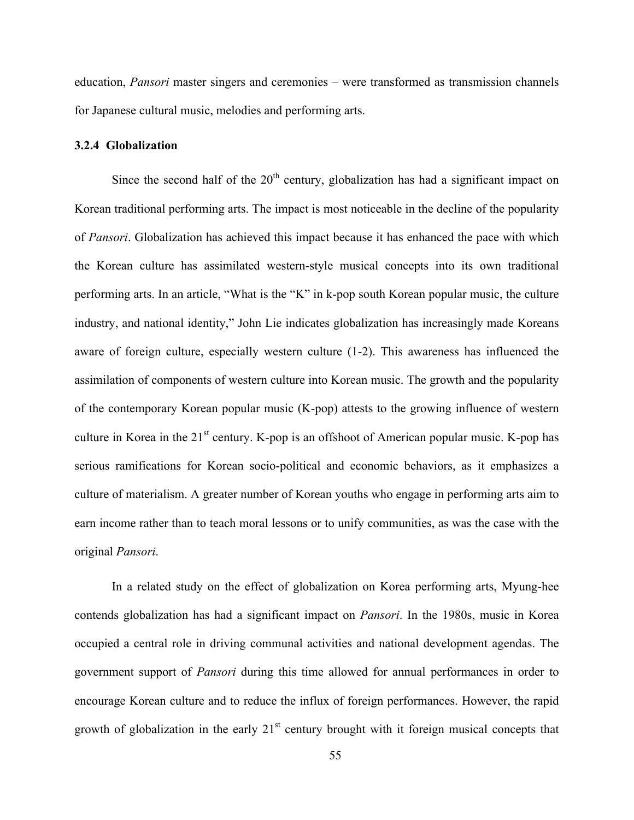education, *Pansori* master singers and ceremonies – were transformed as transmission channels for Japanese cultural music, melodies and performing arts.

## **3.2.4 Globalization**

Since the second half of the  $20<sup>th</sup>$  century, globalization has had a significant impact on Korean traditional performing arts. The impact is most noticeable in the decline of the popularity of *Pansori*. Globalization has achieved this impact because it has enhanced the pace with which the Korean culture has assimilated western-style musical concepts into its own traditional performing arts. In an article, "What is the "K" in k-pop south Korean popular music, the culture industry, and national identity," John Lie indicates globalization has increasingly made Koreans aware of foreign culture, especially western culture (1-2). This awareness has influenced the assimilation of components of western culture into Korean music. The growth and the popularity of the contemporary Korean popular music (K-pop) attests to the growing influence of western culture in Korea in the  $21<sup>st</sup>$  century. K-pop is an offshoot of American popular music. K-pop has serious ramifications for Korean socio-political and economic behaviors, as it emphasizes a culture of materialism. A greater number of Korean youths who engage in performing arts aim to earn income rather than to teach moral lessons or to unify communities, as was the case with the original *Pansori*.

In a related study on the effect of globalization on Korea performing arts, Myung-hee contends globalization has had a significant impact on *Pansori*. In the 1980s, music in Korea occupied a central role in driving communal activities and national development agendas. The government support of *Pansori* during this time allowed for annual performances in order to encourage Korean culture and to reduce the influx of foreign performances. However, the rapid growth of globalization in the early  $21<sup>st</sup>$  century brought with it foreign musical concepts that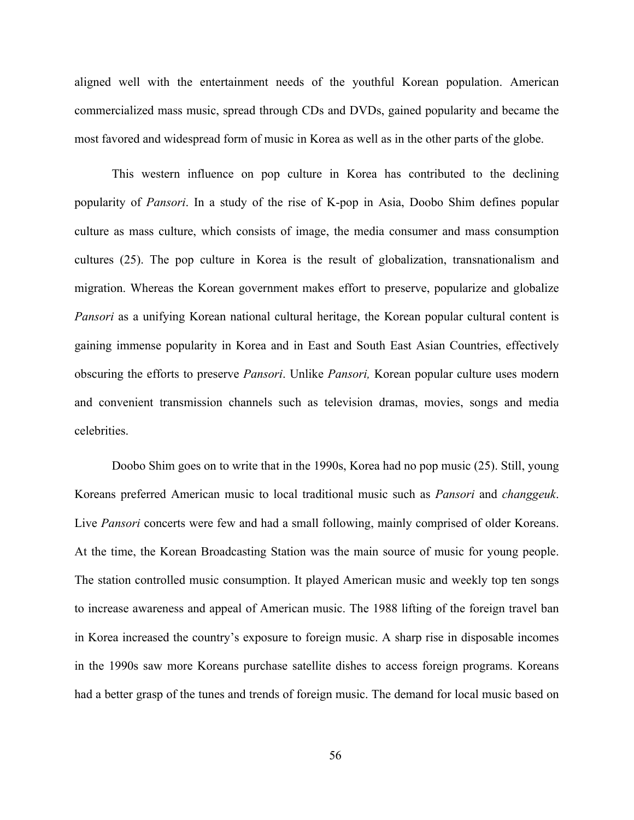aligned well with the entertainment needs of the youthful Korean population. American commercialized mass music, spread through CDs and DVDs, gained popularity and became the most favored and widespread form of music in Korea as well as in the other parts of the globe.

This western influence on pop culture in Korea has contributed to the declining popularity of *Pansori*. In a study of the rise of K-pop in Asia, Doobo Shim defines popular culture as mass culture, which consists of image, the media consumer and mass consumption cultures (25). The pop culture in Korea is the result of globalization, transnationalism and migration. Whereas the Korean government makes effort to preserve, popularize and globalize *Pansori* as a unifying Korean national cultural heritage, the Korean popular cultural content is gaining immense popularity in Korea and in East and South East Asian Countries, effectively obscuring the efforts to preserve *Pansori*. Unlike *Pansori,* Korean popular culture uses modern and convenient transmission channels such as television dramas, movies, songs and media celebrities.

Doobo Shim goes on to write that in the 1990s, Korea had no pop music (25). Still, young Koreans preferred American music to local traditional music such as *Pansori* and *changgeuk*. Live *Pansori* concerts were few and had a small following, mainly comprised of older Koreans. At the time, the Korean Broadcasting Station was the main source of music for young people. The station controlled music consumption. It played American music and weekly top ten songs to increase awareness and appeal of American music. The 1988 lifting of the foreign travel ban in Korea increased the country's exposure to foreign music. A sharp rise in disposable incomes in the 1990s saw more Koreans purchase satellite dishes to access foreign programs. Koreans had a better grasp of the tunes and trends of foreign music. The demand for local music based on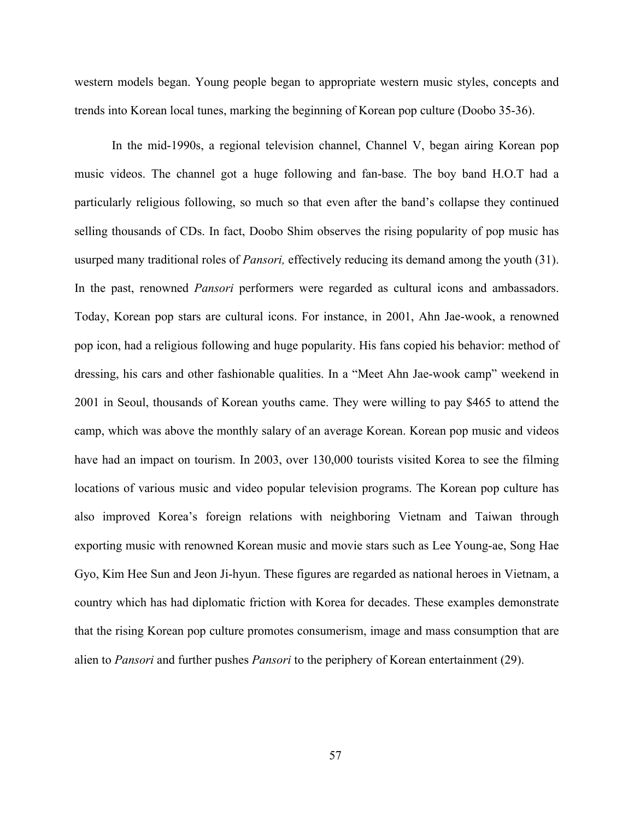western models began. Young people began to appropriate western music styles, concepts and trends into Korean local tunes, marking the beginning of Korean pop culture (Doobo 35-36).

In the mid-1990s, a regional television channel, Channel V, began airing Korean pop music videos. The channel got a huge following and fan-base. The boy band H.O.T had a particularly religious following, so much so that even after the band's collapse they continued selling thousands of CDs. In fact, Doobo Shim observes the rising popularity of pop music has usurped many traditional roles of *Pansori,* effectively reducing its demand among the youth (31). In the past, renowned *Pansori* performers were regarded as cultural icons and ambassadors. Today, Korean pop stars are cultural icons. For instance, in 2001, Ahn Jae-wook, a renowned pop icon, had a religious following and huge popularity. His fans copied his behavior: method of dressing, his cars and other fashionable qualities. In a "Meet Ahn Jae-wook camp" weekend in 2001 in Seoul, thousands of Korean youths came. They were willing to pay \$465 to attend the camp, which was above the monthly salary of an average Korean. Korean pop music and videos have had an impact on tourism. In 2003, over 130,000 tourists visited Korea to see the filming locations of various music and video popular television programs. The Korean pop culture has also improved Korea's foreign relations with neighboring Vietnam and Taiwan through exporting music with renowned Korean music and movie stars such as Lee Young-ae, Song Hae Gyo, Kim Hee Sun and Jeon Ji-hyun. These figures are regarded as national heroes in Vietnam, a country which has had diplomatic friction with Korea for decades. These examples demonstrate that the rising Korean pop culture promotes consumerism, image and mass consumption that are alien to *Pansori* and further pushes *Pansori* to the periphery of Korean entertainment (29).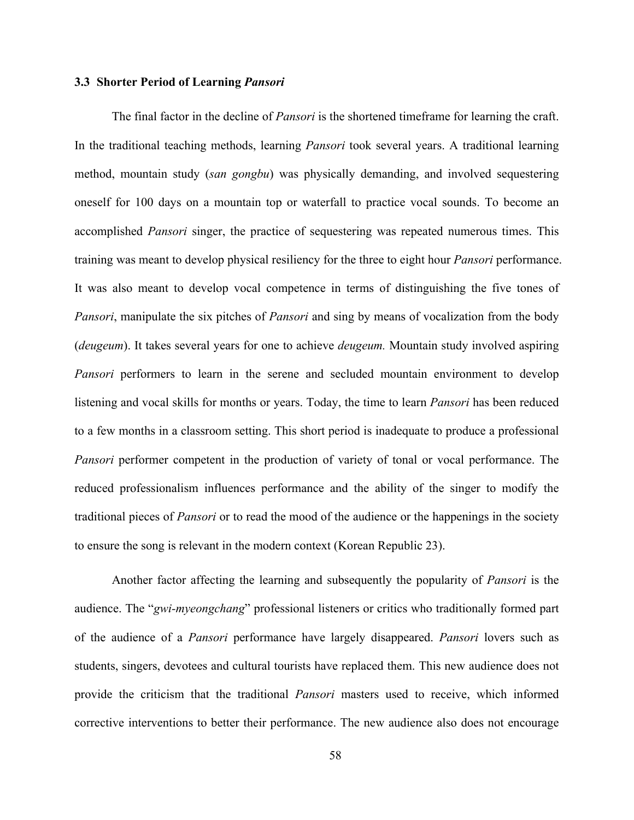## **3.3 Shorter Period of Learning** *Pansori*

The final factor in the decline of *Pansori* is the shortened timeframe for learning the craft. In the traditional teaching methods, learning *Pansori* took several years. A traditional learning method, mountain study (*san gongbu*) was physically demanding, and involved sequestering oneself for 100 days on a mountain top or waterfall to practice vocal sounds. To become an accomplished *Pansori* singer, the practice of sequestering was repeated numerous times. This training was meant to develop physical resiliency for the three to eight hour *Pansori* performance. It was also meant to develop vocal competence in terms of distinguishing the five tones of *Pansori*, manipulate the six pitches of *Pansori* and sing by means of vocalization from the body (*deugeum*). It takes several years for one to achieve *deugeum.* Mountain study involved aspiring *Pansori* performers to learn in the serene and secluded mountain environment to develop listening and vocal skills for months or years. Today, the time to learn *Pansori* has been reduced to a few months in a classroom setting. This short period is inadequate to produce a professional *Pansori* performer competent in the production of variety of tonal or vocal performance. The reduced professionalism influences performance and the ability of the singer to modify the traditional pieces of *Pansori* or to read the mood of the audience or the happenings in the society to ensure the song is relevant in the modern context (Korean Republic 23).

Another factor affecting the learning and subsequently the popularity of *Pansori* is the audience. The "*gwi-myeongchang*" professional listeners or critics who traditionally formed part of the audience of a *Pansori* performance have largely disappeared. *Pansori* lovers such as students, singers, devotees and cultural tourists have replaced them. This new audience does not provide the criticism that the traditional *Pansori* masters used to receive, which informed corrective interventions to better their performance. The new audience also does not encourage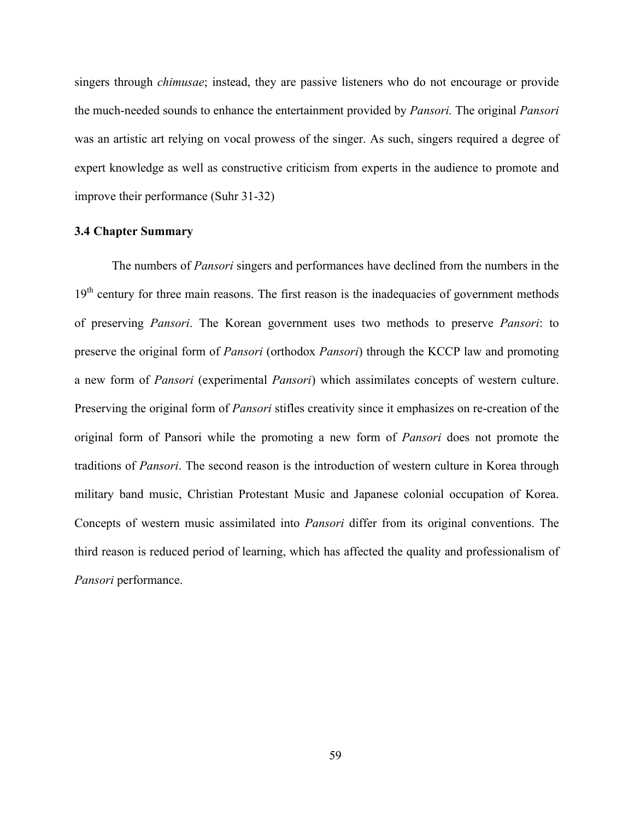singers through *chimusae*; instead, they are passive listeners who do not encourage or provide the much-needed sounds to enhance the entertainment provided by *Pansori.* The original *Pansori* was an artistic art relying on vocal prowess of the singer. As such, singers required a degree of expert knowledge as well as constructive criticism from experts in the audience to promote and improve their performance (Suhr 31-32)

## **3.4 Chapter Summary**

The numbers of *Pansori* singers and performances have declined from the numbers in the  $19<sup>th</sup>$  century for three main reasons. The first reason is the inadequacies of government methods of preserving *Pansori*. The Korean government uses two methods to preserve *Pansori*: to preserve the original form of *Pansori* (orthodox *Pansori*) through the KCCP law and promoting a new form of *Pansori* (experimental *Pansori*) which assimilates concepts of western culture. Preserving the original form of *Pansori* stifles creativity since it emphasizes on re-creation of the original form of Pansori while the promoting a new form of *Pansori* does not promote the traditions of *Pansori*. The second reason is the introduction of western culture in Korea through military band music, Christian Protestant Music and Japanese colonial occupation of Korea. Concepts of western music assimilated into *Pansori* differ from its original conventions. The third reason is reduced period of learning, which has affected the quality and professionalism of *Pansori* performance.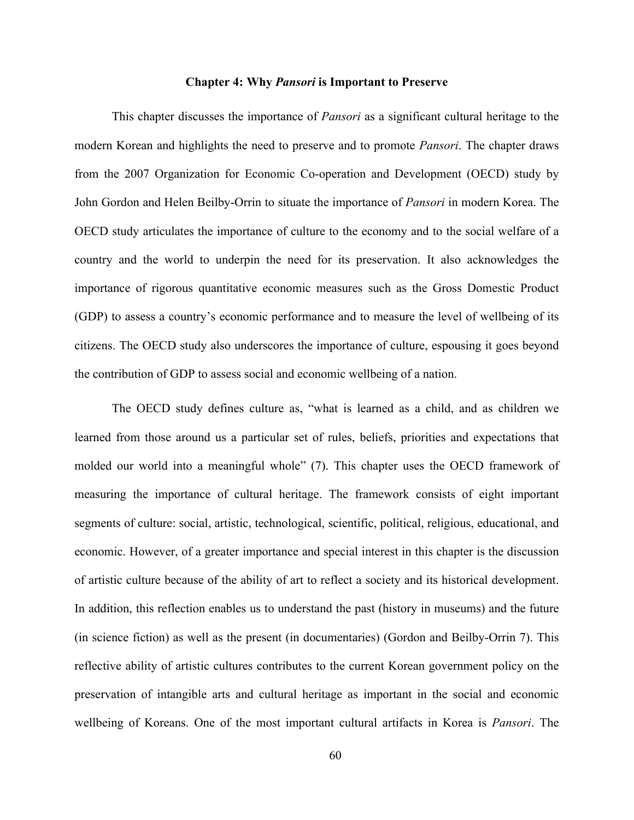#### **Chapter 4: Why** *Pansori* **is Important to Preserve**

This chapter discusses the importance of *Pansori* as a significant cultural heritage to the modern Korean and highlights the need to preserve and to promote *Pansori*. The chapter draws from the 2007 Organization for Economic Co-operation and Development (OECD) study by John Gordon and Helen Beilby-Orrin to situate the importance of *Pansori* in modern Korea. The OECD study articulates the importance of culture to the economy and to the social welfare of a country and the world to underpin the need for its preservation. It also acknowledges the importance of rigorous quantitative economic measures such as the Gross Domestic Product (GDP) to assess a country's economic performance and to measure the level of wellbeing of its citizens. The OECD study also underscores the importance of culture, espousing it goes beyond the contribution of GDP to assess social and economic wellbeing of a nation.

The OECD study defines culture as, "what is learned as a child, and as children we learned from those around us a particular set of rules, beliefs, priorities and expectations that molded our world into a meaningful whole" (7). This chapter uses the OECD framework of measuring the importance of cultural heritage. The framework consists of eight important segments of culture: social, artistic, technological, scientific, political, religious, educational, and economic. However, of a greater importance and special interest in this chapter is the discussion of artistic culture because of the ability of art to reflect a society and its historical development. In addition, this reflection enables us to understand the past (history in museums) and the future (in science fiction) as well as the present (in documentaries) (Gordon and Beilby-Orrin 7). This reflective ability of artistic cultures contributes to the current Korean government policy on the preservation of intangible arts and cultural heritage as important in the social and economic wellbeing of Koreans. One of the most important cultural artifacts in Korea is *Pansori*. The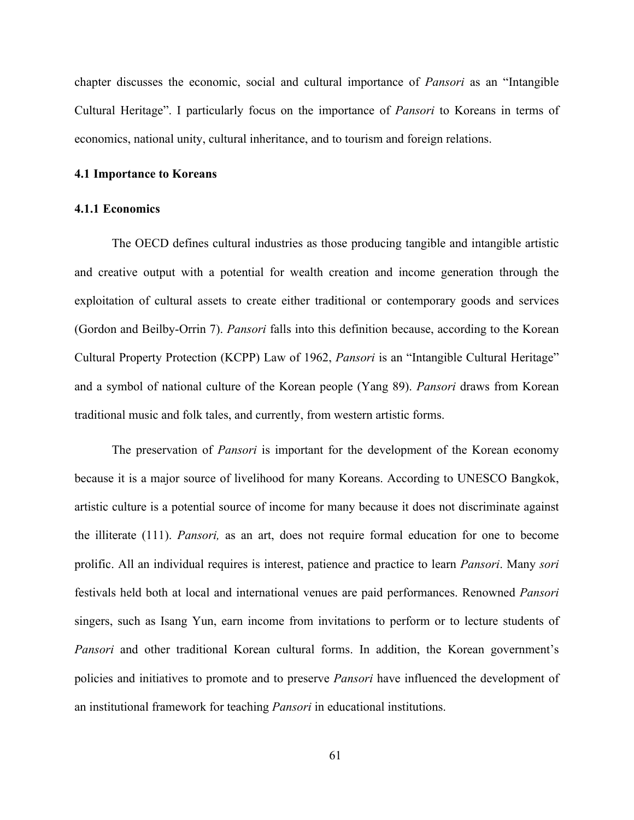chapter discusses the economic, social and cultural importance of *Pansori* as an "Intangible Cultural Heritage". I particularly focus on the importance of *Pansori* to Koreans in terms of economics, national unity, cultural inheritance, and to tourism and foreign relations.

## **4.1 Importance to Koreans**

## **4.1.1 Economics**

The OECD defines cultural industries as those producing tangible and intangible artistic and creative output with a potential for wealth creation and income generation through the exploitation of cultural assets to create either traditional or contemporary goods and services (Gordon and Beilby-Orrin 7). *Pansori* falls into this definition because, according to the Korean Cultural Property Protection (KCPP) Law of 1962, *Pansori* is an "Intangible Cultural Heritage" and a symbol of national culture of the Korean people (Yang 89). *Pansori* draws from Korean traditional music and folk tales, and currently, from western artistic forms.

The preservation of *Pansori* is important for the development of the Korean economy because it is a major source of livelihood for many Koreans. According to UNESCO Bangkok, artistic culture is a potential source of income for many because it does not discriminate against the illiterate (111). *Pansori,* as an art, does not require formal education for one to become prolific. All an individual requires is interest, patience and practice to learn *Pansori*. Many *sori* festivals held both at local and international venues are paid performances. Renowned *Pansori* singers, such as Isang Yun, earn income from invitations to perform or to lecture students of *Pansori* and other traditional Korean cultural forms. In addition, the Korean government's policies and initiatives to promote and to preserve *Pansori* have influenced the development of an institutional framework for teaching *Pansori* in educational institutions.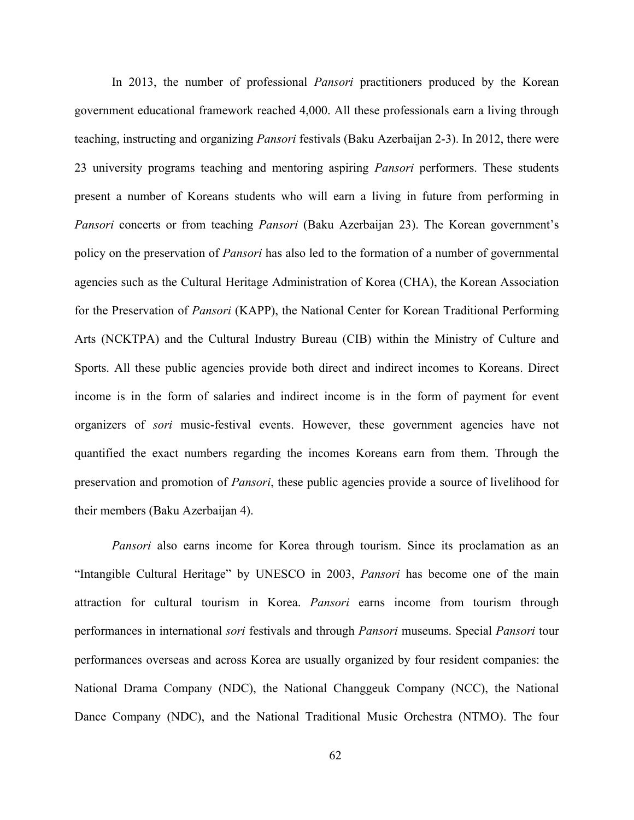In 2013, the number of professional *Pansori* practitioners produced by the Korean government educational framework reached 4,000. All these professionals earn a living through teaching, instructing and organizing *Pansori* festivals (Baku Azerbaijan 2-3). In 2012, there were 23 university programs teaching and mentoring aspiring *Pansori* performers. These students present a number of Koreans students who will earn a living in future from performing in *Pansori* concerts or from teaching *Pansori* (Baku Azerbaijan 23). The Korean government's policy on the preservation of *Pansori* has also led to the formation of a number of governmental agencies such as the Cultural Heritage Administration of Korea (CHA), the Korean Association for the Preservation of *Pansori* (KAPP), the National Center for Korean Traditional Performing Arts (NCKTPA) and the Cultural Industry Bureau (CIB) within the Ministry of Culture and Sports. All these public agencies provide both direct and indirect incomes to Koreans. Direct income is in the form of salaries and indirect income is in the form of payment for event organizers of *sori* music-festival events. However, these government agencies have not quantified the exact numbers regarding the incomes Koreans earn from them. Through the preservation and promotion of *Pansori*, these public agencies provide a source of livelihood for their members (Baku Azerbaijan 4).

*Pansori* also earns income for Korea through tourism. Since its proclamation as an "Intangible Cultural Heritage" by UNESCO in 2003, *Pansori* has become one of the main attraction for cultural tourism in Korea. *Pansori* earns income from tourism through performances in international *sori* festivals and through *Pansori* museums. Special *Pansori* tour performances overseas and across Korea are usually organized by four resident companies: the National Drama Company (NDC), the National Changgeuk Company (NCC), the National Dance Company (NDC), and the National Traditional Music Orchestra (NTMO). The four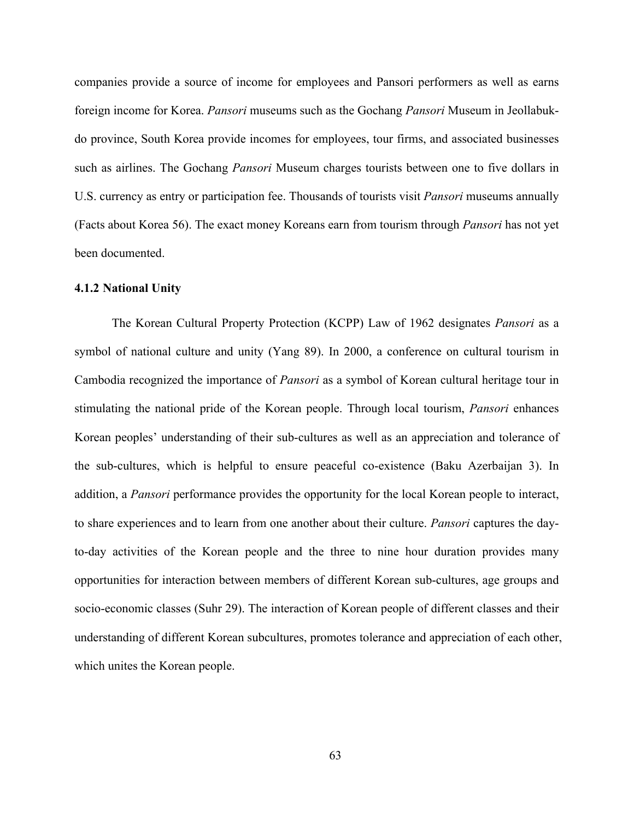companies provide a source of income for employees and Pansori performers as well as earns foreign income for Korea. *Pansori* museums such as the Gochang *Pansori* Museum in Jeollabukdo province, South Korea provide incomes for employees, tour firms, and associated businesses such as airlines. The Gochang *Pansori* Museum charges tourists between one to five dollars in U.S. currency as entry or participation fee. Thousands of tourists visit *Pansori* museums annually (Facts about Korea 56). The exact money Koreans earn from tourism through *Pansori* has not yet been documented.

## **4.1.2 National Unity**

The Korean Cultural Property Protection (KCPP) Law of 1962 designates *Pansori* as a symbol of national culture and unity (Yang 89). In 2000, a conference on cultural tourism in Cambodia recognized the importance of *Pansori* as a symbol of Korean cultural heritage tour in stimulating the national pride of the Korean people. Through local tourism, *Pansori* enhances Korean peoples' understanding of their sub-cultures as well as an appreciation and tolerance of the sub-cultures, which is helpful to ensure peaceful co-existence (Baku Azerbaijan 3). In addition, a *Pansori* performance provides the opportunity for the local Korean people to interact, to share experiences and to learn from one another about their culture. *Pansori* captures the dayto-day activities of the Korean people and the three to nine hour duration provides many opportunities for interaction between members of different Korean sub-cultures, age groups and socio-economic classes (Suhr 29). The interaction of Korean people of different classes and their understanding of different Korean subcultures, promotes tolerance and appreciation of each other, which unites the Korean people.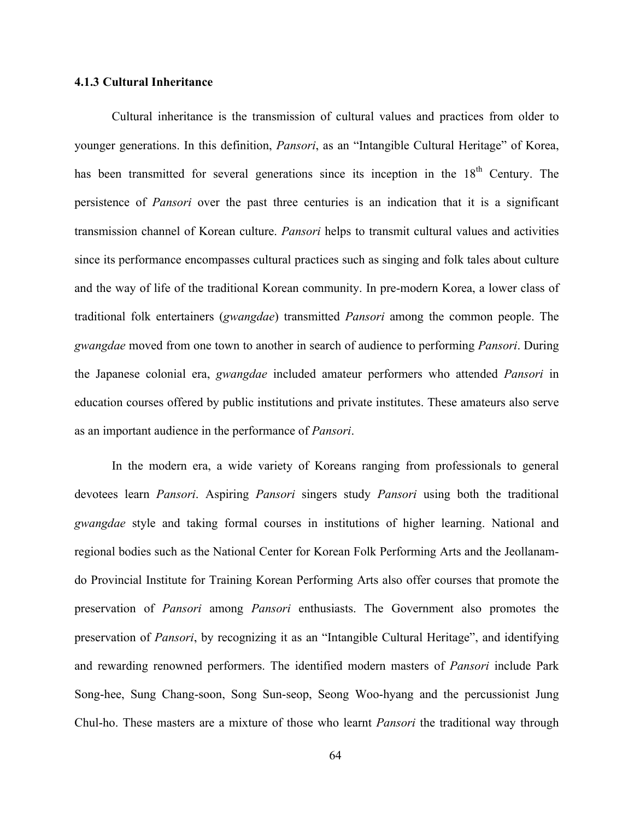## **4.1.3 Cultural Inheritance**

Cultural inheritance is the transmission of cultural values and practices from older to younger generations. In this definition, *Pansori*, as an "Intangible Cultural Heritage" of Korea, has been transmitted for several generations since its inception in the 18<sup>th</sup> Century. The persistence of *Pansori* over the past three centuries is an indication that it is a significant transmission channel of Korean culture. *Pansori* helps to transmit cultural values and activities since its performance encompasses cultural practices such as singing and folk tales about culture and the way of life of the traditional Korean community. In pre-modern Korea, a lower class of traditional folk entertainers (*gwangdae*) transmitted *Pansori* among the common people. The *gwangdae* moved from one town to another in search of audience to performing *Pansori*. During the Japanese colonial era, *gwangdae* included amateur performers who attended *Pansori* in education courses offered by public institutions and private institutes. These amateurs also serve as an important audience in the performance of *Pansori*.

In the modern era, a wide variety of Koreans ranging from professionals to general devotees learn *Pansori*. Aspiring *Pansori* singers study *Pansori* using both the traditional *gwangdae* style and taking formal courses in institutions of higher learning. National and regional bodies such as the National Center for Korean Folk Performing Arts and the Jeollanamdo Provincial Institute for Training Korean Performing Arts also offer courses that promote the preservation of *Pansori* among *Pansori* enthusiasts. The Government also promotes the preservation of *Pansori*, by recognizing it as an "Intangible Cultural Heritage", and identifying and rewarding renowned performers. The identified modern masters of *Pansori* include Park Song-hee, Sung Chang-soon, Song Sun-seop, Seong Woo-hyang and the percussionist Jung Chul-ho. These masters are a mixture of those who learnt *Pansori* the traditional way through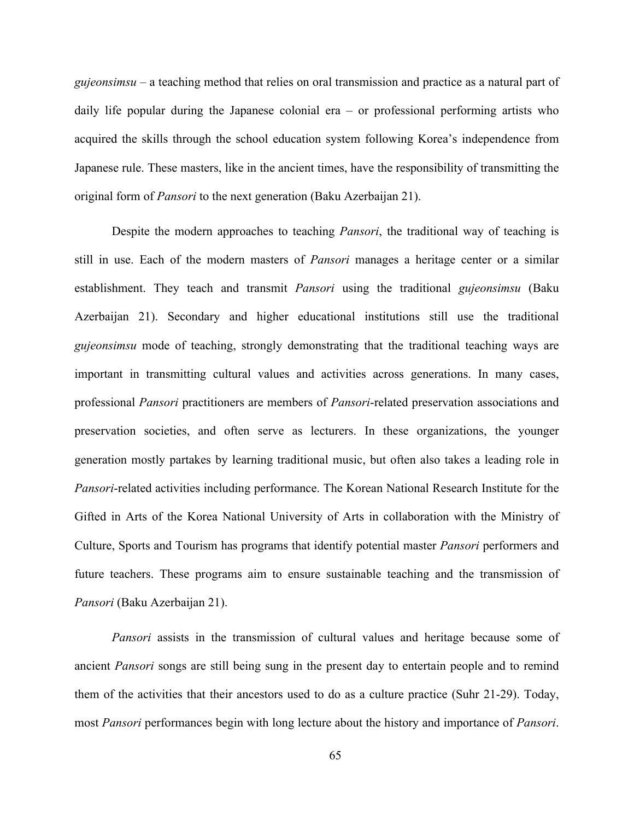*gujeonsimsu* – a teaching method that relies on oral transmission and practice as a natural part of daily life popular during the Japanese colonial era – or professional performing artists who acquired the skills through the school education system following Korea's independence from Japanese rule. These masters, like in the ancient times, have the responsibility of transmitting the original form of *Pansori* to the next generation (Baku Azerbaijan 21).

Despite the modern approaches to teaching *Pansori*, the traditional way of teaching is still in use. Each of the modern masters of *Pansori* manages a heritage center or a similar establishment. They teach and transmit *Pansori* using the traditional *gujeonsimsu* (Baku Azerbaijan 21). Secondary and higher educational institutions still use the traditional *gujeonsimsu* mode of teaching, strongly demonstrating that the traditional teaching ways are important in transmitting cultural values and activities across generations. In many cases, professional *Pansori* practitioners are members of *Pansori*-related preservation associations and preservation societies, and often serve as lecturers. In these organizations, the younger generation mostly partakes by learning traditional music, but often also takes a leading role in *Pansori*-related activities including performance. The Korean National Research Institute for the Gifted in Arts of the Korea National University of Arts in collaboration with the Ministry of Culture, Sports and Tourism has programs that identify potential master *Pansori* performers and future teachers. These programs aim to ensure sustainable teaching and the transmission of *Pansori* (Baku Azerbaijan 21).

*Pansori* assists in the transmission of cultural values and heritage because some of ancient *Pansori* songs are still being sung in the present day to entertain people and to remind them of the activities that their ancestors used to do as a culture practice (Suhr 21-29). Today, most *Pansori* performances begin with long lecture about the history and importance of *Pansori*.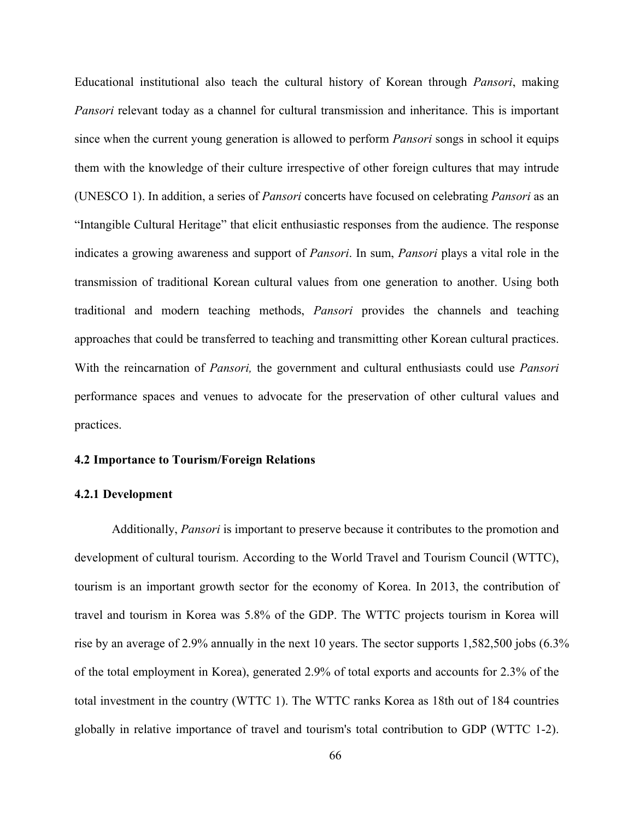Educational institutional also teach the cultural history of Korean through *Pansori*, making *Pansori* relevant today as a channel for cultural transmission and inheritance. This is important since when the current young generation is allowed to perform *Pansori* songs in school it equips them with the knowledge of their culture irrespective of other foreign cultures that may intrude (UNESCO 1). In addition, a series of *Pansori* concerts have focused on celebrating *Pansori* as an "Intangible Cultural Heritage" that elicit enthusiastic responses from the audience. The response indicates a growing awareness and support of *Pansori*. In sum, *Pansori* plays a vital role in the transmission of traditional Korean cultural values from one generation to another. Using both traditional and modern teaching methods, *Pansori* provides the channels and teaching approaches that could be transferred to teaching and transmitting other Korean cultural practices. With the reincarnation of *Pansori,* the government and cultural enthusiasts could use *Pansori* performance spaces and venues to advocate for the preservation of other cultural values and practices.

# **4.2 Importance to Tourism/Foreign Relations**

## **4.2.1 Development**

Additionally, *Pansori* is important to preserve because it contributes to the promotion and development of cultural tourism. According to the World Travel and Tourism Council (WTTC), tourism is an important growth sector for the economy of Korea. In 2013, the contribution of travel and tourism in Korea was 5.8% of the GDP. The WTTC projects tourism in Korea will rise by an average of 2.9% annually in the next 10 years. The sector supports 1,582,500 jobs (6.3% of the total employment in Korea), generated 2.9% of total exports and accounts for 2.3% of the total investment in the country (WTTC 1). The WTTC ranks Korea as 18th out of 184 countries globally in relative importance of travel and tourism's total contribution to GDP (WTTC 1-2).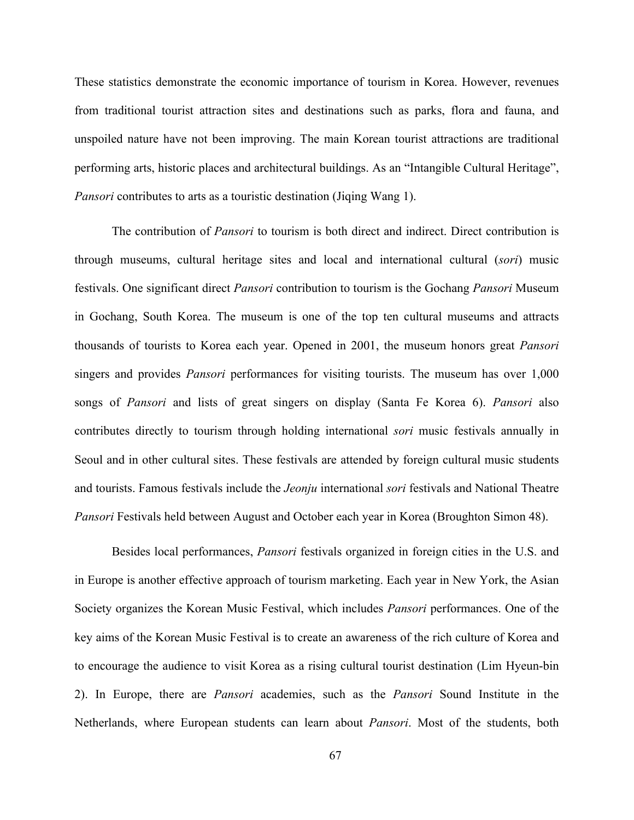These statistics demonstrate the economic importance of tourism in Korea. However, revenues from traditional tourist attraction sites and destinations such as parks, flora and fauna, and unspoiled nature have not been improving. The main Korean tourist attractions are traditional performing arts, historic places and architectural buildings. As an "Intangible Cultural Heritage", *Pansori* contributes to arts as a touristic destination (Jiqing Wang 1).

The contribution of *Pansori* to tourism is both direct and indirect. Direct contribution is through museums, cultural heritage sites and local and international cultural (*sori*) music festivals. One significant direct *Pansori* contribution to tourism is the Gochang *Pansori* Museum in Gochang, South Korea. The museum is one of the top ten cultural museums and attracts thousands of tourists to Korea each year. Opened in 2001, the museum honors great *Pansori* singers and provides *Pansori* performances for visiting tourists. The museum has over 1,000 songs of *Pansori* and lists of great singers on display (Santa Fe Korea 6). *Pansori* also contributes directly to tourism through holding international *sori* music festivals annually in Seoul and in other cultural sites. These festivals are attended by foreign cultural music students and tourists. Famous festivals include the *Jeonju* international *sori* festivals and National Theatre *Pansori* Festivals held between August and October each year in Korea (Broughton Simon 48).

Besides local performances, *Pansori* festivals organized in foreign cities in the U.S. and in Europe is another effective approach of tourism marketing. Each year in New York, the Asian Society organizes the Korean Music Festival, which includes *Pansori* performances. One of the key aims of the Korean Music Festival is to create an awareness of the rich culture of Korea and to encourage the audience to visit Korea as a rising cultural tourist destination (Lim Hyeun-bin 2). In Europe, there are *Pansori* academies, such as the *Pansori* Sound Institute in the Netherlands, where European students can learn about *Pansori*. Most of the students, both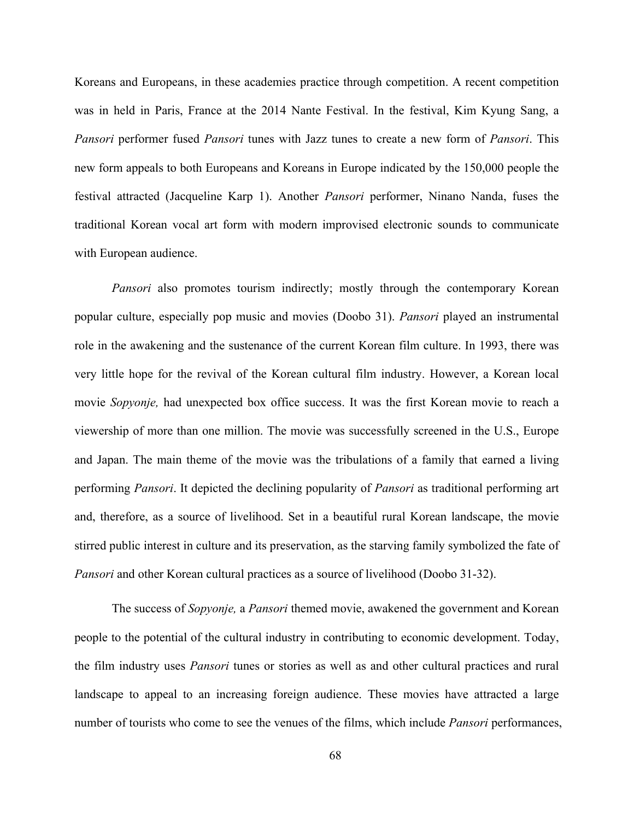Koreans and Europeans, in these academies practice through competition. A recent competition was in held in Paris, France at the 2014 Nante Festival. In the festival, Kim Kyung Sang, a *Pansori* performer fused *Pansori* tunes with Jazz tunes to create a new form of *Pansori*. This new form appeals to both Europeans and Koreans in Europe indicated by the 150,000 people the festival attracted (Jacqueline Karp 1). Another *Pansori* performer, Ninano Nanda, fuses the traditional Korean vocal art form with modern improvised electronic sounds to communicate with European audience.

*Pansori* also promotes tourism indirectly; mostly through the contemporary Korean popular culture, especially pop music and movies (Doobo 31). *Pansori* played an instrumental role in the awakening and the sustenance of the current Korean film culture. In 1993, there was very little hope for the revival of the Korean cultural film industry. However, a Korean local movie *Sopyonje,* had unexpected box office success. It was the first Korean movie to reach a viewership of more than one million. The movie was successfully screened in the U.S., Europe and Japan. The main theme of the movie was the tribulations of a family that earned a living performing *Pansori*. It depicted the declining popularity of *Pansori* as traditional performing art and, therefore, as a source of livelihood. Set in a beautiful rural Korean landscape, the movie stirred public interest in culture and its preservation, as the starving family symbolized the fate of *Pansori* and other Korean cultural practices as a source of livelihood (Doobo 31-32).

The success of *Sopyonje,* a *Pansori* themed movie, awakened the government and Korean people to the potential of the cultural industry in contributing to economic development. Today, the film industry uses *Pansori* tunes or stories as well as and other cultural practices and rural landscape to appeal to an increasing foreign audience. These movies have attracted a large number of tourists who come to see the venues of the films, which include *Pansori* performances,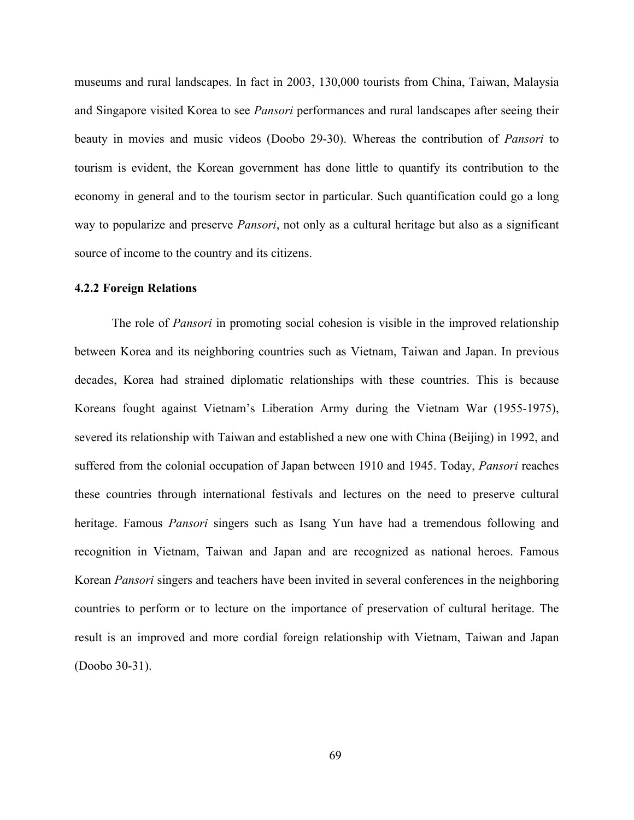museums and rural landscapes. In fact in 2003, 130,000 tourists from China, Taiwan, Malaysia and Singapore visited Korea to see *Pansori* performances and rural landscapes after seeing their beauty in movies and music videos (Doobo 29-30). Whereas the contribution of *Pansori* to tourism is evident, the Korean government has done little to quantify its contribution to the economy in general and to the tourism sector in particular. Such quantification could go a long way to popularize and preserve *Pansori*, not only as a cultural heritage but also as a significant source of income to the country and its citizens.

## **4.2.2 Foreign Relations**

The role of *Pansori* in promoting social cohesion is visible in the improved relationship between Korea and its neighboring countries such as Vietnam, Taiwan and Japan. In previous decades, Korea had strained diplomatic relationships with these countries. This is because Koreans fought against Vietnam's Liberation Army during the Vietnam War (1955-1975), severed its relationship with Taiwan and established a new one with China (Beijing) in 1992, and suffered from the colonial occupation of Japan between 1910 and 1945. Today, *Pansori* reaches these countries through international festivals and lectures on the need to preserve cultural heritage. Famous *Pansori* singers such as Isang Yun have had a tremendous following and recognition in Vietnam, Taiwan and Japan and are recognized as national heroes. Famous Korean *Pansori* singers and teachers have been invited in several conferences in the neighboring countries to perform or to lecture on the importance of preservation of cultural heritage. The result is an improved and more cordial foreign relationship with Vietnam, Taiwan and Japan (Doobo 30-31).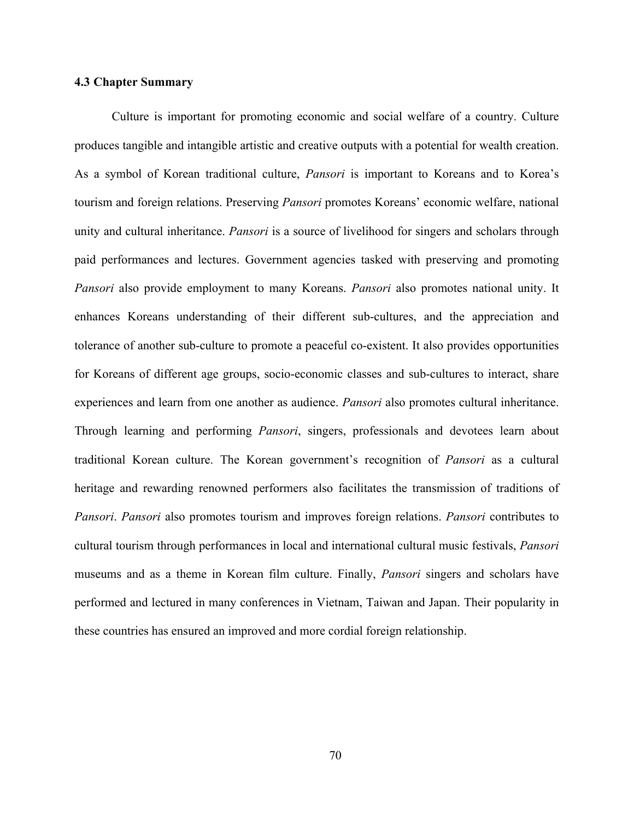# **4.3 Chapter Summary**

Culture is important for promoting economic and social welfare of a country. Culture produces tangible and intangible artistic and creative outputs with a potential for wealth creation. As a symbol of Korean traditional culture, *Pansori* is important to Koreans and to Korea's tourism and foreign relations. Preserving *Pansori* promotes Koreans' economic welfare, national unity and cultural inheritance. *Pansori* is a source of livelihood for singers and scholars through paid performances and lectures. Government agencies tasked with preserving and promoting *Pansori* also provide employment to many Koreans. *Pansori* also promotes national unity. It enhances Koreans understanding of their different sub-cultures, and the appreciation and tolerance of another sub-culture to promote a peaceful co-existent. It also provides opportunities for Koreans of different age groups, socio-economic classes and sub-cultures to interact, share experiences and learn from one another as audience. *Pansori* also promotes cultural inheritance. Through learning and performing *Pansori*, singers, professionals and devotees learn about traditional Korean culture. The Korean government's recognition of *Pansori* as a cultural heritage and rewarding renowned performers also facilitates the transmission of traditions of *Pansori*. *Pansori* also promotes tourism and improves foreign relations. *Pansori* contributes to cultural tourism through performances in local and international cultural music festivals, *Pansori* museums and as a theme in Korean film culture. Finally, *Pansori* singers and scholars have performed and lectured in many conferences in Vietnam, Taiwan and Japan. Their popularity in these countries has ensured an improved and more cordial foreign relationship.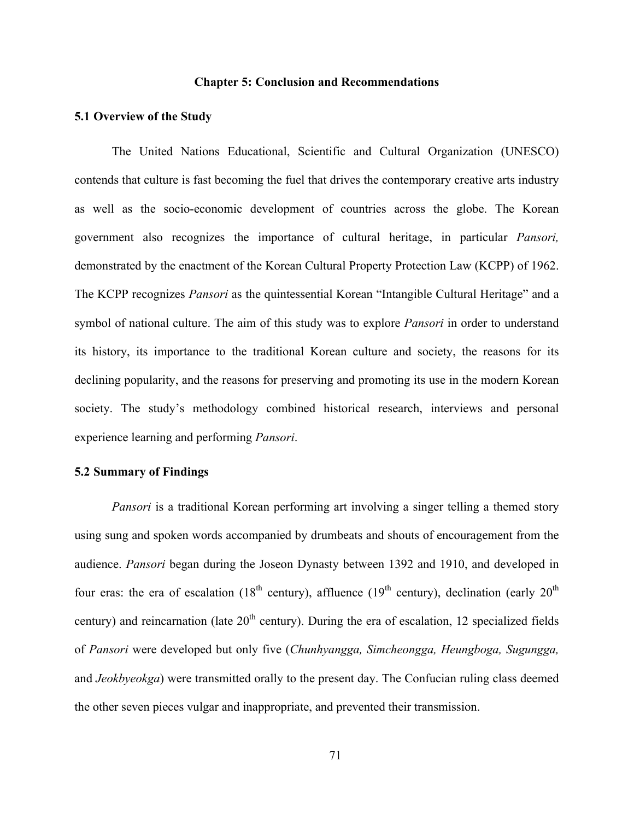# **Chapter 5: Conclusion and Recommendations**

# **5.1 Overview of the Study**

The United Nations Educational, Scientific and Cultural Organization (UNESCO) contends that culture is fast becoming the fuel that drives the contemporary creative arts industry as well as the socio-economic development of countries across the globe. The Korean government also recognizes the importance of cultural heritage, in particular *Pansori,*  demonstrated by the enactment of the Korean Cultural Property Protection Law (KCPP) of 1962. The KCPP recognizes *Pansori* as the quintessential Korean "Intangible Cultural Heritage" and a symbol of national culture. The aim of this study was to explore *Pansori* in order to understand its history, its importance to the traditional Korean culture and society, the reasons for its declining popularity, and the reasons for preserving and promoting its use in the modern Korean society. The study's methodology combined historical research, interviews and personal experience learning and performing *Pansori*.

# **5.2 Summary of Findings**

*Pansori* is a traditional Korean performing art involving a singer telling a themed story using sung and spoken words accompanied by drumbeats and shouts of encouragement from the audience. *Pansori* began during the Joseon Dynasty between 1392 and 1910, and developed in four eras: the era of escalation (18<sup>th</sup> century), affluence (19<sup>th</sup> century), declination (early 20<sup>th</sup>) century) and reincarnation (late  $20<sup>th</sup>$  century). During the era of escalation, 12 specialized fields of *Pansori* were developed but only five (*Chunhyangga, Simcheongga, Heungboga, Sugungga,* and *Jeokbyeokga*) were transmitted orally to the present day. The Confucian ruling class deemed the other seven pieces vulgar and inappropriate, and prevented their transmission.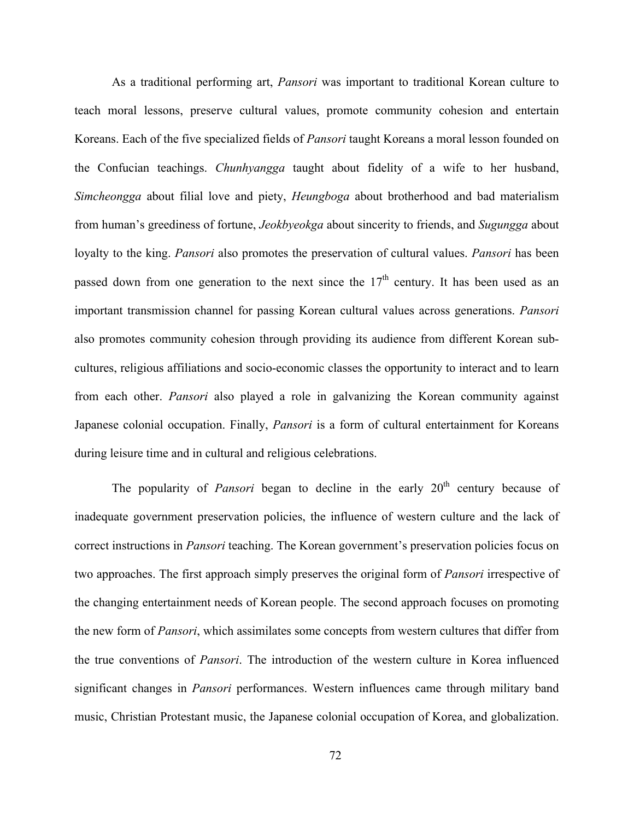As a traditional performing art, *Pansori* was important to traditional Korean culture to teach moral lessons, preserve cultural values, promote community cohesion and entertain Koreans. Each of the five specialized fields of *Pansori* taught Koreans a moral lesson founded on the Confucian teachings. *Chunhyangga* taught about fidelity of a wife to her husband, *Simcheongga* about filial love and piety, *Heungboga* about brotherhood and bad materialism from human's greediness of fortune, *Jeokbyeokga* about sincerity to friends, and *Sugungga* about loyalty to the king. *Pansori* also promotes the preservation of cultural values. *Pansori* has been passed down from one generation to the next since the  $17<sup>th</sup>$  century. It has been used as an important transmission channel for passing Korean cultural values across generations. *Pansori* also promotes community cohesion through providing its audience from different Korean subcultures, religious affiliations and socio-economic classes the opportunity to interact and to learn from each other. *Pansori* also played a role in galvanizing the Korean community against Japanese colonial occupation. Finally, *Pansori* is a form of cultural entertainment for Koreans during leisure time and in cultural and religious celebrations.

The popularity of *Pansori* began to decline in the early 20<sup>th</sup> century because of inadequate government preservation policies, the influence of western culture and the lack of correct instructions in *Pansori* teaching. The Korean government's preservation policies focus on two approaches. The first approach simply preserves the original form of *Pansori* irrespective of the changing entertainment needs of Korean people. The second approach focuses on promoting the new form of *Pansori*, which assimilates some concepts from western cultures that differ from the true conventions of *Pansori*. The introduction of the western culture in Korea influenced significant changes in *Pansori* performances. Western influences came through military band music, Christian Protestant music, the Japanese colonial occupation of Korea, and globalization.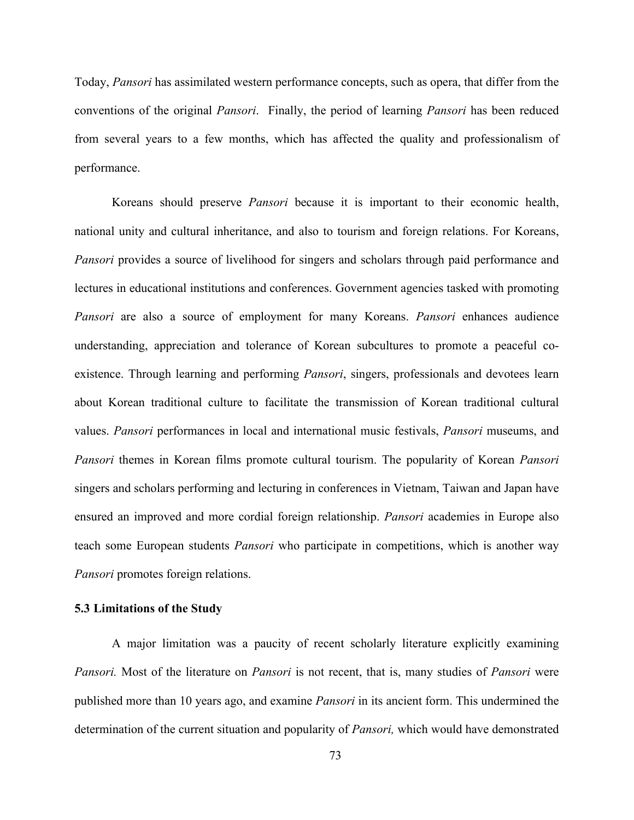Today, *Pansori* has assimilated western performance concepts, such as opera, that differ from the conventions of the original *Pansori*. Finally, the period of learning *Pansori* has been reduced from several years to a few months, which has affected the quality and professionalism of performance.

Koreans should preserve *Pansori* because it is important to their economic health, national unity and cultural inheritance, and also to tourism and foreign relations. For Koreans, *Pansori* provides a source of livelihood for singers and scholars through paid performance and lectures in educational institutions and conferences. Government agencies tasked with promoting *Pansori* are also a source of employment for many Koreans. *Pansori* enhances audience understanding, appreciation and tolerance of Korean subcultures to promote a peaceful coexistence. Through learning and performing *Pansori*, singers, professionals and devotees learn about Korean traditional culture to facilitate the transmission of Korean traditional cultural values. *Pansori* performances in local and international music festivals, *Pansori* museums, and *Pansori* themes in Korean films promote cultural tourism. The popularity of Korean *Pansori* singers and scholars performing and lecturing in conferences in Vietnam, Taiwan and Japan have ensured an improved and more cordial foreign relationship. *Pansori* academies in Europe also teach some European students *Pansori* who participate in competitions, which is another way *Pansori* promotes foreign relations.

# **5.3 Limitations of the Study**

A major limitation was a paucity of recent scholarly literature explicitly examining *Pansori.* Most of the literature on *Pansori* is not recent, that is, many studies of *Pansori* were published more than 10 years ago, and examine *Pansori* in its ancient form. This undermined the determination of the current situation and popularity of *Pansori,* which would have demonstrated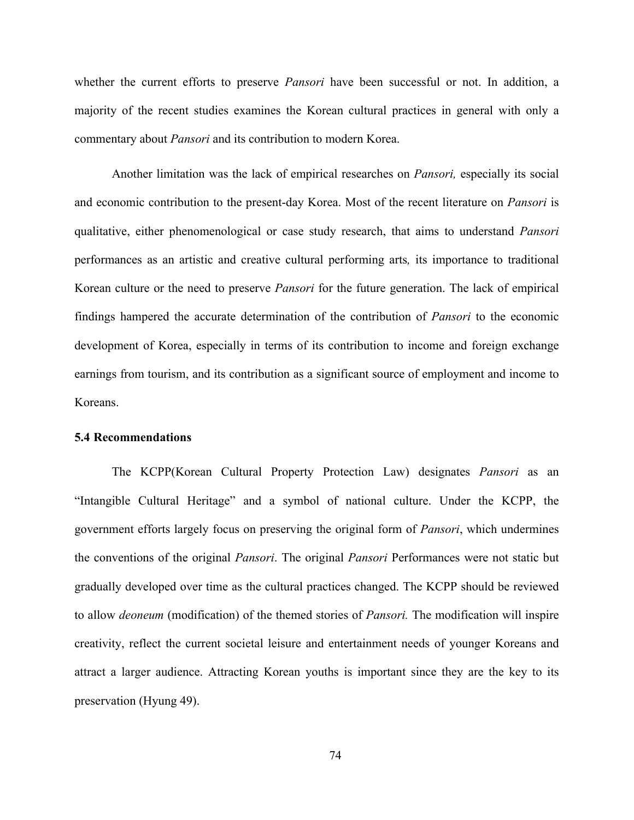whether the current efforts to preserve *Pansori* have been successful or not. In addition, a majority of the recent studies examines the Korean cultural practices in general with only a commentary about *Pansori* and its contribution to modern Korea.

Another limitation was the lack of empirical researches on *Pansori,* especially its social and economic contribution to the present-day Korea. Most of the recent literature on *Pansori* is qualitative, either phenomenological or case study research, that aims to understand *Pansori* performances as an artistic and creative cultural performing arts*,* its importance to traditional Korean culture or the need to preserve *Pansori* for the future generation. The lack of empirical findings hampered the accurate determination of the contribution of *Pansori* to the economic development of Korea, especially in terms of its contribution to income and foreign exchange earnings from tourism, and its contribution as a significant source of employment and income to Koreans.

#### **5.4 Recommendations**

The KCPP(Korean Cultural Property Protection Law) designates *Pansori* as an "Intangible Cultural Heritage" and a symbol of national culture. Under the KCPP, the government efforts largely focus on preserving the original form of *Pansori*, which undermines the conventions of the original *Pansori*. The original *Pansori* Performances were not static but gradually developed over time as the cultural practices changed. The KCPP should be reviewed to allow *deoneum* (modification) of the themed stories of *Pansori.* The modification will inspire creativity, reflect the current societal leisure and entertainment needs of younger Koreans and attract a larger audience. Attracting Korean youths is important since they are the key to its preservation (Hyung 49).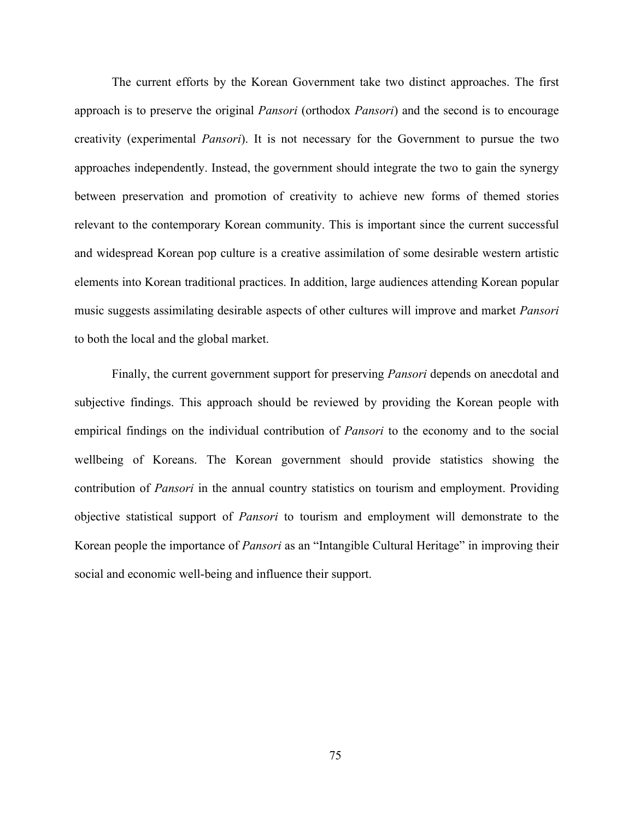The current efforts by the Korean Government take two distinct approaches. The first approach is to preserve the original *Pansori* (orthodox *Pansori*) and the second is to encourage creativity (experimental *Pansori*). It is not necessary for the Government to pursue the two approaches independently. Instead, the government should integrate the two to gain the synergy between preservation and promotion of creativity to achieve new forms of themed stories relevant to the contemporary Korean community. This is important since the current successful and widespread Korean pop culture is a creative assimilation of some desirable western artistic elements into Korean traditional practices. In addition, large audiences attending Korean popular music suggests assimilating desirable aspects of other cultures will improve and market *Pansori* to both the local and the global market.

Finally, the current government support for preserving *Pansori* depends on anecdotal and subjective findings. This approach should be reviewed by providing the Korean people with empirical findings on the individual contribution of *Pansori* to the economy and to the social wellbeing of Koreans. The Korean government should provide statistics showing the contribution of *Pansori* in the annual country statistics on tourism and employment. Providing objective statistical support of *Pansori* to tourism and employment will demonstrate to the Korean people the importance of *Pansori* as an "Intangible Cultural Heritage" in improving their social and economic well-being and influence their support.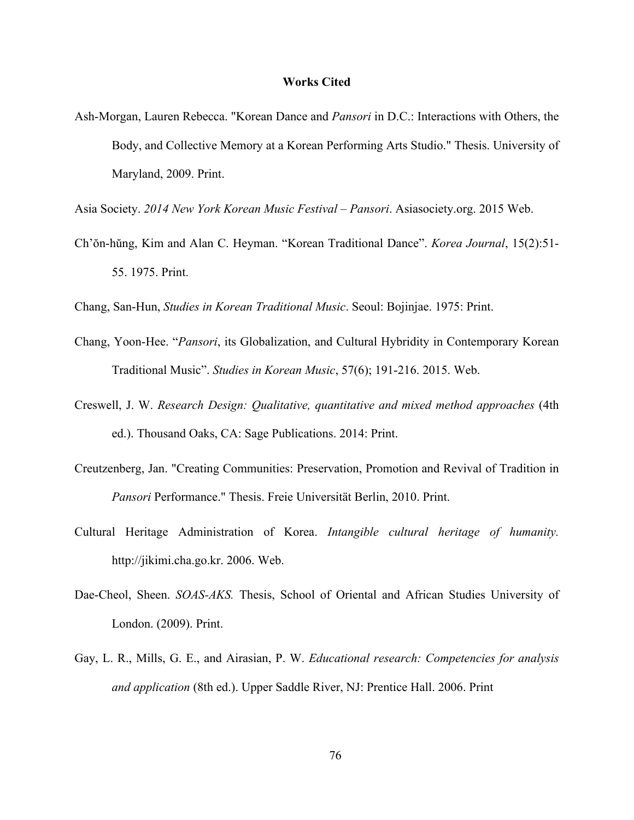## **Works Cited**

- Ash-Morgan, Lauren Rebecca. "Korean Dance and *Pansori* in D.C.: Interactions with Others, the Body, and Collective Memory at a Korean Performing Arts Studio." Thesis. University of Maryland, 2009. Print.
- Asia Society. *2014 New York Korean Music Festival – Pansori*. Asiasociety.org. 2015 Web.
- Ch'ŏn-hŭng, Kim and Alan C. Heyman. "Korean Traditional Dance". *Korea Journal*, 15(2):51- 55. 1975. Print.
- Chang, San-Hun, *Studies in Korean Traditional Music*. Seoul: Bojinjae. 1975: Print.
- Chang, Yoon-Hee. "*Pansori*, its Globalization, and Cultural Hybridity in Contemporary Korean Traditional Music". *Studies in Korean Music*, 57(6); 191-216. 2015. Web.
- Creswell, J. W. *Research Design: Qualitative, quantitative and mixed method approaches* (4th ed.). Thousand Oaks, CA: Sage Publications. 2014: Print.
- Creutzenberg, Jan. "Creating Communities: Preservation, Promotion and Revival of Tradition in *Pansori* Performance." Thesis. Freie Universität Berlin, 2010. Print.
- Cultural Heritage Administration of Korea. *Intangible cultural heritage of humanity.* http://jikimi.cha.go.kr. 2006. Web.
- Dae-Cheol, Sheen. *SOAS-AKS.* Thesis, School of Oriental and African Studies University of London. (2009). Print.
- Gay, L. R., Mills, G. E., and Airasian, P. W. *Educational research: Competencies for analysis and application* (8th ed.). Upper Saddle River, NJ: Prentice Hall. 2006. Print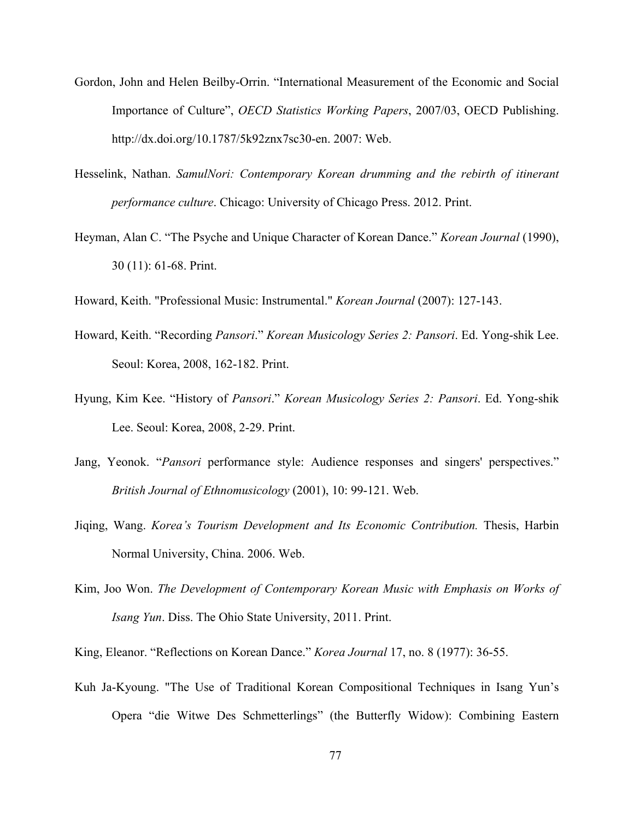- Gordon, John and Helen Beilby-Orrin. "International Measurement of the Economic and Social Importance of Culture", *OECD Statistics Working Papers*, 2007/03, OECD Publishing. http://dx.doi.org/10.1787/5k92znx7sc30-en. 2007: Web.
- Hesselink, Nathan. *SamulNori: Contemporary Korean drumming and the rebirth of itinerant performance culture*. Chicago: University of Chicago Press. 2012. Print.
- Heyman, Alan C. "The Psyche and Unique Character of Korean Dance." *Korean Journal* (1990), 30 (11): 61-68. Print.
- Howard, Keith. "Professional Music: Instrumental." *Korean Journal* (2007): 127-143.
- Howard, Keith. "Recording *Pansori*." *Korean Musicology Series 2: Pansori*. Ed. Yong-shik Lee. Seoul: Korea, 2008, 162-182. Print.
- Hyung, Kim Kee. "History of *Pansori*." *Korean Musicology Series 2: Pansori*. Ed. Yong-shik Lee. Seoul: Korea, 2008, 2-29. Print.
- Jang, Yeonok. "*Pansori* performance style: Audience responses and singers' perspectives." *British Journal of Ethnomusicology* (2001), 10: 99-121. Web.
- Jiqing, Wang. *Korea's Tourism Development and Its Economic Contribution.* Thesis, Harbin Normal University, China. 2006. Web.
- Kim, Joo Won. *The Development of Contemporary Korean Music with Emphasis on Works of Isang Yun*. Diss. The Ohio State University, 2011. Print.
- King, Eleanor. "Reflections on Korean Dance." *Korea Journal* 17, no. 8 (1977): 36-55.
- Kuh Ja-Kyoung. "The Use of Traditional Korean Compositional Techniques in Isang Yun's Opera "die Witwe Des Schmetterlings" (the Butterfly Widow): Combining Eastern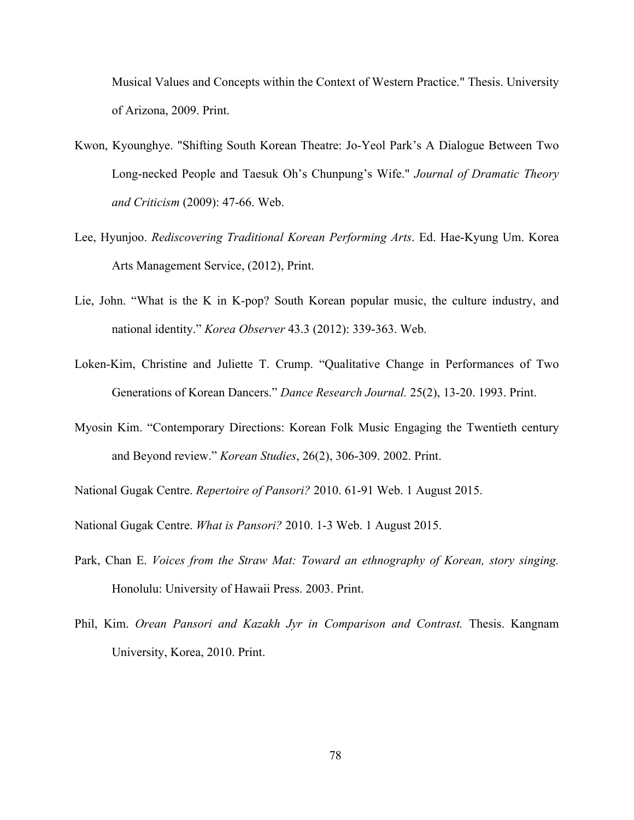Musical Values and Concepts within the Context of Western Practice." Thesis. University of Arizona, 2009. Print.

- Kwon, Kyounghye. "Shifting South Korean Theatre: Jo-Yeol Park's A Dialogue Between Two Long-necked People and Taesuk Oh's Chunpung's Wife." *Journal of Dramatic Theory and Criticism* (2009): 47-66. Web.
- Lee, Hyunjoo. *Rediscovering Traditional Korean Performing Arts*. Ed. Hae-Kyung Um. Korea Arts Management Service, (2012), Print.
- Lie, John. "What is the K in K-pop? South Korean popular music, the culture industry, and national identity." *Korea Observer* 43.3 (2012): 339-363. Web.
- Loken-Kim, Christine and Juliette T. Crump. "Qualitative Change in Performances of Two Generations of Korean Dancers." *Dance Research Journal.* 25(2), 13-20. 1993. Print.
- Myosin Kim. "Contemporary Directions: Korean Folk Music Engaging the Twentieth century and Beyond review." *Korean Studies*, 26(2), 306-309. 2002. Print.
- National Gugak Centre. *Repertoire of Pansori?* 2010. 61-91 Web. 1 August 2015.
- National Gugak Centre. *What is Pansori?* 2010. 1-3 Web. 1 August 2015.
- Park, Chan E. *Voices from the Straw Mat: Toward an ethnography of Korean, story singing.* Honolulu: University of Hawaii Press. 2003. Print.
- Phil, Kim. *Orean Pansori and Kazakh Jyr in Comparison and Contrast.* Thesis. Kangnam University, Korea, 2010. Print.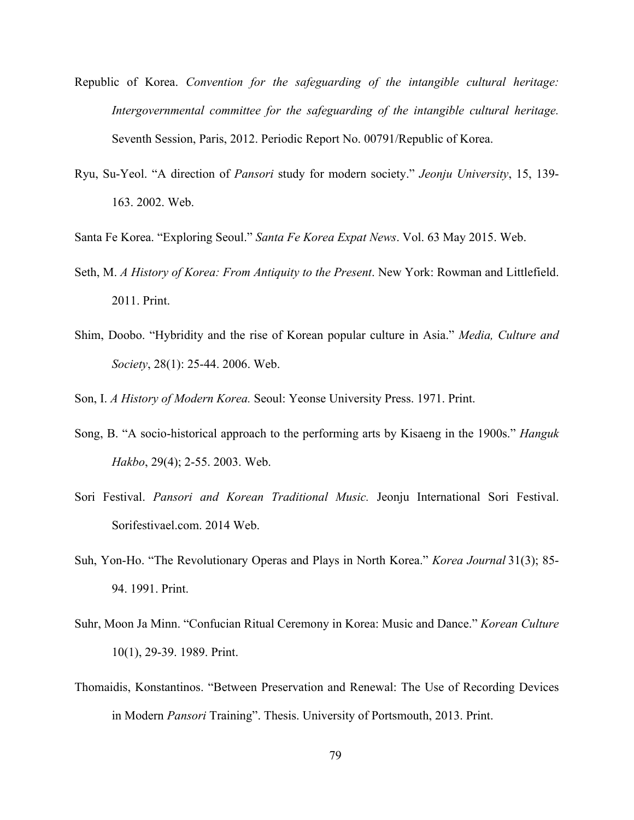- Republic of Korea. *Convention for the safeguarding of the intangible cultural heritage: Intergovernmental committee for the safeguarding of the intangible cultural heritage.* Seventh Session, Paris, 2012. Periodic Report No. 00791/Republic of Korea.
- Ryu, Su-Yeol. "A direction of *Pansori* study for modern society." *Jeonju University*, 15, 139- 163. 2002. Web.
- Santa Fe Korea. "Exploring Seoul." *Santa Fe Korea Expat News*. Vol. 63 May 2015. Web.
- Seth, M. *A History of Korea: From Antiquity to the Present*. New York: Rowman and Littlefield. 2011. Print.
- Shim, Doobo. "Hybridity and the rise of Korean popular culture in Asia." *Media, Culture and Society*, 28(1): 25-44. 2006. Web.
- Son, I. *A History of Modern Korea.* Seoul: Yeonse University Press. 1971. Print.
- Song, B. "A socio-historical approach to the performing arts by Kisaeng in the 1900s." *Hanguk Hakbo*, 29(4); 2-55. 2003. Web.
- Sori Festival. *Pansori and Korean Traditional Music.* Jeonju International Sori Festival. Sorifestivael.com. 2014 Web.
- Suh, Yon-Ho. "The Revolutionary Operas and Plays in North Korea." *Korea Journal* 31(3); 85- 94. 1991. Print.
- Suhr, Moon Ja Minn. "Confucian Ritual Ceremony in Korea: Music and Dance." *Korean Culture* 10(1), 29-39. 1989. Print.
- Thomaidis, Konstantinos. "Between Preservation and Renewal: The Use of Recording Devices in Modern *Pansori* Training". Thesis. University of Portsmouth, 2013. Print.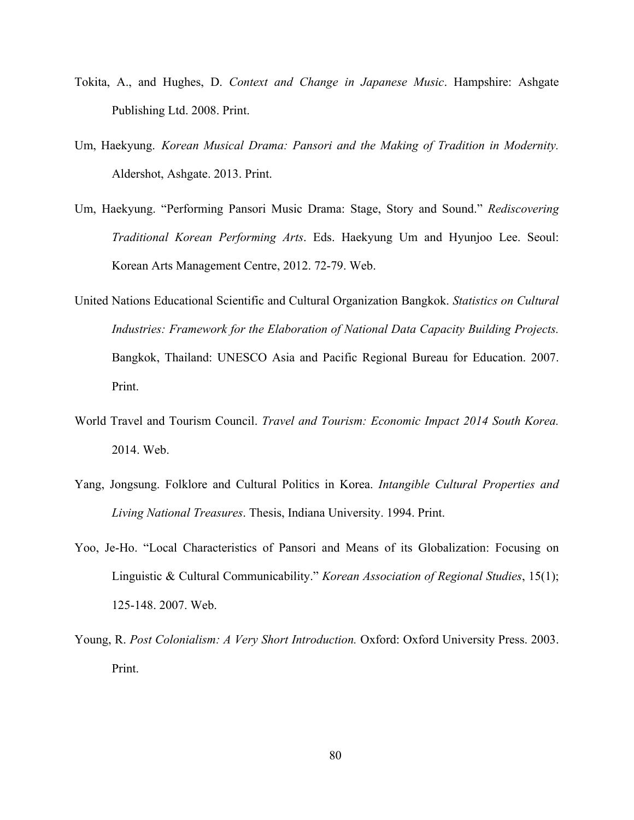- Tokita, A., and Hughes, D. *Context and Change in Japanese Music*. Hampshire: Ashgate Publishing Ltd. 2008. Print.
- Um, Haekyung. *Korean Musical Drama: Pansori and the Making of Tradition in Modernity.* Aldershot, Ashgate. 2013. Print.
- Um, Haekyung. "Performing Pansori Music Drama: Stage, Story and Sound." *Rediscovering Traditional Korean Performing Arts*. Eds. Haekyung Um and Hyunjoo Lee. Seoul: Korean Arts Management Centre, 2012. 72-79. Web.
- United Nations Educational Scientific and Cultural Organization Bangkok. *Statistics on Cultural Industries: Framework for the Elaboration of National Data Capacity Building Projects.* Bangkok, Thailand: UNESCO Asia and Pacific Regional Bureau for Education. 2007. Print.
- World Travel and Tourism Council. *Travel and Tourism: Economic Impact 2014 South Korea.*  2014. Web.
- Yang, Jongsung. Folklore and Cultural Politics in Korea. *Intangible Cultural Properties and Living National Treasures*. Thesis, Indiana University. 1994. Print.
- Yoo, Je-Ho. "Local Characteristics of Pansori and Means of its Globalization: Focusing on Linguistic & Cultural Communicability." *Korean Association of Regional Studies*, 15(1); 125-148. 2007. Web.
- Young, R. *Post Colonialism: A Very Short Introduction.* Oxford: Oxford University Press. 2003. Print.